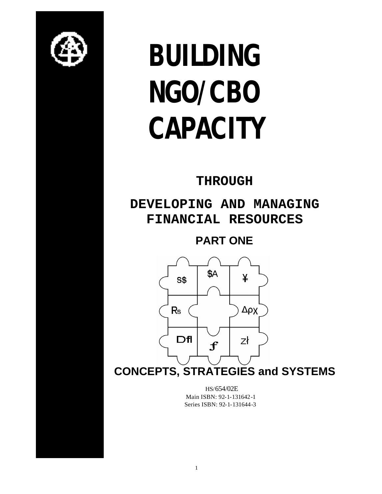

# **BUILDING NGO/CBO CAPACITY**

# **THROUGH**

# **DEVELOPING AND MANAGING FINANCIAL RESOURCES**

# **PART ONE**



**CONCEPTS, STRATEGIES and SYSTEMS**

 HS/654/02E Main ISBN: 92-1-131642-1 Series ISBN: 92-1-131644-3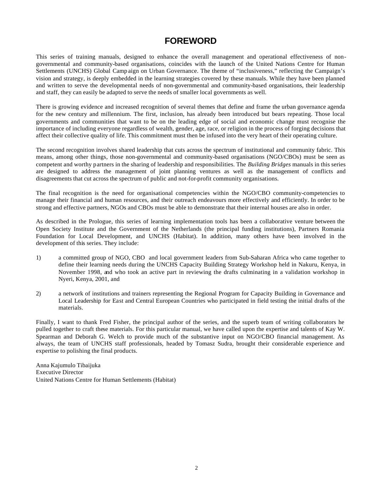# **FOREWORD**

This series of training manuals, designed to enhance the overall management and operational effectiveness of nongovernmental and community-based organisations, coincides with the launch of the United Nations Centre for Human Settlements (UNCHS) Global Camp aign on Urban Governance. The theme of "inclusiveness," reflecting the Campaign's vision and strategy, is deeply embedded in the learning strategies covered by these manuals. While they have been planned and written to serve the developmental needs of non-governmental and community-based organisations, their leadership and staff, they can easily be adapted to serve the needs of smaller local governments as well.

There is growing evidence and increased recognition of several themes that define and frame the urban governance agenda for the new century and millennium. The first, inclusion, has already been introduced but bears repeating. Those local governments and communities that want to be on the leading edge of social and economic change must recognise the importance of including everyone regardless of wealth, gender, age, race, or religion in the process of forging decisions that affect their collective quality of life. This commitment must then be infused into the very heart of their operating culture.

The second recognition involves shared leadership that cuts across the spectrum of institutional and community fabric. This means, among other things, those non-governmental and community-based organisations (NGO/CBOs) must be seen as competent and worthy partners in the sharing of leadership and responsibilities. The *Building Bridges* manuals in this series are designed to address the management of joint planning ventures as well as the management of conflicts and disagreements that cut across the spectrum of public and not-for-profit community organisations*.*

The final recognition is the need for organisational competencies within the NGO/CBO community-competencies to manage their financial and human resources, and their outreach endeavours more effectively and efficiently. In order to be strong and effective partners, NGOs and CBOs must be able to demonstrate that their internal houses are also in order.

As described in the Prologue, this series of learning implementation tools has been a collaborative venture between the Open Society Institute and the Government of the Netherlands (the principal funding institutions), Partners Romania Foundation for Local Development, and UNCHS (Habitat). In addition, many others have been involved in the development of this series. They include:

- 1) a committed group of NGO, CBO and local government leaders from Sub-Saharan Africa who came together to define their learning needs during the UNCHS Capacity Building Strategy Workshop held in Nakuru, Kenya, in November 1998, and who took an active part in reviewing the drafts culminating in a validation workshop in Nyeri, Kenya, 2001, and
- 2) a network of institutions and trainers representing the Regional Program for Capacity Building in Governance and Local Leadership for East and Central European Countries who participated in field testing the initial drafts of the materials.

Finally, I want to thank Fred Fisher, the principal author of the series, and the superb team of writing collaborators he pulled together to craft these materials. For this particular manual, we have called upon the expertise and talents of Kay W. Spearman and Deborah G. Welch to provide much of the substantive input on NGO/CBO financial management. As always, the team of UNCHS staff professionals, headed by Tomasz Sudra, brought their considerable experience and expertise to polishing the final products.

Anna Kajumulo Tibaijuka Executive Director United Nations Centre for Human Settlements (Habitat)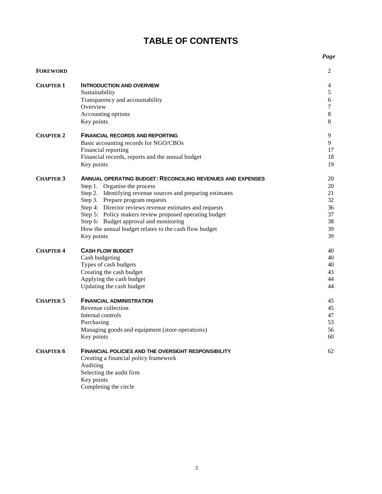# **TABLE OF CONTENTS**

|                  |                                                                   | Page    |
|------------------|-------------------------------------------------------------------|---------|
| <b>FOREWORD</b>  |                                                                   | 2       |
| <b>CHAPTER 1</b> | <b>INTRODUCTION AND OVERVIEW</b>                                  | 4       |
|                  | Sustainability                                                    | 5       |
|                  | Transparency and accountability                                   | 6       |
|                  | Overview                                                          | 7       |
|                  | Accounting options                                                | $\,8\,$ |
|                  | Key points                                                        | 8       |
| <b>CHAPTER 2</b> | <b>FINANCIAL RECORDS AND REPORTING</b>                            | 9       |
|                  | Basic accounting records for NGO/CBOs                             | 9       |
|                  | Financial reporting                                               | 17      |
|                  | Financial records, reports and the annual budget                  | 18      |
|                  | Key points                                                        | 19      |
| <b>CHAPTER 3</b> | <b>ANNUAL OPERATING BUDGET: RECONCILING REVENUES AND EXPENSES</b> | 20      |
|                  | Step 1. Organise the process                                      | 20      |
|                  | Step 2. Identifying revenue sources and preparing estimates       | 21      |
|                  | Step 3. Prepare program requests                                  | 32      |
|                  | Step 4: Director reviews revenue estimates and requests           | 36      |
|                  | Step 5: Policy makers review proposed operating budget            | 37      |
|                  | Step 6: Budget approval and monitoring                            | 38      |
|                  | How the annual budget relates to the cash flow budget             | 39      |
|                  | Key points                                                        | 39      |
| <b>CHAPTER 4</b> | <b>CASH FLOW BUDGET</b>                                           | 40      |
|                  | Cash budgeting                                                    | 40      |
|                  | Types of cash budgets                                             | 40      |
|                  | Creating the cash budget                                          | 43      |
|                  | Applying the cash budget                                          | 44      |
|                  | Updating the cash budget                                          | 44      |
| <b>CHAPTER 5</b> | <b>FINANCIAL ADMINISTRATION</b>                                   | 45      |
|                  | Revenue collection                                                | 45      |
|                  | Internal controls                                                 | 47      |
|                  | Purchasing                                                        | 53      |
|                  | Managing goods and equipment (store operations)                   | 56      |
|                  | Key points                                                        | 60      |
| <b>CHAPTER 6</b> | <b>FINANCIAL POLICIES AND THE OVERSIGHT RESPONSIBILITY</b>        | 62      |
|                  | Creating a financial policy framework                             |         |
|                  | Auditing                                                          |         |
|                  | Selecting the audit firm                                          |         |
|                  | Key points                                                        |         |
|                  | Completing the circle                                             |         |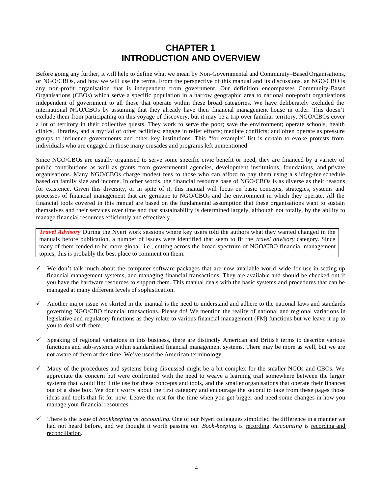# **CHAPTER 1 INTRODUCTION AND OVERVIEW**

Before going any further, it will help to define what we mean by Non-Governmental and Community–Based Organisations, or NGO/CBOs, and how we will use the terms. From the perspective of this manual and its discussions, an NGO/CBO is any non-profit organisation that is independent from government. Our definition encompasses Community-Based Organisations (CBOs) which serve a specific population in a narrow geographic area to national non-profit organisations independent of government to all those that operate within these broad categories. We have deliberately excluded the international NGO/CBOs by assuming that they already have their financial management house in order. This doesn't exclude them from participating on this voyage of discovery, but it may be a trip over familiar territory. NGO/CBOs cover a lot of territory in their collective quests. They work to serve the poor; save the environment; operate schools, health clinics, libraries, and a myriad of other facilities; engage in relief efforts; mediate conflicts; and often operate as pressure groups to influence governments and other key institutions. This "for example" list is certain to evoke protests from individuals who are engaged in those many crusades and programs left unmentioned.

Since NGO/CBOs are usually organised to serve some specific civic benefit or need, they are financed by a variety of public contributions as well as grants from governmental agencies, development institutions, foundations, and private organisations. Many NGO/CBOs charge modest fees to those who can afford to pay them using a sliding-fee schedule based on family size and income. In other words, the financial resource base of NGO/CBOs is as diverse as their reasons for existence. Given this diversity, or in spite of it, this manual will focus on basic concepts, strategies, systems and processes of financial management that are germane to NGO/CBOs and the environment in which they operate. All the financial tools covered in this manual are based on the fundamental assumption that these organisations want to sustain themselves and their services over time and that sustainability is determined largely, although not totally, by the ability to manage financial resources efficiently and effectively.

*Travel Advisory* During the Nyeri work sessions where key users told the authors what they wanted changed in the manuals before publication, a number of issues were identified that seem to fit the *travel advisory* category. Since many of them tended to be more global, i.e., cutting across the broad spectrum of NGO/CBO financial management topics, this is probably the best place to comment on them.

- $\checkmark$  We don't talk much about the computer software packages that are now available world-wide for use in setting up financial management systems, and managing financial transactions. They are available and should be checked out if you have the hardware resources to support them. This manual deals with the basic systems and procedures that can be managed at many different levels of sophistication.
- $\checkmark$  Another major issue we skirted in the manual is the need to understand and adhere to the national laws and standards governing NGO/CBO financial transactions. Please do! We mention the reality of national and regional variations in legislative and regulatory functions as they relate to various financial management (FM) functions but we leave it up to you to deal with them.
- $\checkmark$  Speaking of regional variations in this business, there are distinctly American and British terms to describe various functions and sub-systems within standardised financial management systems. There may be more as well, but we are not aware of them at this time. We've used the American terminology.
- $\checkmark$  Many of the procedures and systems being dis cussed might be a bit complex for the smaller NGOs and CBOs. We appreciate the concern but were confronted with the need to weave a learning trail somewhere between the larger systems that would find little use for these concepts and tools, and the smaller organisations that operate their finances out of a shoe box. We don't worry about the first category and encourage the second to take from these pages those ideas and tools that fit for now. Leave the rest for the time when you get bigger and need some changes in how you manage your financial resources.
- ¸ There is the issue of *bookkeeping* vs. *accounting.* One of our Nyeri colleagues simplified the difference in a manner we had not heard before, and we thought it worth passing on. *Book -keeping* is recording. *Accounting* is recording and reconciliation.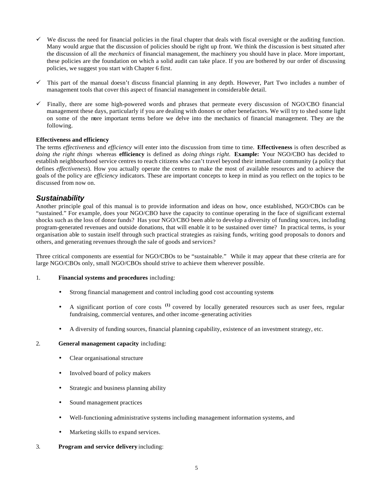- $\checkmark$  We discuss the need for financial policies in the final chapter that deals with fiscal oversight or the auditing function. Many would argue that the discussion of policies should be right up front. We think the discussion is best situated after the discussion of all the *mechanics* of financial management, the machinery you should have in place. More important, these policies are the foundation on which a solid audit can take place. If you are bothered by our order of discussing policies, we suggest you start with Chapter 6 first.
- $\checkmark$  This part of the manual doesn't discuss financial planning in any depth. However, Part Two includes a number of management tools that cover this aspect of financial management in considerable detail.
- $\checkmark$  Finally, there are some high-powered words and phrases that permeate every discussion of NGO/CBO financial management these days, particularly if you are dealing with donors or other benefactors. We will try to shed some light on some of the more important terms before we delve into the mechanics of financial management. They are the following.

### **Effectiveness and efficiency**

The terms *effectiveness* and *efficiency* will enter into the discussion from time to time. **Effectiveness** is often described as *doing the right things* whereas **efficiency** is defined as *doing things right.* **Example:** Your NGO/CBO has decided to establish neighbourhood service centres to reach citizens who can't travel beyond their immediate community (a policy that defines *effectiveness*). How you actually operate the centres to make the most of available resources and to achieve the goals of the policy are *efficiency* indicators. These are important concepts to keep in mind as you reflect on the topics to be discussed from now on.

### *Sustainability*

Another principle goal of this manual is to provide information and ideas on how, once established, NGO/CBOs can be "sustained." For example, does your NGO/CBO have the capacity to continue operating in the face of significant external shocks such as the loss of donor funds? Has your NGO/CBO been able to develop a diversity of funding sources, including program-generated revenues and outside donations, that will enable it to be sustained over time? In practical terms, is your organisation able to sustain itself through such practical strategies as raising funds, writing good proposals to donors and others, and generating revenues through the sale of goods and services?

Three critical components are essential for NGO/CBOs to be "sustainable." While it may appear that these criteria are for large NGO/CBOs only, small NGO/CBOs should strive to achieve them wherever possible.

### 1. **Financial systems and procedures** including:

- Strong financial management and control including good cost accounting systems
- A significant portion of core costs <sup>(1)</sup> covered by locally generated resources such as user fees, regular fundraising, commercial ventures, and other income -generating activities
- A diversity of funding sources, financial planning capability, existence of an investment strategy, etc.

### 2. **General management capacity** including:

- Clear organisational structure
- Involved board of policy makers
- Strategic and business planning ability
- Sound management practices
- Well-functioning administrative systems including management information systems, and
- Marketing skills to expand services.
- 3. **Program and service delivery** including: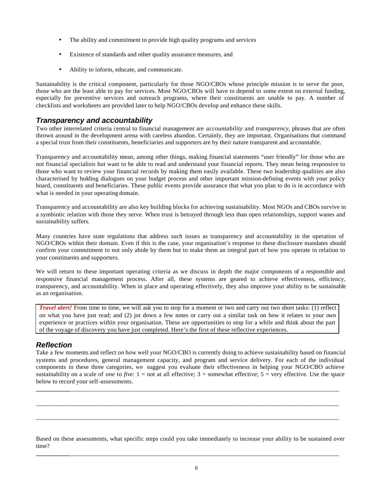- The ability and commitment to provide high quality programs and services
- Existence of standards and other quality assurance measures, and
- Ability to inform, educate, and communicate.

Sustainability is the critical component, particularly for those NGO/CBOs whose principle mission is to serve the poor, those who are the least able to pay for services. Most NGO/CBOs will have to depend to some extent on external funding, especially for preventive services and outreach programs, where their constituents are unable to pay. A number of checklists and worksheets are provided later to help NGO/CBOs develop and enhance these skills.

# *Transparency and accountability*

Two other interrelated criteria central to financial management are *accountability* and *transparency*, phrases that are often thrown around in the development arena with careless abandon. Certainly, they are important. Organisations that command a special trust from their constituents, beneficiaries and supporters are by their nature transparent and accountable.

Transparency and accountability mean, among other things, making financial statements "user friendly" for those who are not financial specialists but want to be able to read and understand your financial reports. They mean being responsive to those who want to review your financial records by making them easily available. These two leadership qualities are also characterised by holding dialogues on your budget process and other important mission-defining events with your policy board, constituents and beneficiaries. These public events provide assurance that what you plan to do is in accordance with what is needed in your operating domain.

Transparency and accountability are also key building blocks for achieving sustainability. Most NGOs and CBOs survive in a symbiotic relation with those they serve. When trust is betrayed through less than open relationships, support wanes and sustainability suffers.

Many countries have state regulations that address such issues as transparency and accountability in the operation of NGO/CBOs within their domain. Even if this is the case, your organisation's response to these disclosure mandates should confirm your commitment to not only abide by them but to make them an integral part of how you operate in relation to your constituents and supporters.

We will return to these important operating criteria as we discuss in depth the major components of a responsible and responsive financial management process. After all, these systems are geared to achieve effectiveness, efficiency, transparency, and accountability. When in place and operating effectively, they also improve your ability to be sustainable as an organisation.

*Travel alert!* From time to time, we will ask you to stop for a moment or two and carry out two short tasks: (1) reflect on what you have just read; and (2) jot down a few notes or carry out a similar task on how it relates to your own experience or practices within your organisation. These are opportunities to stop for a while and think about the part of the voyage of discovery you have just completed. Here's the first of these reflective experiences.

# *Reflection*

Take a few moments and reflect on how well your NGO/CBO is currently doing to achieve sustainability based on financial systems and procedures, general management capacity, and program and service delivery. For each of the individual components in these three categories, we suggest you evaluate their effectiveness in helping your NGO/CBO achieve sustainability on a scale of *one* to *five*: 1 = not at all effective; 3 = somewhat effective; 5 = very effective. Use the space below to record your self-assessments.

**\_\_\_\_\_\_\_\_\_\_\_**\_\_\_\_\_\_\_\_\_\_\_\_\_\_\_\_\_\_\_\_\_\_\_\_\_\_\_\_\_\_\_\_\_\_\_\_\_\_\_\_\_\_\_\_\_\_\_\_\_\_\_\_\_\_\_\_\_\_\_\_\_\_\_\_\_\_\_\_\_\_\_\_\_\_\_\_\_\_\_\_\_\_\_\_\_\_

\_\_\_\_\_\_\_\_\_\_\_\_\_\_\_\_\_\_\_\_\_\_\_\_\_\_\_\_\_\_\_\_\_\_\_\_\_\_\_\_\_\_\_\_\_\_\_\_\_\_\_\_\_\_\_\_\_\_\_\_\_\_\_\_\_\_\_\_\_\_\_\_\_\_\_\_\_\_\_\_\_\_\_\_\_\_\_\_\_\_\_\_\_\_\_\_\_

\_\_\_\_\_\_\_\_\_\_\_\_\_\_\_\_\_\_\_\_\_\_\_\_\_\_\_\_\_\_\_\_\_\_\_\_\_\_\_\_\_\_\_\_\_\_\_\_\_\_\_\_\_\_\_\_\_\_\_\_\_\_\_\_\_\_\_\_\_\_\_\_\_\_\_\_\_\_\_\_\_\_\_\_\_\_\_\_\_\_\_\_\_\_\_\_\_

Based on these assessments, what specific steps could you take immediately to increase your ability to be sustained over time?

**\_\_\_\_\_\_\_\_\_\_\_**\_\_\_\_\_\_\_\_\_\_\_\_\_\_\_\_\_\_\_\_\_\_\_\_\_\_\_\_\_\_\_\_\_\_\_\_\_\_\_\_\_\_\_\_\_\_\_\_\_\_\_\_\_\_\_\_\_\_\_\_\_\_\_\_\_\_\_\_\_\_\_\_\_\_\_\_\_\_\_\_\_\_\_\_\_\_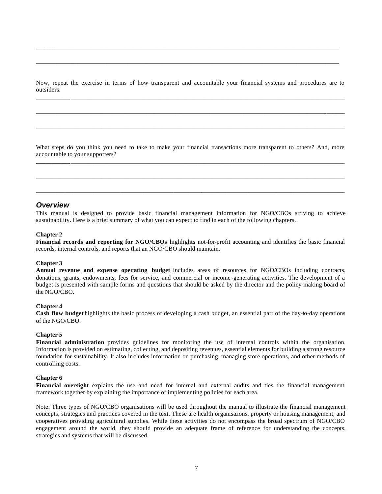Now, repeat the exercise in terms of how transparent and accountable your financial systems and procedures are to outsiders. **\_\_\_\_\_\_\_\_\_\_\_**\_\_\_\_\_\_\_\_\_\_\_\_\_\_\_\_\_\_\_\_\_\_\_\_\_\_\_\_\_\_\_\_\_\_\_\_\_\_\_\_\_\_\_\_\_\_\_\_\_\_\_\_\_\_\_\_\_\_\_\_\_\_\_\_\_\_\_\_\_\_\_\_\_\_\_\_\_\_\_\_\_\_\_\_\_\_\_\_

\_\_\_\_\_\_\_\_\_\_\_\_\_\_\_\_\_\_\_\_\_\_\_\_\_\_\_\_\_\_\_\_\_\_\_\_\_\_\_\_\_\_\_\_\_\_\_\_\_\_\_\_\_\_\_\_\_\_\_\_\_\_\_\_\_\_\_\_\_\_\_\_\_\_\_\_\_\_\_\_\_\_\_\_\_\_\_\_\_\_\_\_\_\_\_\_\_\_\_

\_\_\_\_\_\_\_\_\_\_\_\_\_\_\_\_\_\_\_\_\_\_\_\_\_\_\_\_\_\_\_\_\_\_\_\_\_\_\_\_\_\_\_\_\_\_\_\_\_\_\_\_\_\_\_\_\_\_\_\_\_\_\_\_\_\_\_\_\_\_\_\_\_\_\_\_\_\_\_\_\_\_\_\_\_\_\_\_\_\_\_\_\_\_\_\_\_\_\_

\_\_\_\_\_\_\_\_\_\_\_\_\_\_\_\_\_\_\_\_\_\_\_\_\_\_\_\_\_\_\_\_\_\_\_\_\_\_\_\_\_\_\_\_\_\_\_\_\_\_\_\_\_\_\_\_\_\_\_\_\_\_\_\_\_\_\_\_\_\_\_\_\_\_\_\_\_\_\_\_\_\_\_\_\_\_\_\_\_\_\_\_\_\_\_\_\_

\_\_\_\_\_\_\_\_\_\_\_\_\_\_\_\_\_\_\_\_\_\_\_\_\_\_\_\_\_\_\_\_\_\_\_\_\_\_\_\_\_\_\_\_\_\_\_\_\_\_\_\_\_\_\_\_\_\_\_\_\_\_\_\_\_\_\_\_\_\_\_\_\_\_\_\_\_\_\_\_\_\_\_\_\_\_\_\_\_\_\_\_\_\_\_\_\_

What steps do you think you need to take to make your financial transactions more transparent to others? And, more accountable to your supporters? **\_\_\_\_\_\_\_\_\_\_\_**\_\_\_\_\_\_\_\_\_\_\_\_\_\_\_\_\_\_\_\_\_\_\_\_\_\_\_\_\_\_\_\_\_\_\_\_\_\_\_\_\_\_\_\_\_\_\_\_\_\_\_\_\_\_\_\_\_\_\_\_\_\_\_\_\_\_\_\_\_\_\_\_\_\_\_\_\_\_\_\_\_\_\_\_\_\_\_\_

\_\_\_\_\_\_\_\_\_\_\_\_\_\_\_\_\_\_\_\_\_\_\_\_\_\_\_\_\_\_\_\_\_\_\_\_\_\_\_\_\_\_\_\_\_\_\_\_\_\_\_\_\_\_\_\_\_\_\_\_\_\_\_\_\_\_\_\_\_\_\_\_\_\_\_\_\_\_\_\_\_\_\_\_\_\_\_\_\_\_\_\_\_\_\_\_\_\_\_

\_\_\_\_\_\_\_\_\_\_\_\_\_\_\_\_\_\_\_\_\_\_\_\_\_\_\_\_\_\_\_\_\_\_\_\_\_\_\_\_\_\_\_\_\_\_\_\_\_\_\_\_\_\_\_\_\_\_\_\_\_\_\_\_\_\_\_\_\_\_\_\_\_\_\_\_\_\_\_\_\_\_\_\_\_\_\_\_\_\_\_\_\_\_\_\_\_\_\_

### *Overview*

This manual is designed to provide basic financial management information for NGO/CBOs striving to achieve sustainability. Here is a brief summary of what you can expect to find in each of the following chapters.

#### **Chapter 2**

**Financial records and reporting for NGO/CBOs** highlights not-for-profit accounting and identifies the basic financial records, internal controls, and reports that an NGO/CBO should maintain.

#### **Chapter 3**

**Annual revenue and expense operating budget** includes areas of resources for NGO/CBOs including contracts, donations, grants, endowments, fees for service, and commercial or income -generating activities. The development of a budget is presented with sample forms and questions that should be asked by the director and the policy making board of the NGO/CBO.

#### **Chapter 4**

**Cash flow budget** highlights the basic process of developing a cash budget, an essential part of the day-to-day operations of the NGO/CBO.

### **Chapter 5**

**Financial administration** provides guidelines for monitoring the use of internal controls within the organisation. Information is provided on estimating, collecting, and depositing revenues, essential elements for building a strong resource foundation for sustainability. It also includes information on purchasing, managing store operations, and other methods of controlling costs.

#### **Chapter 6**

**Financial oversight** explains the use and need for internal and external audits and ties the financial management framework together by explaining the importance of implementing policies for each area.

Note: Three types of NGO/CBO organisations will be used throughout the manual to illustrate the financial management concepts, strategies and practices covered in the text. These are health organisations, property or housing management, and cooperatives providing agricultural supplies. While these activities do not encompass the broad spectrum of NGO/CBO engagement around the world, they should provide an adequate frame of reference for understanding the concepts, strategies and systems that will be discussed.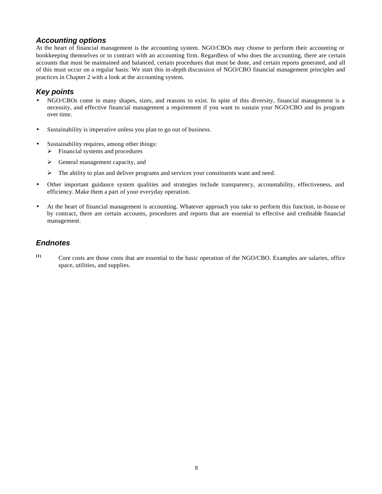# *Accounting options*

At the heart of financial management is the accounting system. NGO/CBOs may choose to perform their accounting or bookkeeping themselves or to contract with an accounting firm. Regardless of who does the accounting, there are certain accounts that must be maintained and balanced, certain procedures that must be done, and certain reports generated, and all of this must occur on a regular basis. We start this in-depth discussion of NGO/CBO financial management principles and practices in Chapter 2 with a look at the accounting system.

# *Key points*

- NGO/CBOs come in many shapes, sizes, and reasons to exist. In spite of this diversity, financial management is a necessity, and effective financial management a requirement if you want to sustain your NGO/CBO and its program over time.
- Sustainability is imperative unless you plan to go out of business.
- Sustainability requires, among other things:
	- $\triangleright$  Financial systems and procedures
	- $\triangleright$  General management capacity, and
	- $\triangleright$  The ability to plan and deliver programs and services your constituents want and need.
- Other important guidance system qualities and strategies include transparency, accountability, effectiveness, and efficiency. Make them a part of your everyday operation.
- At the heart of financial management is accounting. Whatever approach you take to perform this function, in-house or by contract, there are certain accounts, procedures and reports that are essential to effective and creditable financial management.

# *Endnotes*

**(1)** Core costs are those costs that are essential to the basic operation of the NGO/CBO. Examples are salaries, office space, utilities, and supplies.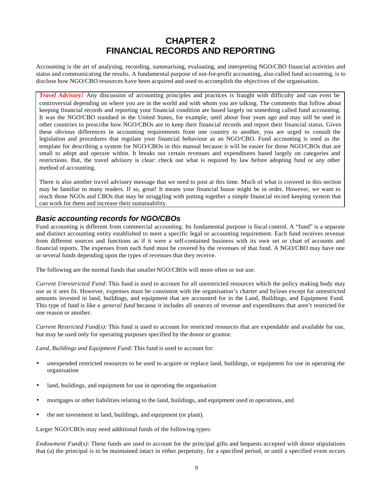# **CHAPTER 2 FINANCIAL RECORDS AND REPORTING**

Accounting is the art of analysing, recording, summarising, evaluating, and interpreting NGO/CBO financial activities and status and communicating the results. A fundamental purpose of not-for-profit accounting, also called fund accounting, is to disclose how NGO/CBO resources have been acquired and used to accomplish the objectives of the organisation.

*Travel Advisory!* Any discussion of accounting principles and practices is fraught with difficulty and can even be controversial depending on where you are in the world and with whom you are talking. The comments that follow about keeping financial records and reporting your financial condition are based largely on something called fund accounting. It was the NGO/CBO standard in the United States, for example, until about four years ago and may still be used in other countries to prescribe how NGO/CBOs are to keep their financial records and report their financial status. Given these obvious differences in accounting requirements from one country to another, you are urged to consult the legislation and procedures that regulate your financial behaviour as an NGO/CBO. Fund accounting is used as the template for describing a system for NGO/CBOs in this manual because it will be easier for those NGO/CBOs that are small to adopt and operate within. It breaks out certain revenues and expenditures based largely on categories and restrictions. But, the travel advisory is clear: check out what is required by law before adopting fund or any other method of accounting.

There is also another travel advisory message that we need to post at this time. Much of what is covered in this section may be familiar to many readers. If so, great! It means your financial house might be in order. However, we want to reach those NGOs and CBOs that may be struggling with putting together a simple financial record keeping system that can work for them and increase their sustainability.

# *Basic accounting records for NGO/CBOs*

Fund accounting is different from commercial accounting. Its fundamental purpose is fiscal control. A "fund" is a separate and distinct accounting entity established to meet a specific legal or accounting requirement. Each fund receives revenue from different sources and functions as if it were a self-contained business with its own set or chart of accounts and financial reports. The expenses from each fund must be covered by the revenues of that fund. A NGO/CBO may have one or several funds depending upon the types of revenues that they receive.

The following are the normal funds that smaller NGO/CBOs will more often or not use.

*Current Unrestricted Fund:* This fund is used to account for all unrestricted resources which the policy making body may use as it sees fit. However, expenses must be consistent with the organisation's charter and bylaws except for unrestricted amounts invested in land, buildings, and equipment that are accounted for in the Land, Buildings, and Equipment Fund. This type of fund is like a *general fund* because it includes all sources of revenue and expenditures that aren't restricted for one reason or another.

*Current Restricted Fund(s)*: This fund is used to account for restricted resources that are expendable and available for use, but may be used only for operating purposes specified by the donor or grantor.

*Land, Buildings and Equipment Fund:* This fund is used to account for:

- unexpended restricted resources to be used to acquire or replace land, buildings, or equipment for use in operating the organisation
- land, buildings, and equipment for use in operating the organisation
- mortgages or other liabilities relating to the land, buildings, and equipment used in operations, and
- the net investment in land, buildings, and equipment (or plant).

Larger NGO/CBOs may need additional funds of the following types:

*Endowment Fund(s):* These funds are used to account for the principal gifts and bequests accepted with donor stipulations that (a) the principal is to be maintained intact in either perpetuity, for a specified period, or until a specified event occurs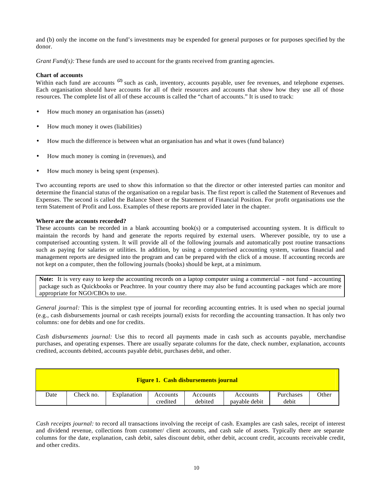and (b) only the income on the fund's investments may be expended for general purposes or for purposes specified by the donor.

*Grant Fund(s):* These funds are used to account for the grants received from granting agencies.

### **Chart of accounts**

Within each fund are accounts<sup>(2)</sup> such as cash, inventory, accounts payable, user fee revenues, and telephone expenses. Each organisation should have accounts for all of their resources and accounts that show how they use all of those resources. The complete list of all of these accounts is called the "chart of accounts." It is used to track:

- How much money an organisation has (assets)
- How much money it owes (liabilities)
- How much the difference is between what an organisation has and what it owes (fund balance)
- How much money is coming in (revenues), and
- How much money is being spent (expenses).

Two accounting reports are used to show this information so that the director or other interested parties can monitor and determine the financial status of the organisation on a regular basis. The first report is called the Statement of Revenues and Expenses. The second is called the Balance Sheet or the Statement of Financial Position. For profit organisations use the term Statement of Profit and Loss. Examples of these reports are provided later in the chapter.

### **Where are the accounts recorded?**

These accounts can be recorded in a blank accounting book(s) or a computerised accounting system. It is difficult to maintain the records by hand and generate the reports required by external users. Wherever possible, try to use a computerised accounting system. It will provide all of the following journals and automatically post routine transactions such as paying for salaries or utilities. In addition, by using a computerised accounting system, various financial and management reports are designed into the program and can be prepared with the click of a mouse. If accounting records are not kept on a computer, then the following journals (books) should be kept, at a minimum.

**Note:** It is very easy to keep the accounting records on a laptop computer using a commercial - not fund - accounting package such as Quickbooks or Peachtree. In your country there may also be fund accounting packages which are more appropriate for NGO/CBOs to use.

*General journal:* This is the simplest type of journal for recording accounting entries. It is used when no special journal (e.g., cash disbursements journal or cash receipts journal) exists for recording the accounting transaction. It has only two columns: one for debits and one for credits.

*Cash disbursements journal:* Use this to record all payments made in cash such as accounts payable, merchandise purchases, and operating expenses. There are usually separate columns for the date, check number, explanation, accounts credited, accounts debited, accounts payable debit, purchases debit, and other.

| <b>Figure 1. Cash disbursements journal</b> |           |             |                      |                     |                           |                    |       |  |  |
|---------------------------------------------|-----------|-------------|----------------------|---------------------|---------------------------|--------------------|-------|--|--|
| Date                                        | Check no. | Explanation | Accounts<br>credited | Accounts<br>debited | Accounts<br>pavable debit | Purchases<br>debit | Other |  |  |

*Cash receipts journal:* to record all transactions involving the receipt of cash. Examples are cash sales, receipt of interest and dividend revenue, collections from customer/ client accounts, and cash sale of assets. Typically there are separate columns for the date, explanation, cash debit, sales discount debit, other debit, account credit, accounts receivable credit, and other credits.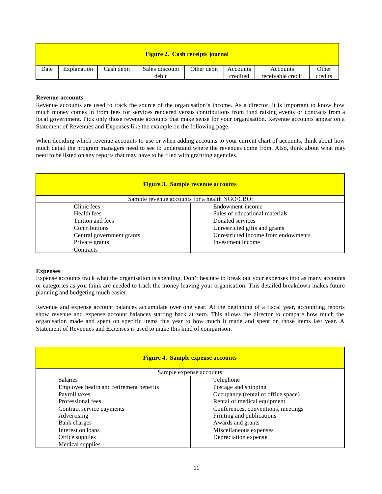| <b>Figure 2. Cash receipts journal</b> |             |            |                         |             |                      |                               |                  |  |  |
|----------------------------------------|-------------|------------|-------------------------|-------------|----------------------|-------------------------------|------------------|--|--|
| Date                                   | Explanation | Cash debit | Sales discount<br>debit | Other debit | Accounts<br>credited | Accounts<br>receivable credit | Other<br>credits |  |  |

### **Revenue accounts**

Revenue accounts are used to track the source of the organisation's income. As a director, it is important to know how much money comes in from fees for services rendered versus contributions from fund raising events or contracts from a local government. Pick only those revenue accounts that make sense for your organisation. Revenue accounts appear on a Statement of Revenues and Expenses like the example on the following page.

When deciding which revenue accounts to use or when adding accounts to your current chart of accounts, think about how much detail the program managers need to see to understand where the revenues come from. Also, think about what may need to be listed on any reports that may have to be filed with granting agencies.

| <b>Figure 3. Sample revenue accounts</b> |                                               |  |  |  |  |  |  |
|------------------------------------------|-----------------------------------------------|--|--|--|--|--|--|
|                                          | Sample revenue accounts for a health NGO/CBO: |  |  |  |  |  |  |
| Clinic fees                              | Endowment income                              |  |  |  |  |  |  |
| Health fees                              | Sales of educational materials                |  |  |  |  |  |  |
| Tuition and fees                         | Donated services                              |  |  |  |  |  |  |
| <b>Contributions</b>                     | Unrestricted gifts and grants                 |  |  |  |  |  |  |
| Central government grants                | Unrestricted income from endowments           |  |  |  |  |  |  |
| Private grants                           | Investment income                             |  |  |  |  |  |  |
| <b>Contracts</b>                         |                                               |  |  |  |  |  |  |

### **Expenses**

Expense accounts track what the organisation is spending. Don't hesitate to break out your expenses into as many accounts or categories as you think are needed to track the money leaving your organisation. This detailed breakdown makes future planning and budgeting much easier.

Revenue and expense account balances accumulate over one year. At the beginning of a fiscal year, accounting reports show revenue and expense account balances starting back at zero. This allows the director to compare how much the organisation made and spent on specific items this year to how much it made and spent on those items last year. A Statement of Revenues and Expenses is used to make this kind of comparison.

| <b>Figure 4. Sample expense accounts</b> |                                    |  |  |  |  |  |
|------------------------------------------|------------------------------------|--|--|--|--|--|
|                                          | Sample expense accounts:           |  |  |  |  |  |
| <b>Salaries</b>                          | Telephone                          |  |  |  |  |  |
| Employee health and retirement benefits  | Postage and shipping               |  |  |  |  |  |
| Payroll taxes                            | Occupancy (rental of office space) |  |  |  |  |  |
| Professional fees                        | Rental of medical equipment        |  |  |  |  |  |
| Contract service payments                | Conferences, conventions, meetings |  |  |  |  |  |
| Advertising                              | Printing and publications          |  |  |  |  |  |
| Bank charges                             | Awards and grants                  |  |  |  |  |  |
| Interest on loans                        | Miscellaneous expenses             |  |  |  |  |  |
| Office supplies                          | Depreciation expense               |  |  |  |  |  |
| Medical supplies                         |                                    |  |  |  |  |  |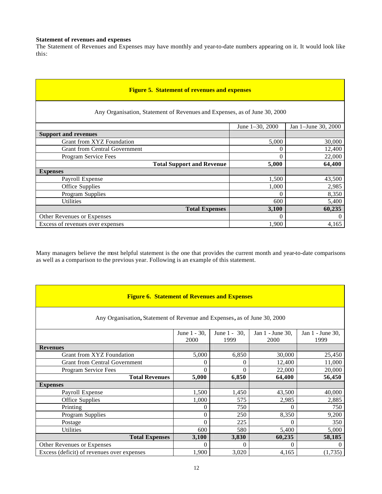### **Statement of revenues and expenses**

The Statement of Revenues and Expenses may have monthly and year-to-date numbers appearing on it. It would look like this:

| <b>Figure 5. Statement of revenues and expenses</b>                       |                      |                     |  |  |  |  |  |  |
|---------------------------------------------------------------------------|----------------------|---------------------|--|--|--|--|--|--|
| Any Organisation, Statement of Revenues and Expenses, as of June 30, 2000 |                      |                     |  |  |  |  |  |  |
|                                                                           | June $1-30$ , $2000$ | Jan 1-June 30, 2000 |  |  |  |  |  |  |
| <b>Support and revenues</b>                                               |                      |                     |  |  |  |  |  |  |
| Grant from XYZ Foundation                                                 | 5,000                | 30,000              |  |  |  |  |  |  |
| <b>Grant from Central Government</b>                                      | $\theta$             | 12,400              |  |  |  |  |  |  |
| Program Service Fees                                                      | $\Omega$             | 22,000              |  |  |  |  |  |  |
| <b>Total Support and Revenue</b>                                          | 5,000                | 64,400              |  |  |  |  |  |  |
| <b>Expenses</b>                                                           |                      |                     |  |  |  |  |  |  |
| Payroll Expense                                                           | 1,500                | 43,500              |  |  |  |  |  |  |
| Office Supplies                                                           | 1,000                | 2,985               |  |  |  |  |  |  |
| Program Supplies                                                          | $\theta$             | 8,350               |  |  |  |  |  |  |
| <b>Utilities</b>                                                          | 600                  | 5,400               |  |  |  |  |  |  |
| <b>Total Expenses</b>                                                     | 3,100                | 60,235              |  |  |  |  |  |  |
| Other Revenues or Expenses                                                | $\Omega$             | $\Omega$            |  |  |  |  |  |  |
| Excess of revenues over expenses                                          | 1,900                | 4,165               |  |  |  |  |  |  |

Many managers believe the most helpful statement is the one that provides the current month and year-to-date comparisons as well as a comparison to the previous year. Following is an example of this statement.

| <b>Figure 6. Statement of Revenues and Expenses</b>                      |              |              |                  |                  |  |  |  |  |  |
|--------------------------------------------------------------------------|--------------|--------------|------------------|------------------|--|--|--|--|--|
| Any Organisation, Statement of Revenue and Expenses, as of June 30, 2000 |              |              |                  |                  |  |  |  |  |  |
|                                                                          | June 1 - 30, | June 1 - 30, | Jan 1 - June 30, | Jan 1 - June 30, |  |  |  |  |  |
|                                                                          | 2000         | 1999         | 2000             | 1999             |  |  |  |  |  |
| <b>Revenues</b>                                                          |              |              |                  |                  |  |  |  |  |  |
| Grant from XYZ Foundation                                                | 5,000        | 6,850        | 30,000           | 25,450           |  |  |  |  |  |
| <b>Grant from Central Government</b>                                     | $^{(1)}$     | $\theta$     | 12,400           | 11,000           |  |  |  |  |  |
| Program Service Fees                                                     | 0            | $\Omega$     | 22,000           | 20,000           |  |  |  |  |  |
| <b>Total Revenues</b>                                                    | 5,000        | 6,850        | 64,400           | 56,450           |  |  |  |  |  |
| <b>Expenses</b>                                                          |              |              |                  |                  |  |  |  |  |  |
| Payroll Expense                                                          | 1,500        | 1,450        | 43,500           | 40,000           |  |  |  |  |  |
| Office Supplies                                                          | 1,000        | 575          | 2,985            | 2,885            |  |  |  |  |  |
| Printing                                                                 | 0            | 750          | $\Omega$         | 750              |  |  |  |  |  |
| Program Supplies                                                         | $\Omega$     | 250          | 8,350            | 9,200            |  |  |  |  |  |
| Postage                                                                  | 0            | 225          | 0                | 350              |  |  |  |  |  |
| Utilities                                                                | 600          | 580          | 5,400            | 5,000            |  |  |  |  |  |
| <b>Total Expenses</b>                                                    | 3,100        | 3,830        | 60,235           | 58,185           |  |  |  |  |  |
| Other Revenues or Expenses                                               | 0            | $\Omega$     | 0                | $\theta$         |  |  |  |  |  |
| Excess (deficit) of revenues over expenses                               | 1,900        | 3,020        | 4,165            | (1,735)          |  |  |  |  |  |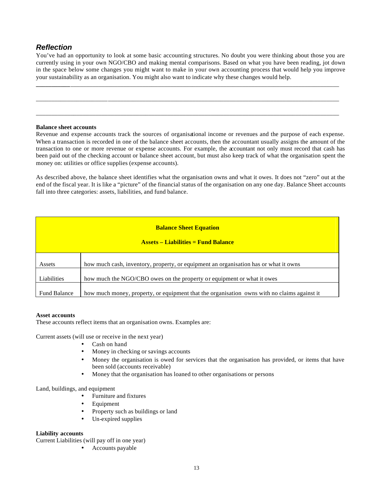# *Reflection*

You've had an opportunity to look at some basic accounting structures. No doubt you were thinking about those you are currently using in your own NGO/CBO and making mental comparisons. Based on what you have been reading, jot down in the space below some changes you might want to make in your own accounting process that would help you improve your sustainability as an organisation. You might also want to indicate why these changes would help.

**\_\_\_\_\_\_\_\_\_\_\_**\_\_\_\_\_\_\_\_\_\_\_\_\_\_\_\_\_\_\_\_\_\_\_\_\_\_\_\_\_\_\_\_\_\_\_\_\_\_\_\_\_\_\_\_\_\_\_\_\_\_\_\_\_\_\_\_\_\_\_\_\_\_\_\_\_\_\_\_\_\_\_\_\_\_\_\_\_\_\_\_\_\_\_\_\_\_

\_\_\_\_\_\_\_\_\_\_\_\_\_\_\_\_\_\_\_\_\_\_\_\_\_\_\_\_\_\_\_\_\_\_\_\_\_\_\_\_\_\_\_\_\_\_\_\_\_\_\_\_\_\_\_\_\_\_\_\_\_\_\_\_\_\_\_\_\_\_\_\_\_\_\_\_\_\_\_\_\_\_\_\_\_\_\_\_\_\_\_\_\_\_\_\_\_

\_\_\_\_\_\_\_\_\_\_\_\_\_\_\_\_\_\_\_\_\_\_\_\_\_\_\_\_\_\_\_\_\_\_\_\_\_\_\_\_\_\_\_\_\_\_\_\_\_\_\_\_\_\_\_\_\_\_\_\_\_\_\_\_\_\_\_\_\_\_\_\_\_\_\_\_\_\_\_\_\_\_\_\_\_\_\_\_\_\_\_\_\_\_\_\_\_

### **Balance sheet accounts**

Revenue and expense accounts track the sources of organisational income or revenues and the purpose of each expense. When a transaction is recorded in one of the balance sheet accounts, then the accountant usually assigns the amount of the transaction to one or more revenue or expense accounts. For example, the accountant not only must record that cash has been paid out of the checking account or balance sheet account, but must also keep track of what the organisation spent the money on: utilities or office supplies (expense accounts).

As described above, the balance sheet identifies what the organisation owns and what it owes. It does not "zero" out at the end of the fiscal year. It is like a "picture" of the financial status of the organisation on any one day. Balance Sheet accounts fall into three categories: assets, liabilities, and fund balance.

| <b>Balance Sheet Equation</b><br><b>Assets – Liabilities = Fund Balance</b> |                                                                                             |  |  |  |  |  |
|-----------------------------------------------------------------------------|---------------------------------------------------------------------------------------------|--|--|--|--|--|
| Assets                                                                      | how much cash, inventory, property, or equipment an organisation has or what it owns        |  |  |  |  |  |
| Liabilities                                                                 | how much the NGO/CBO owes on the property or equipment or what it owes                      |  |  |  |  |  |
| <b>Fund Balance</b>                                                         | how much money, property, or equipment that the organisation owns with no claims against it |  |  |  |  |  |

### **Asset accounts**

These accounts reflect items that an organisation owns. Examples are:

Current assets (will use or receive in the next year)

- Cash on hand
- Money in checking or savings accounts
- Money the organisation is owed for services that the organisation has provided, or items that have been sold (accounts receivable)
- Money that the organisation has loaned to other organisations or persons

### Land, buildings, and equipment

- Furniture and fixtures
- Equipment
- Property such as buildings or land
- Un-expired supplies

### **Liability accounts**

Current Liabilities (will pay off in one year)

• Accounts payable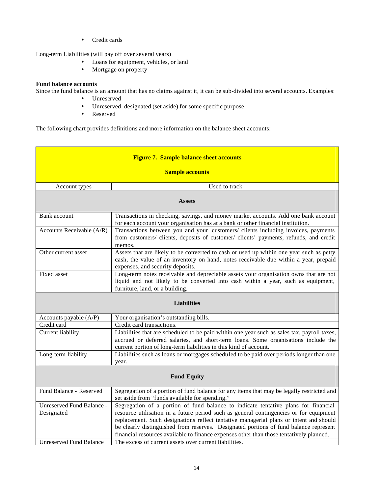• Credit cards

Long-term Liabilities (will pay off over several years)

- Loans for equipment, vehicles, or land
- Mortgage on property

### **Fund balance accounts**

Since the fund balance is an amount that has no claims against it, it can be sub-divided into several accounts. Examples:

- Unreserved
- Unreserved, designated (set aside) for some specific purpose
- Reserved

The following chart provides definitions and more information on the balance sheet accounts:

| <b>Figure 7. Sample balance sheet accounts</b><br><b>Sample accounts</b> |                                                                                                                                                                                                                                                        |  |  |  |  |  |
|--------------------------------------------------------------------------|--------------------------------------------------------------------------------------------------------------------------------------------------------------------------------------------------------------------------------------------------------|--|--|--|--|--|
| Account types                                                            | Used to track                                                                                                                                                                                                                                          |  |  |  |  |  |
|                                                                          | <b>Assets</b>                                                                                                                                                                                                                                          |  |  |  |  |  |
| Bank account                                                             | Transactions in checking, savings, and money market accounts. Add one bank account<br>for each account your organisation has at a bank or other financial institution.                                                                                 |  |  |  |  |  |
| Accounts Receivable (A/R)                                                | Transactions between you and your customers/ clients including invoices, payments<br>from customers/ clients, deposits of customer/ clients' payments, refunds, and credit<br>memos.                                                                   |  |  |  |  |  |
| Other current asset                                                      | Assets that are likely to be converted to cash or used up within one year such as petty<br>cash, the value of an inventory on hand, notes receivable due within a year, prepaid<br>expenses, and security deposits.                                    |  |  |  |  |  |
| Fixed asset                                                              | Long-term notes receivable and depreciable assets your organisation owns that are not<br>liquid and not likely to be converted into cash within a year, such as equipment,<br>furniture, land, or a building.                                          |  |  |  |  |  |
|                                                                          | <b>Liabilities</b>                                                                                                                                                                                                                                     |  |  |  |  |  |
| Accounts payable (A/P)                                                   | Your organisation's outstanding bills.                                                                                                                                                                                                                 |  |  |  |  |  |
| Credit card                                                              | Credit card transactions.                                                                                                                                                                                                                              |  |  |  |  |  |
| Current liability                                                        | Liabilities that are scheduled to be paid within one year such as sales tax, payroll taxes,<br>accrued or deferred salaries, and short-term loans. Some organisations include the<br>current portion of long-term liabilities in this kind of account. |  |  |  |  |  |
| Long-term liability                                                      | Liabilities such as loans or mortgages scheduled to be paid over periods longer than one<br>year.                                                                                                                                                      |  |  |  |  |  |
|                                                                          | <b>Fund Equity</b>                                                                                                                                                                                                                                     |  |  |  |  |  |
| Fund Balance - Reserved                                                  | Segregation of a portion of fund balance for any items that may be legally restricted and<br>set aside from "funds available for spending."                                                                                                            |  |  |  |  |  |
| Unreserved Fund Balance -                                                | Segregation of a portion of fund balance to indicate tentative plans for financial                                                                                                                                                                     |  |  |  |  |  |
| Designated                                                               | resource utilisation in a future period such as general contingencies or for equipment                                                                                                                                                                 |  |  |  |  |  |
|                                                                          | replacement. Such designations reflect tentative managerial plans or intent and should                                                                                                                                                                 |  |  |  |  |  |
|                                                                          | be clearly distinguished from reserves. Designated portions of fund balance represent                                                                                                                                                                  |  |  |  |  |  |
| <b>Unreserved Fund Balance</b>                                           | financial resources available to finance expenses other than those tentatively planned.<br>The excess of current assets over current liabilities.                                                                                                      |  |  |  |  |  |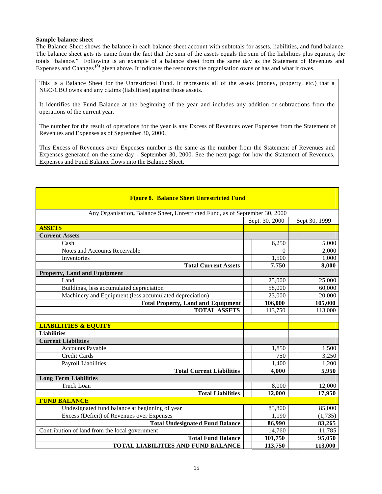### **Sample balance sheet**

The Balance Sheet shows the balance in each balance sheet account with subtotals for assets, liabilities, and fund balance. The balance sheet gets its name from the fact that the sum of the assets equals the sum of the liabilities plus equities; the totals "balance." Following is an example of a balance sheet from the same day as the Statement of Revenues and Expenses and Changes<sup>(3)</sup> given above. It indicates the resources the organisation owns or has and what it owes.

This is a Balance Sheet for the Unrestricted Fund. It represents all of the assets (money, property, etc.) that a NGO/CBO owns and any claims (liabilities) against those assets.

It identifies the Fund Balance at the beginning of the year and includes any addition or subtractions from the operations of the current year.

The number for the result of operations for the year is any Excess of Revenues over Expenses from the Statement of Revenues and Expenses as of September 30, 2000.

This Excess of Revenues over Expenses number is the same as the number from the Statement of Revenues and Expenses generated on the same day - September 30, 2000. See the next page for how the Statement of Revenues, Expenses and Fund Balance flows into the Balance Sheet.

| <b>Figure 8. Balance Sheet Unrestricted Fund</b>                             |                |               |  |  |  |  |  |  |
|------------------------------------------------------------------------------|----------------|---------------|--|--|--|--|--|--|
| Any Organisation, Balance Sheet, Unrestricted Fund, as of September 30, 2000 |                |               |  |  |  |  |  |  |
|                                                                              | Sept. 30, 2000 | Sept 30, 1999 |  |  |  |  |  |  |
| <b>ASSETS</b>                                                                |                |               |  |  |  |  |  |  |
| <b>Current Assets</b>                                                        |                |               |  |  |  |  |  |  |
| Cash                                                                         | 6,250          | 5,000         |  |  |  |  |  |  |
| Notes and Accounts Receivable                                                | $\Omega$       | 2,000         |  |  |  |  |  |  |
| Inventories                                                                  | 1,500          | 1,000         |  |  |  |  |  |  |
| <b>Total Current Assets</b>                                                  | 7,750          | 8,000         |  |  |  |  |  |  |
| <b>Property, Land and Equipment</b>                                          |                |               |  |  |  |  |  |  |
| Land                                                                         | 25,000         | 25,000        |  |  |  |  |  |  |
| Buildings, less accumulated depreciation                                     | 58,000         | 60,000        |  |  |  |  |  |  |
| Machinery and Equipment (less accumulated depreciation)                      | 23,000         | 20,000        |  |  |  |  |  |  |
| <b>Total Property, Land and Equipment</b>                                    | 106,000        | 105,000       |  |  |  |  |  |  |
| <b>TOTAL ASSETS</b>                                                          | 113,750        | 113,000       |  |  |  |  |  |  |
|                                                                              |                |               |  |  |  |  |  |  |
| <b>LIABILITIES &amp; EQUITY</b>                                              |                |               |  |  |  |  |  |  |
| <b>Liabilities</b>                                                           |                |               |  |  |  |  |  |  |
| <b>Current Liabilities</b>                                                   |                |               |  |  |  |  |  |  |
| <b>Accounts Payable</b>                                                      | 1,850          | 1,500         |  |  |  |  |  |  |
| Credit Cards                                                                 | 750            | 3,250         |  |  |  |  |  |  |
| Payroll Liabilities                                                          | 1,400          | 1,200         |  |  |  |  |  |  |
| <b>Total Current Liabilities</b>                                             | 4,000          | 5,950         |  |  |  |  |  |  |
| <b>Long Term Liabilities</b>                                                 |                |               |  |  |  |  |  |  |
| Truck Loan                                                                   | 8,000          | 12,000        |  |  |  |  |  |  |
| <b>Total Liabilities</b>                                                     | 12,000         | 17,950        |  |  |  |  |  |  |
| <b>FUND BALANCE</b>                                                          |                |               |  |  |  |  |  |  |
| Undesignated fund balance at beginning of year                               | 85,800         | 85,000        |  |  |  |  |  |  |
| Excess (Deficit) of Revenues over Expenses                                   | 1,190          | (1,735)       |  |  |  |  |  |  |
| <b>Total Undesignate d Fund Balance</b>                                      | 86,990         | 83,265        |  |  |  |  |  |  |
| Contribution of land from the local government                               | 14,760         | 11,785        |  |  |  |  |  |  |
| <b>Total Fund Balance</b>                                                    | 101,750        | 95,050        |  |  |  |  |  |  |
| <b>TOTAL LIABILITIES AND FUND BALANCE</b>                                    | 113,750        | 113,000       |  |  |  |  |  |  |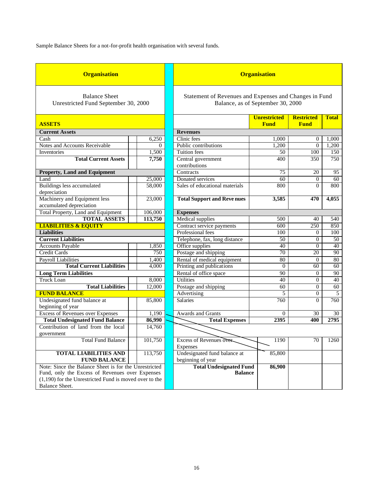Sample Balance Sheets for a not-for-profit health organisation with several funds.

| <b>Organisation</b>                                                                                                                                                                           |         |  | <b>Organisation</b>                                                                         |                                    |                                  |              |
|-----------------------------------------------------------------------------------------------------------------------------------------------------------------------------------------------|---------|--|---------------------------------------------------------------------------------------------|------------------------------------|----------------------------------|--------------|
| <b>Balance Sheet</b><br>Unrestricted Fund September 30, 2000                                                                                                                                  |         |  | Statement of Revenues and Expenses and Changes in Fund<br>Balance, as of September 30, 2000 |                                    |                                  |              |
| <b>ASSETS</b>                                                                                                                                                                                 |         |  |                                                                                             | <b>Unrestricted</b><br><b>Fund</b> | <b>Restricted</b><br><b>Fund</b> | <b>Total</b> |
| <b>Current Assets</b>                                                                                                                                                                         |         |  | <b>Revenues</b>                                                                             |                                    |                                  |              |
| Cash                                                                                                                                                                                          | 6,250   |  | Clinic fees                                                                                 | 1,000                              | 0                                | 1,000        |
| Notes and Accounts Receivable                                                                                                                                                                 | 0       |  | Public contributions                                                                        | 1,200                              | $\Omega$                         | 1,200        |
| Inventories                                                                                                                                                                                   | 1,500   |  | <b>Tuition</b> fees                                                                         | 50                                 | 100                              | 150          |
| <b>Total Current Assets</b>                                                                                                                                                                   | 7,750   |  | Central government<br>contributions                                                         | 400                                | 350                              | 750          |
| <b>Property, Land and Equipment</b>                                                                                                                                                           |         |  | Contracts                                                                                   | 75                                 | 20                               | 95           |
| Land                                                                                                                                                                                          | 25,000  |  | Donated services                                                                            | 60                                 | $\boldsymbol{0}$                 | 60           |
| Buildings less accumulated<br>depreciation                                                                                                                                                    | 58,000  |  | Sales of educational materials                                                              | 800                                | $\Omega$                         | 800          |
| Machinery and Equipment less<br>accumulated depreciation                                                                                                                                      | 23,000  |  | <b>Total Support and Revenues</b>                                                           | 3,585                              | 470                              | 4,055        |
| <b>Total Property, Land and Equipment</b>                                                                                                                                                     | 106,000 |  | <b>Expenses</b>                                                                             |                                    |                                  |              |
| <b>TOTAL ASSETS</b>                                                                                                                                                                           | 113,750 |  | <b>Medical</b> supplies                                                                     | 500                                | 40                               | 540          |
| <b>LIABILITIES &amp; EQUITY</b>                                                                                                                                                               |         |  | Contract service payments                                                                   | 600                                | 250                              | 850          |
| <b>Liabilities</b>                                                                                                                                                                            |         |  | Professional fees                                                                           | 100                                | $\overline{0}$                   | 100          |
| <b>Current Liabilities</b>                                                                                                                                                                    |         |  | Telephone, fax, long distance                                                               | 50                                 | $\overline{0}$                   | 50           |
| <b>Accounts Payable</b>                                                                                                                                                                       | 1,850   |  | Office supplies                                                                             | 40                                 | $\mathbf{0}$                     | 40           |
| Credit Cards                                                                                                                                                                                  | 750     |  | Postage and shipping                                                                        | 70                                 | 20                               | 90           |
| <b>Payroll Liabilities</b>                                                                                                                                                                    | 1,400   |  | Rental of medical equipment                                                                 | 80                                 | $\mathbf{0}$                     | 80           |
| <b>Total Current Liabilities</b>                                                                                                                                                              | 4,000   |  | Printing and publications                                                                   | $\theta$                           | 60                               | 60           |
| <b>Long Term Liabilities</b>                                                                                                                                                                  |         |  | Rental of office space                                                                      | 90                                 | $\Omega$                         | 90           |
| <b>Truck Loan</b>                                                                                                                                                                             | 8,000   |  | <b>Utilities</b>                                                                            | 40                                 | $\overline{0}$                   | 40           |
| <b>Total Liabilities</b>                                                                                                                                                                      | 12,000  |  | Postage and shipping                                                                        | 60                                 | 0                                | 60           |
| <b>FUND BALANCE</b>                                                                                                                                                                           |         |  | Advertising                                                                                 | 5                                  | $\overline{0}$                   | 5            |
| Undesignated fund balance at<br>beginning of year                                                                                                                                             | 85,800  |  | <b>Salaries</b>                                                                             | 760                                | $\Omega$                         | 760          |
| <b>Excess of Revenues over Expenses</b>                                                                                                                                                       | 1,190   |  | <b>Awards and Grants</b>                                                                    | $\Omega$                           | 30                               | 30           |
| <b>Total Undesignated Fund Balance</b>                                                                                                                                                        | 86,990  |  | <b>Total Expenses</b>                                                                       | 2395                               | 400                              | 2795         |
| Contribution of land from the local<br>government                                                                                                                                             | 14,760  |  |                                                                                             |                                    |                                  |              |
| <b>Total Fund Balance</b>                                                                                                                                                                     | 101,750 |  | Excess of Revenues over<br>Expenses                                                         | 1190                               | 70                               | 1260         |
| <b>TOTAL LIABILITIES AND</b><br><b>FUND BALANCE</b>                                                                                                                                           | 113,750 |  | Undesignated fund balance at<br>beginning of year                                           | 85,800                             |                                  |              |
| Note: Since the Balance Sheet is for the Unrestricted<br>Fund, only the Excess of Revenues over Expenses<br>$(1,190)$ for the Unrestricted Fund is moved over to the<br><b>Balance Sheet.</b> |         |  | <b>Total Undesignated Fund</b><br><b>Balance</b>                                            | 86,900                             |                                  |              |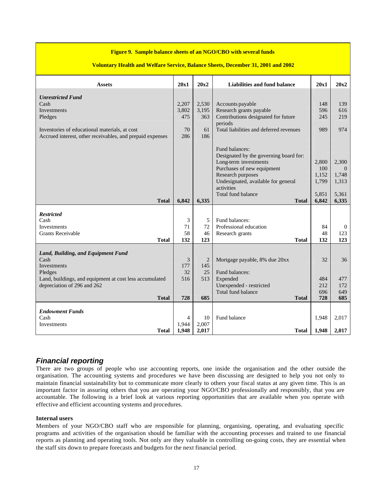### **Figure 9. Sample balance sheets of an NGO/CBO with several funds**

### **Voluntary Health and Welfare Service, Balance Sheets, December 31, 2001 and 2002**

| <b>Assets</b>                                             | 20x1  | 20x2  | Liabilities and fund balance                   | 20x1       | 20x2         |
|-----------------------------------------------------------|-------|-------|------------------------------------------------|------------|--------------|
|                                                           |       |       |                                                |            |              |
| <b>Unrestricted Fund</b>                                  |       |       |                                                |            |              |
| Cash                                                      | 2,207 | 2,530 | Accounts payable                               | 148        | 139          |
| Investments                                               | 3,802 | 3,195 | Research grants payable                        | 596        | 616          |
| Pledges                                                   | 475   | 363   | Contributions designated for future<br>periods | 245        | 219          |
| Inventories of educational materials, at cost             | 70    | 61    | Total liabilities and deferred revenues        | 989        | 974          |
| Accrued interest, other receivables, and prepaid expenses | 286   | 186   |                                                |            |              |
|                                                           |       |       |                                                |            |              |
|                                                           |       |       | Fund balances:                                 |            |              |
|                                                           |       |       | Designated by the governing board for:         |            |              |
|                                                           |       |       | Long-term investments                          | 2,800      | 2,300        |
|                                                           |       |       | Purchases of new equipment                     | 100        | $\Omega$     |
|                                                           |       |       | Research purposes                              | 1,152      | 1,748        |
|                                                           |       |       | Undesignated, available for general            | 1,799      | 1,313        |
|                                                           |       |       | activities                                     |            |              |
|                                                           |       |       | Total fund balance                             | 5,851      | 5,361        |
| <b>Total</b>                                              | 6,842 | 6,335 | <b>Total</b>                                   | 6,842      | 6,335        |
| <b>Restricted</b>                                         |       |       |                                                |            |              |
| Cash                                                      | 3     | 5     | Fund balances:                                 |            |              |
| Investments                                               | 71    | 72    | Professional education                         | 84         | $\mathbf{0}$ |
| <b>Grants Receivable</b>                                  | 58    | 46    | Research grants                                | 48         | 123          |
| <b>Total</b>                                              | 132   | 123   | <b>Total</b>                                   | 132        | 123          |
|                                                           |       |       |                                                |            |              |
| Land, Building, and Equipment Fund                        |       |       |                                                |            |              |
| Cash                                                      | 3     | 2     | Mortgage payable, 8% due 20xx                  | 32         | 36           |
| Investments                                               | 177   | 145   |                                                |            |              |
| Pledges                                                   | 32    | 25    | Fund balances:                                 |            |              |
| Land, buildings, and equipment at cost less accumulated   | 516   | 513   | Expended                                       | 484        | 477          |
| depreciation of 296 and 262                               |       |       | Unexpended - restricted                        | 212        | 172          |
| <b>Total</b>                                              | 728   | 685   | Total fund balance<br><b>Total</b>             | 696<br>728 | 649<br>685   |
|                                                           |       |       |                                                |            |              |
| <b>Endowment Funds</b>                                    |       |       |                                                |            |              |
| Cash                                                      | 4     | 10    | Fund balance                                   | 1,948      | 2,017        |
| Investments                                               | 1.944 | 2,007 |                                                |            |              |
| <b>Total</b>                                              | 1,948 | 2,017 | <b>Total</b>                                   | 1,948      | 2,017        |

# *Financial reporting*

There are two groups of people who use accounting reports, one inside the organisation and the other outside the organisation. The accounting systems and procedures we have been discussing are designed to help you not only to maintain financial sustainability but to communicate more clearly to others your fiscal status at any given time. This is an important factor in assuring others that you are operating your NGO/CBO professionally and responsibly, that you are accountable. The following is a brief look at various reporting opportunities that are available when you operate with effective and efficient accounting systems and procedures.

### **Internal users**

Members of your NGO/CBO staff who are responsible for planning, organising, operating, and evaluating specific programs and activities of the organisation should be familiar with the accounting processes and trained to use financial reports as planning and operating tools. Not only are they valuable in controlling on-going costs, they are essential when the staff sits down to prepare forecasts and budgets for the next financial period.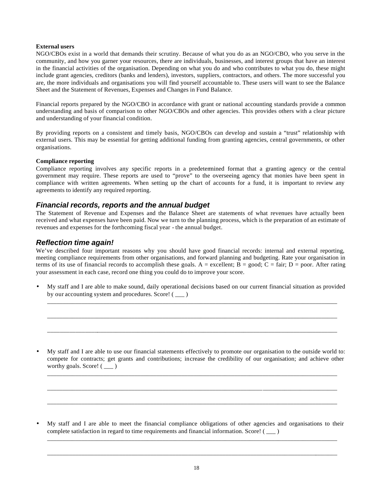### **External users**

NGO/CBOs exist in a world that demands their scrutiny. Because of what you do as an NGO/CBO, who you serve in the community, and how you garner your resources, there are individuals, businesses, and interest groups that have an interest in the financial activities of the organisation. Depending on what you do and who contributes to what you do, these might include grant agencies, creditors (banks and lenders), investors, suppliers, contractors, and others. The more successful you are, the more individuals and organisations you will find yourself accountable to. These users will want to see the Balance Sheet and the Statement of Revenues, Expenses and Changes in Fund Balance.

Financial reports prepared by the NGO/CBO in accordance with grant or national accounting standards provide a common understanding and basis of comparison to other NGO/CBOs and other agencies. This provides others with a clear picture and understanding of your financial condition.

By providing reports on a consistent and timely basis, NGO/CBOs can develop and sustain a "trust" relationship with external users. This may be essential for getting additional funding from granting agencies, central governments, or other organisations.

### **Compliance reporting**

Compliance reporting involves any specific reports in a predetermined format that a granting agency or the central government may require. These reports are used to "prove" to the overseeing agency that monies have been spent in compliance with written agreements. When setting up the chart of accounts for a fund, it is important to review any agreements to identify any required reporting.

### *Financial records, reports and the annual budget*

The Statement of Revenue and Expenses and the Balance Sheet are statements of what revenues have actually been received and what expenses have been paid. Now we turn to the planning process, which is the preparation of an estimate of revenues and expenses for the forthcoming fiscal year - the annual budget.

### *Reflection time again!*

We've described four important reasons why you should have good financial records: internal and external reporting, meeting compliance requirements from other organisations, and forward planning and budgeting. Rate your organisation in terms of its use of financial records to accomplish these goals. A = excellent; B = good; C = fair; D = poor. After rating your assessment in each case, record one thing you could do to improve your score.

• My staff and I are able to make sound, daily operational decisions based on our current financial situation as provided by our accounting system and procedures. Score! () \_\_\_\_\_\_\_\_\_\_\_\_\_\_\_\_\_\_\_\_\_\_\_\_\_\_\_\_\_\_\_\_\_\_\_\_\_\_\_\_\_\_\_\_\_\_\_\_\_\_\_\_\_\_\_\_\_\_\_\_\_\_\_\_\_\_\_\_\_\_\_\_\_\_\_\_\_\_\_\_\_\_\_\_\_\_\_\_\_\_\_\_\_

\_\_\_\_\_\_\_\_\_\_\_\_\_\_\_\_\_\_\_\_\_\_\_\_\_\_\_\_\_\_\_\_\_\_\_\_\_\_\_\_\_\_\_\_\_\_\_\_\_\_\_\_\_\_\_\_\_\_\_\_\_\_\_\_\_\_\_\_\_\_\_\_\_\_\_\_\_\_\_\_\_\_\_\_\_\_\_\_\_\_\_\_\_

\_\_\_\_\_\_\_\_\_\_\_\_\_\_\_\_\_\_\_\_\_\_\_\_\_\_\_\_\_\_\_\_\_\_\_\_\_\_\_\_\_\_\_\_\_\_\_\_\_\_\_\_\_\_\_\_\_\_\_\_\_\_\_\_\_\_\_\_\_\_\_\_\_\_\_\_\_\_\_\_\_\_\_\_\_\_\_\_\_\_\_\_\_

• My staff and I are able to use our financial statements effectively to promote our organisation to the outside world to: compete for contracts; get grants and contributions; increase the credibility of our organisation; and achieve other worthy goals. Score! ( \_\_\_ )

\_\_\_\_\_\_\_\_\_\_\_\_\_\_\_\_\_\_\_\_\_\_\_\_\_\_\_\_\_\_\_\_\_\_\_\_\_\_\_\_\_\_\_\_\_\_\_\_\_\_\_\_\_\_\_\_\_\_\_\_\_\_\_\_\_\_\_\_\_\_\_\_\_\_\_\_\_\_\_\_\_\_\_\_\_\_\_\_\_\_\_\_\_

\_\_\_\_\_\_\_\_\_\_\_\_\_\_\_\_\_\_\_\_\_\_\_\_\_\_\_\_\_\_\_\_\_\_\_\_\_\_\_\_\_\_\_\_\_\_\_\_\_\_\_\_\_\_\_\_\_\_\_\_\_\_\_\_\_\_\_\_\_\_\_\_\_\_\_\_\_\_\_\_\_\_\_\_\_\_\_\_\_\_\_\_\_

\_\_\_\_\_\_\_\_\_\_\_\_\_\_\_\_\_\_\_\_\_\_\_\_\_\_\_\_\_\_\_\_\_\_\_\_\_\_\_\_\_\_\_\_\_\_\_\_\_\_\_\_\_\_\_\_\_\_\_\_\_\_\_\_\_\_\_\_\_\_\_\_\_\_\_\_\_\_\_\_\_\_\_\_\_\_\_\_\_\_\_\_\_

• My staff and I are able to meet the financial compliance obligations of other agencies and organisations to their complete satisfaction in regard to time requirements and financial information. Score! ( \_\_\_ ) \_\_\_\_\_\_\_\_\_\_\_\_\_\_\_\_\_\_\_\_\_\_\_\_\_\_\_\_\_\_\_\_\_\_\_\_\_\_\_\_\_\_\_\_\_\_\_\_\_\_\_\_\_\_\_\_\_\_\_\_\_\_\_\_\_\_\_\_\_\_\_\_\_\_\_\_\_\_\_\_\_\_\_\_\_\_\_\_\_\_\_\_\_

\_\_\_\_\_\_\_\_\_\_\_\_\_\_\_\_\_\_\_\_\_\_\_\_\_\_\_\_\_\_\_\_\_\_\_\_\_\_\_\_\_\_\_\_\_\_\_\_\_\_\_\_\_\_\_\_\_\_\_\_\_\_\_\_\_\_\_\_\_\_\_\_\_\_\_\_\_\_\_\_\_\_\_\_\_\_\_\_\_\_\_\_\_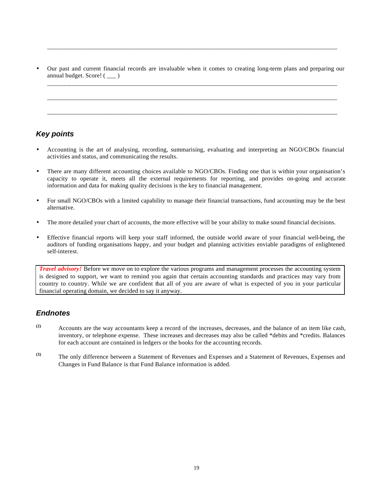• Our past and current financial records are invaluable when it comes to creating long-term plans and preparing our annual budget. Score! ( \_\_\_ ) \_\_\_\_\_\_\_\_\_\_\_\_\_\_\_\_\_\_\_\_\_\_\_\_\_\_\_\_\_\_\_\_\_\_\_\_\_\_\_\_\_\_\_\_\_\_\_\_\_\_\_\_\_\_\_\_\_\_\_\_\_\_\_\_\_\_\_\_\_\_\_\_\_\_\_\_\_\_\_\_\_\_\_\_\_\_\_\_\_\_\_\_\_

\_\_\_\_\_\_\_\_\_\_\_\_\_\_\_\_\_\_\_\_\_\_\_\_\_\_\_\_\_\_\_\_\_\_\_\_\_\_\_\_\_\_\_\_\_\_\_\_\_\_\_\_\_\_\_\_\_\_\_\_\_\_\_\_\_\_\_\_\_\_\_\_\_\_\_\_\_\_\_\_\_\_\_\_\_\_\_\_\_\_\_\_\_

\_\_\_\_\_\_\_\_\_\_\_\_\_\_\_\_\_\_\_\_\_\_\_\_\_\_\_\_\_\_\_\_\_\_\_\_\_\_\_\_\_\_\_\_\_\_\_\_\_\_\_\_\_\_\_\_\_\_\_\_\_\_\_\_\_\_\_\_\_\_\_\_\_\_\_\_\_\_\_\_\_\_\_\_\_\_\_\_\_\_\_\_\_

\_\_\_\_\_\_\_\_\_\_\_\_\_\_\_\_\_\_\_\_\_\_\_\_\_\_\_\_\_\_\_\_\_\_\_\_\_\_\_\_\_\_\_\_\_\_\_\_\_\_\_\_\_\_\_\_\_\_\_\_\_\_\_\_\_\_\_\_\_\_\_\_\_\_\_\_\_\_\_\_\_\_\_\_\_\_\_\_\_\_\_\_\_

# *Key points*

- Accounting is the art of analysing, recording, summarising, evaluating and interpreting an NGO/CBOs financial activities and status, and communicating the results.
- There are many different accounting choices available to NGO/CBOs. Finding one that is within your organisation's capacity to operate it, meets all the external requirements for reporting, and provides on-going and accurate information and data for making quality decisions is the key to financial management.
- For small NGO/CBOs with a limited capability to manage their financial transactions, fund accounting may be the best alternative.
- The more detailed your chart of accounts, the more effective will be your ability to make sound financial decisions.
- Effective financial reports will keep your staff informed, the outside world aware of your financial well-being, the auditors of funding organisations happy, and your budget and planning activities enviable paradigms of enlightened self-interest.

*Travel advisory!* Before we move on to explore the various programs and management processes the accounting system is designed to support, we want to remind you again that certain accounting standards and practices may vary from country to country. While we are confident that all of you are aware of what is expected of you in your particular financial operating domain, we decided to say it anyway.

# *Endnotes*

- **(2)** Accounts are the way accountants keep a record of the increases, decreases, and the balance of an item like cash, inventory, or telephone expense. These increases and decreases may also be called \*debits and \*credits. Balances for each account are contained in ledgers or the books for the accounting records.
- **(3)** The only difference between a Statement of Revenues and Expenses and a Statement of Revenues, Expenses and Changes in Fund Balance is that Fund Balance information is added.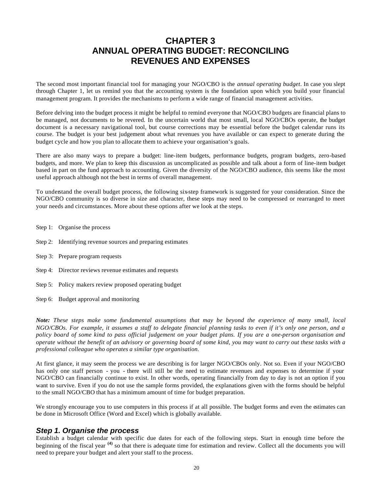# **CHAPTER 3 ANNUAL OPERATING BUDGET: RECONCILING REVENUES AND EXPENSES**

The second most important financial tool for managing your NGO/CBO is the *annual operating budget*. In case you slept through Chapter 1, let us remind you that the accounting system is the foundation upon which you build your financial management program. It provides the mechanisms to perform a wide range of financial management activities.

Before delving into the budget process it might be helpful to remind everyone that NGO/CBO budgets are financial plans to be managed, not documents to be revered. In the uncertain world that most small, local NGO/CBOs operate, the budget document is a necessary navigational tool, but course corrections may be essential before the budget calendar runs its course. The budget is your best judgement about what revenues you have available or can expect to generate during the budget cycle and how you plan to allocate them to achieve your organisation's goals.

There are also many ways to prepare a budget: line-item budgets, performance budgets, program budgets, zero-based budgets, and more. We plan to keep this discussion as uncomplicated as possible and talk about a form of line-item budget based in part on the fund approach to accounting. Given the diversity of the NGO/CBO audience, this seems like the most useful approach although not the best in terms of overall management.

To understand the overall budget process, the following six-step framework is suggested for your consideration. Since the NGO/CBO community is so diverse in size and character, these steps may need to be compressed or rearranged to meet your needs and circumstances. More about these options after we look at the steps.

- Step 1: Organise the process
- Step 2: Identifying revenue sources and preparing estimates
- Step 3: Prepare program requests
- Step 4: Director reviews revenue estimates and requests
- Step 5: Policy makers review proposed operating budget
- Step 6: Budget approval and monitoring

*Note: These steps make some fundamental assumptions that may be beyond the experience of many small, local NGO/CBOs. For example, it assumes a staff to delegate financial planning tasks to even if it's only one person, and a policy board of some kind to pass official judgement on your budget plans. If you are a one-person organisation and operate without the benefit of an advisory or governing board of some kind, you may want to carry out these tasks with a professional colleague who operates a similar type organisation.*

At first glance, it may seem the process we are describing is for larger NGO/CBOs only. Not so. Even if your NGO/CBO has only one staff person - you - there will still be the need to estimate revenues and expenses to determine if your NGO/CBO can financially continue to exist. In other words, operating financially from day to day is not an option if you want to survive. Even if you do not use the sample forms provided, the explanations given with the forms should be helpful to the small NGO/CBO that has a minimum amount of time for budget preparation.

We strongly encourage you to use computers in this process if at all possible. The budget forms and even the estimates can be done in Microsoft Office (Word and Excel) which is globally available.

# *Step 1. Organise the process*

Establish a budget calendar with specific due dates for each of the following steps. Start in enough time before the beginning of the fiscal year **(4)** so that there is adequate time for estimation and review. Collect all the documents you will need to prepare your budget and alert your staff to the process.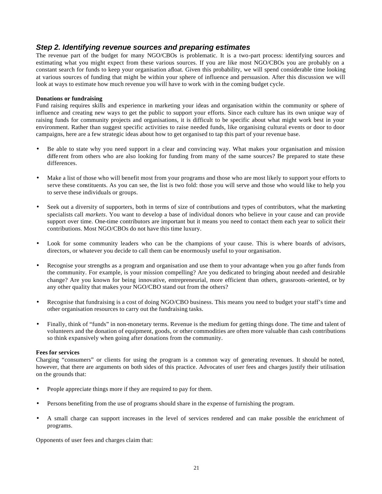# *Step 2. Identifying revenue sources and preparing estimates*

The revenue part of the budget for many NGO/CBOs is problematic. It is a two-part process: identifying sources and estimating what you might expect from these various sources. If you are like most NGO/CBOs you are probably on a constant search for funds to keep your organisation afloat. Given this probability, we will spend considerable time looking at various sources of funding that might be within your sphere of influence and persuasion. After this discussion we will look at ways to estimate how much revenue you will have to work with in the coming budget cycle.

### **Donations or fundraising**

Fund raising requires skills and experience in marketing your ideas and organisation within the community or sphere of influence and creating new ways to get the public to support your efforts. Since each culture has its own unique way of raising funds for community projects and organisations, it is difficult to be specific about what might work best in your environment. Rather than suggest specific activities to raise needed funds, like organising cultural events or door to door campaigns, here are a few strategic ideas about how to get organised to tap this part of your revenue base.

- Be able to state why you need support in a clear and convincing way. What makes your organisation and mission diffe rent from others who are also looking for funding from many of the same sources? Be prepared to state these differences.
- Make a list of those who will benefit most from your programs and those who are most likely to support your efforts to serve these constituents. As you can see, the list is two fold: those you will serve and those who would like to help you to serve these individuals or groups.
- Seek out a diversity of supporters, both in terms of size of contributions and types of contributors, what the marketing specialists call *markets*. You want to develop a base of individual donors who believe in your cause and can provide support over time. One-time contributors are important but it means you need to contact them each year to solicit their contributions. Most NGO/CBOs do not have this time luxury.
- Look for some community leaders who can be the champions of your cause. This is where boards of advisors, directors, or whatever you decide to call them can be enormously useful to your organisation.
- Recognise your strengths as a program and organisation and use them to your advantage when you go after funds from the community. For example, is your mission compelling? Are you dedicated to bringing about needed and desirable change? Are you known for being innovative, entrepreneurial, more efficient than others, grassroots-oriented, or by any other quality that makes your NGO/CBO stand out from the others?
- Recognise that fundraising is a cost of doing NGO/CBO business. This means you need to budget your staff's time and other organisation resources to carry out the fundraising tasks.
- Finally, think of "funds" in non-monetary terms. Revenue is the medium for getting things done. The time and talent of volunteers and the donation of equipment, goods, or other commodities are often more valuable than cash contributions so think expansively when going after donations from the community.

### **Fees for services**

Charging "consumers" or clients for using the program is a common way of generating revenues. It should be noted, however, that there are arguments on both sides of this practice. Advocates of user fees and charges justify their utilisation on the grounds that:

- People appreciate things more if they are required to pay for them.
- Persons benefiting from the use of programs should share in the expense of furnishing the program.
- A small charge can support increases in the level of services rendered and can make possible the enrichment of programs.

Opponents of user fees and charges claim that: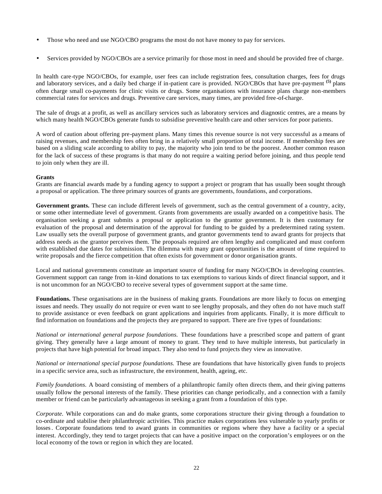- Those who need and use NGO/CBO programs the most do not have money to pay for services.
- Services provided by NGO/CBOs are a service primarily for those most in need and should be provided free of charge.

In health care-type NGO/CBOs, for example, user fees can include registration fees, consultation charges, fees for drugs and laboratory services, and a daily bed charge if in-patient care is provided. NGO/CBOs that have pre-payment **(5)** plans often charge small co-payments for clinic visits or drugs. Some organisations with insurance plans charge non-members commercial rates for services and drugs. Preventive care services, many times, are provided free-of-charge.

The sale of drugs at a profit, as well as ancillary services such as laboratory services and diagnostic centres, are a means by which many health NGO/CBOs generate funds to subsidise preventive health care and other services for poor patients.

A word of caution about offering pre-payment plans. Many times this revenue source is not very successful as a means of raising revenues, and membership fees often bring in a relatively small proportion of total income. If membership fees are based on a sliding scale according to ability to pay, the majority who join tend to be the poorest. Another common reason for the lack of success of these programs is that many do not require a waiting period before joining, and thus people tend to join only when they are ill.

### **Grants**

Grants are financial awards made by a funding agency to support a project or program that has usually been sought through a proposal or application. The three primary sources of grants are governments, foundations, and corporations.

Government grants. These can include different levels of government, such as the central government of a country, acity, or some other intermediate level of government. Grants from governments are usually awarded on a competitive basis. The organisation seeking a grant submits a proposal or application to the grantor government. It is then customary for evaluation of the proposal and determination of the approval for funding to be guided by a predetermined rating system. Law usually sets the overall purpose of government grants, and grantor governments tend to award grants for projects that address needs as the grantor perceives them. The proposals required are often lengthy and complicated and must conform with established due dates for submission. The dilemma with many grant opportunities is the amount of time required to write proposals and the fierce competition that often exists for government or donor organisation grants.

Local and national governments constitute an important source of funding for many NGO/CBOs in developing countries. Government support can range from in-kind donations to tax exemptions to various kinds of direct financial support, and it is not uncommon for an NGO/CBO to receive several types of government support at the same time.

**Foundations.** These organisations are in the business of making grants. Foundations are more likely to focus on emerging issues and needs. They usually do not require or even want to see lengthy proposals, and they often do not have much staff to provide assistance or even feedback on grant applications and inquiries from applicants. Finally, it is more difficult to find information on foundations and the projects they are prepared to support. There are five types of foundations:

*National or international general purpose foundations.* These foundations have a prescribed scope and pattern of grant giving. They generally have a large amount of money to grant. They tend to have multiple interests, but particularly in projects that have high potential for broad impact. They also tend to fund projects they view as innovative.

*National or international special purpose foundations.* These are foundations that have historically given funds to projects in a specific service area, such as infrastructure, the environment, health, ageing, etc.

*Family foundations.* A board consisting of members of a philanthropic family often directs them, and their giving patterns usually follow the personal interests of the family. These priorities can change periodically, and a connection with a family member or friend can be particularly advantageous in seeking a grant from a foundation of this type.

*Corporate.* While corporations can and do make grants, some corporations structure their giving through a foundation to co-ordinate and stabilise their philanthropic activities. This practice makes corporations less vulnerable to yearly profits or losses. Corporate foundations tend to award grants in communities or regions where they have a facility or a special interest. Accordingly, they tend to target projects that can have a positive impact on the corporation's employees or on the local economy of the town or region in which they are located.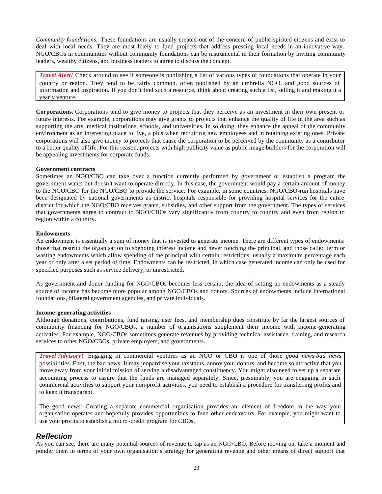*Community foundations.* These foundations are usually created out of the concern of public-spirited citizens and exist to deal with local needs. They are most likely to fund projects that address pressing local needs in an innovative way. NGO/CBOs in communities without community foundations can be instrumental in their formation by inviting community leaders, wealthy citizens, and business leaders to agree to discuss the concept.

*Travel Alert!* Check around to see if someone is publishing a list of various types of foundations that operate in your country or region. They tend to be fairly common, often published by an umbrella NGO, and good sources of information and inspiration. If you don't find such a resource, think about creating such a list, selling it and making it a yearly venture.

**Corporations.** Corporations tend to give money to projects that they perceive as an investment in their own present or future interests. For example, corporations may give grants to projects that enhance the quality of life in the area such as supporting the arts, medical institutions, schools, and universities. In so doing, they enhance the appeal of the community environment as an interesting place to live, a plus when recruiting new employees and in retaining existing ones. Private corporations will also give money to projects that cause the corporation to be perceived by the community as a contributor to a better quality of life. For this reason, projects with high publicity value as public image builders for the corporation will be appealing investments for corporate funds.

### **Government contracts**

Sometimes an NGO/CBO can take over a function currently performed by government or establish a program the government wants but doesn't want to operate directly. In this case, the government would pay a certain amount of money to the NGO/CBO for the NGO/CBO to provide the service. For example, in some countries, NGO/CBO-run hospitals have been designated by national governments as district hospitals responsible for providing hospital services for the entire district for which the NGO/CBO receives grants, subsidies, and other support from the government. The types of services that governments agree to contract to NGO/CBOs vary significantly from country to country and even from region to region within a country.

### **Endowments**

An endowment is essentially a sum of money that is invested to generate income. There are different types of endowments: those that restrict the organisation to spending interest income and never touching the principal, and those called term or wasting endowments which allow spending of the principal with certain restrictions, usually a maximum percentage each year or only after a set period of time. Endowments can be restricted, in which case generated income can only be used for specified purposes such as service delivery, or unrestricted.

As government and donor funding for NGO/CBOs becomes less certain, the idea of setting up endowments as a steady source of income has become more popular among NGO/CBOs and donors. Sources of endowments include international foundations, bilateral government agencies, and private individuals.

### **Income -generating activities**

Although donations, contributions, fund raising, user fees, and membership dues constitute by far the largest sources of community financing for NGO/CBOs, a number of organisations supplement their income with income-generating activities. For example, NGO/CBOs sometimes generate revenues by providing technical assistance, training, and research services to other NGO/CBOs, private employers, and governments.

*Travel Advisory!* Engaging in commercial ventures as an NGO or CBO is one of those *good news-bad news* possibilities. First, the bad news: It may jeopardise your tax status, annoy your donors, and become so attractive that you move away from your initial mission of serving a disadvantaged constituency. You might also need to set up a separate accounting process to assure that the funds are managed separately. Since, presumably, you are engaging in such commercial activities to support your non-profit activities, you need to establish a procedure for transferring profits and to keep it transparent.

The good news: Creating a separate commercial organisation provides an element of freedom in the way your organisation operates and hopefully provides opportunities to fund other endeavours. For example, you might want to use your profits to establish a micro -credit program for CBOs.

# *Reflection*

As you can see, there are many potential sources of revenue to tap as an NGO/CBO. Before moving on, take a moment and ponder them in terms of your own organisation's strategy for generating revenue and other means of direct support that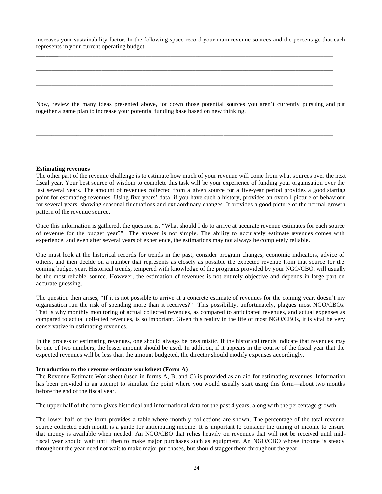increases your sustainability factor. In the following space record your main revenue sources and the percentage that each represents in your current operating budget.

**\_\_\_\_\_\_\_**\_\_\_\_\_\_\_\_\_\_\_\_\_\_\_\_\_\_\_\_\_\_\_\_\_\_\_\_\_\_\_\_\_\_\_\_\_\_\_\_\_\_\_\_\_\_\_\_\_\_\_\_\_\_\_\_\_\_\_\_\_\_\_\_\_\_\_\_\_\_\_\_\_\_\_\_\_\_\_\_\_\_\_\_\_\_\_\_

\_\_\_\_\_\_\_\_\_\_\_\_\_\_\_\_\_\_\_\_\_\_\_\_\_\_\_\_\_\_\_\_\_\_\_\_\_\_\_\_\_\_\_\_\_\_\_\_\_\_\_\_\_\_\_\_\_\_\_\_\_\_\_\_\_\_\_\_\_\_\_\_\_\_\_\_\_\_\_\_\_\_\_\_\_\_\_\_\_\_\_\_\_\_\_

\_\_\_\_\_\_\_\_\_\_\_\_\_\_\_\_\_\_\_\_\_\_\_\_\_\_\_\_\_\_\_\_\_\_\_\_\_\_\_\_\_\_\_\_\_\_\_\_\_\_\_\_\_\_\_\_\_\_\_\_\_\_\_\_\_\_\_\_\_\_\_\_\_\_\_\_\_\_\_\_\_\_\_\_\_\_\_\_\_\_\_\_\_\_\_

**\_\_\_\_\_\_\_**\_\_\_\_\_\_\_\_\_\_\_\_\_\_\_\_\_\_\_\_\_\_\_\_\_\_\_\_\_\_\_\_\_\_\_\_\_\_\_\_\_\_\_\_\_\_\_\_\_\_\_\_\_\_\_\_\_\_\_\_\_\_\_\_\_\_\_\_\_\_\_\_\_\_\_\_\_\_\_\_\_\_\_\_\_\_\_\_

\_\_\_\_\_\_\_\_\_\_\_\_\_\_\_\_\_\_\_\_\_\_\_\_\_\_\_\_\_\_\_\_\_\_\_\_\_\_\_\_\_\_\_\_\_\_\_\_\_\_\_\_\_\_\_\_\_\_\_\_\_\_\_\_\_\_\_\_\_\_\_\_\_\_\_\_\_\_\_\_\_\_\_\_\_\_\_\_\_\_\_\_\_\_\_

\_\_\_\_\_\_\_\_\_\_\_\_\_\_\_\_\_\_\_\_\_\_\_\_\_\_\_\_\_\_\_\_\_\_\_\_\_\_\_\_\_\_\_\_\_\_\_\_\_\_\_\_\_\_\_\_\_\_\_\_\_\_\_\_\_\_\_\_\_\_\_\_\_\_\_\_\_\_\_\_\_\_\_\_\_\_\_\_\_\_\_\_\_\_\_

Now, review the many ideas presented above, jot down those potential sources you aren't currently pursuing and put together a game plan to increase your potential funding base based on new thinking.

### **Estimating revenues**

The other part of the revenue challenge is to estimate how much of your revenue will come from what sources over the next fiscal year. Your best source of wisdom to complete this task will be your experience of funding your organisation over the last several years. The amount of revenues collected from a given source for a five-year period provides a good starting point for estimating revenues. Using five years' data, if you have such a history, provides an overall picture of behaviour for several years, showing seasonal fluctuations and extraordinary changes. It provides a good picture of the normal growth pattern of the revenue source.

Once this information is gathered, the question is, "What should I do to arrive at accurate revenue estimates for each source of revenue for the budget year?" The answer is not simple. The ability to accurately estimate revenues comes with experience, and even after several years of experience, the estimations may not always be completely reliable.

One must look at the historical records for trends in the past, consider program changes, economic indicators, advice of others, and then decide on a number that represents as closely as possible the expected revenue from that source for the coming budget year. Historical trends, tempered with knowledge of the programs provided by your NGO/CBO, will usually be the most reliable source. However, the estimation of revenues is not entirely objective and depends in large part on accurate guessing.

The question then arises, "If it is not possible to arrive at a concrete estimate of revenues for the coming year, doesn't my organisation run the risk of spending more than it receives?" This possibility, unfortunately, plagues most NGO/CBOs. That is why monthly monitoring of actual collected revenues, as compared to anticipated revenues, and actual expenses as compared to actual collected revenues, is so important. Given this reality in the life of most NGO/CBOs, it is vital be very conservative in estimating revenues.

In the process of estimating revenues, one should always be pessimistic. If the historical trends indicate that revenues may be one of two numbers, the lesser amount should be used. In addition, if it appears in the course of the fiscal year that the expected revenues will be less than the amount budgeted, the director should modify expenses accordingly.

#### **Introduction to the revenue estimate worksheet (Form A)**

The Revenue Estimate Worksheet (used in forms A, B, and C) is provided as an aid for estimating revenues. Information has been provided in an attempt to simulate the point where you would usually start using this form—about two months before the end of the fiscal year.

The upper half of the form gives historical and informational data for the past 4 years, along with the percentage growth.

The lower half of the form provides a table where monthly collections are shown. The percentage of the total revenue source collected each month is a guide for anticipating income. It is important to consider the timing of income to ensure that money is available when needed. An NGO/CBO that relies heavily on revenues that will not be received until midfiscal year should wait until then to make major purchases such as equipment. An NGO/CBO whose income is steady throughout the year need not wait to make major purchases, but should stagger them throughout the year.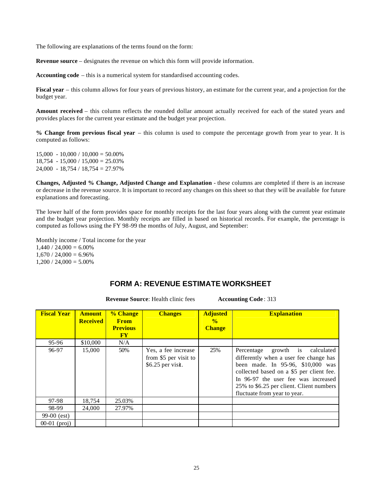The following are explanations of the terms found on the form:

**Revenue source** – designates the revenue on which this form will provide information.

**Accounting code** – this is a numerical system for standardised accounting codes.

**Fiscal year** – this column allows for four years of previous history, an estimate for the current year, and a projection for the budget year.

**Amount received** – this column reflects the rounded dollar amount actually received for each of the stated years and provides places for the current year estimate and the budget year projection.

**% Change from previous fiscal year** – this column is used to compute the percentage growth from year to year. It is computed as follows:

 $15,000 - 10,000 / 10,000 = 50.00\%$  $18,754 - 15,000 / 15,000 = 25.03\%$  $24,000 - 18,754 / 18,754 = 27.97\%$ 

**Changes, Adjusted % Change, Adjusted Change and Explanation** - these columns are completed if there is an increase or decrease in the revenue source. It is important to record any changes on this sheet so that they will be available for future explanations and forecasting.

The lower half of the form provides space for monthly receipts for the last four years along with the current year estimate and the budget year projection. Monthly receipts are filled in based on historical records. For example, the percentage is computed as follows using the FY 98-99 the months of July, August, and September:

Monthly income / Total income for the year  $1,440 / 24,000 = 6.00\%$  $1,670 / 24,000 = 6.96\%$  $1,200 / 24,000 = 5.00\%$ 

# **FORM A: REVENUE ESTIMATE WORKSHEET**

**Revenue Source:** Health clinic fees **Accounting Code**: 313

| <b>Fiscal Year</b> | <b>Amount</b><br><b>Received</b> | % Change<br><b>From</b><br><b>Previous</b><br><b>FY</b> | <b>Changes</b>                                                    | <b>Adjusted</b><br>$\frac{0}{0}$<br><b>Change</b> | <b>Explanation</b>                                                                                                                                                                                                                                                               |
|--------------------|----------------------------------|---------------------------------------------------------|-------------------------------------------------------------------|---------------------------------------------------|----------------------------------------------------------------------------------------------------------------------------------------------------------------------------------------------------------------------------------------------------------------------------------|
| 95-96              | \$10,000                         | N/A                                                     |                                                                   |                                                   |                                                                                                                                                                                                                                                                                  |
| 96-97              | 15,000                           | 50%                                                     | Yes, a fee increase<br>from \$5 per visit to<br>\$6.25 per visit. | 25%                                               | growth is calculated<br>Percentage<br>differently when a user fee change has<br>been made. In 95-96, \$10,000 was<br>collected based on a \$5 per client fee.<br>In 96-97 the user fee was increased<br>25% to \$6.25 per client. Client numbers<br>fluctuate from year to year. |
| 97-98              | 18,754                           | 25.03%                                                  |                                                                   |                                                   |                                                                                                                                                                                                                                                                                  |
| 98-99              | 24,000                           | 27.97%                                                  |                                                                   |                                                   |                                                                                                                                                                                                                                                                                  |
| $99-00$ (est)      |                                  |                                                         |                                                                   |                                                   |                                                                                                                                                                                                                                                                                  |
| $00-01$ (proj)     |                                  |                                                         |                                                                   |                                                   |                                                                                                                                                                                                                                                                                  |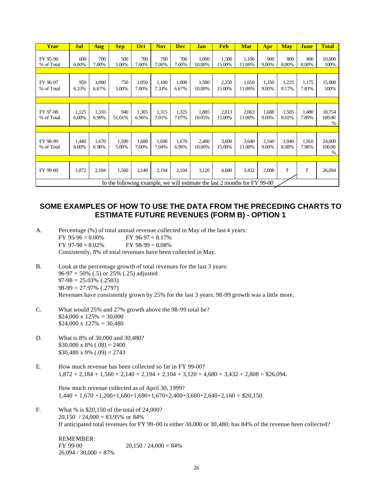| Year                   | Jul            | <b>Aug</b>     | <b>Sep</b>                                                                | Oct            | <b>Nov</b>     | <b>Dec</b>     | <b>Jan</b>      | <b>Feb</b>      | <b>Mar</b>      | Apr            | <b>May</b>     | <b>June</b>    | <b>Total</b>          |
|------------------------|----------------|----------------|---------------------------------------------------------------------------|----------------|----------------|----------------|-----------------|-----------------|-----------------|----------------|----------------|----------------|-----------------------|
| FY 95-96<br>% of Total | 600<br>6.00%   | 700<br>7.00%   | 500<br>5.00%                                                              | 700<br>7.00%   | 700<br>7.00%   | 700<br>7.00%   | 1,000<br>10.00% | 1,500<br>15.00% | 1,100<br>11.00% | 900<br>9.00%   | 800<br>8.00%   | 800<br>8.00%   | 10,000<br>100%        |
| FY 96-97<br>% of Total | 950<br>6.33%   | 1,000<br>6.67% | 750<br>5.00%                                                              | 1,050<br>7.00% | 1,100<br>7.33% | 1,000<br>6.67% | 1,500<br>10.00% | 2,250<br>15.00% | 1,650<br>11.00% | 1,350<br>9.00% | 1,225<br>8.17% | 1,175<br>7.83% | 15,000<br>100%        |
|                        |                |                |                                                                           |                |                |                |                 |                 |                 |                |                |                |                       |
| FY 97-98<br>% of Total | 1,125<br>6.00% | 1,310<br>6.99% | 940<br>51.01%                                                             | 1,305<br>6.96% | 1,315<br>7.01% | 1,325<br>7.07% | 1,885<br>10.05% | 2,813<br>15.00% | 2,063<br>11.00% | 1,688<br>9.00% | 1,505<br>8.02% | 1,480<br>7.89% | 18,754<br>100.00<br>% |
|                        |                |                |                                                                           |                |                |                |                 |                 |                 |                |                |                |                       |
| FY 98-99<br>% of Total | 1,440<br>6.00% | 1,670<br>6.96% | 1,200<br>5.00%                                                            | 1,680<br>7.00% | 1,690<br>7.04% | 1,670<br>6.96% | 2,400<br>10.00% | 3,600<br>15.00% | 2,640<br>11.00% | 2,160<br>9.00% | 1,940<br>8.08% | 1,910<br>7.96% | 24,000<br>100.00<br>% |
|                        |                |                |                                                                           |                |                |                |                 |                 |                 |                |                |                |                       |
| FY 99-00               | 1,872          | 2,184          | 1,560                                                                     | 2,140          | 2,194          | 2,104          | 3,120           | 4,680           | 3,432           | 2,808          | $\ddot{?}$     | $\ddot{?}$     | 26,094                |
|                        |                |                | In the following example, we will estimate the last 2 months for FY 99-00 |                |                |                |                 |                 |                 |                |                |                |                       |

# **SOME EXAMPLES OF HOW TO USE THE DATA FROM THE PRECEDING CHARTS TO ESTIMATE FUTURE REVENUES (FORM B) - OPTION 1**

| A. |                    | Percentage (%) of total annual revenue collected in May of the last 4 years: |
|----|--------------------|------------------------------------------------------------------------------|
|    | $FY$ 95-96 = 8.00% | $FY$ 96-97 = 8.17%                                                           |
|    | $FY$ 97-98 = 8.02% | $FY$ 98-99 = 8.08%                                                           |
|    |                    | Consistently, 8% of total revenues have been collected in May.               |

- B. Look at the percentage growth of total revenues for the last 3 years:  $96-97 = 50\%$  (.5) or 25% (.25) adjusted  $97-98 = 25.03\%$  (.2503)  $98-99 = 27.97\%$  (.2797) Revenues have consistently grown by 25% for the last 3 years. 98-99 growth was a little more.
- C. What would 25% and 27% growth above the 98-99 total be?  $$24,000 \times 125\% = 30,000$  $$24,000 \times 127\% = 30,480$
- D. What is 8% of 30,000 and 30,480?  $$30,000 \times 8\%$  (.08) = 2400  $$30,480 \times 9\%$  (.09) = 2743
- E. How much revenue has been collected so far in FY 99-00?  $1,872 + 2,184 + 1,560 + 2,140 + 2,194 + 2,104 + 3,120 + 4,680 + 3,432 + 2,808 = $26,094$ .

How much revenue collected as of April 30, 1999?  $1,440 + 1,670 + 1,200 + 1,680 + 1,690 + 1,670 + 2,400 + 3,600 + 2,640 + 2,160 = $20,150$ .

F. What % is \$20,150 of the total of 24,000?  $20,150 / 24,000 = 83.95\%$  or 84% If anticipated total revenues for FY 99-00 is either 30,000 or 30,480; has 84% of the revenue been collected?

REMEMBER: FY 99-00 20,150 / 24,000 =  $84\%$  $26,094 / 30,000 = 87\%$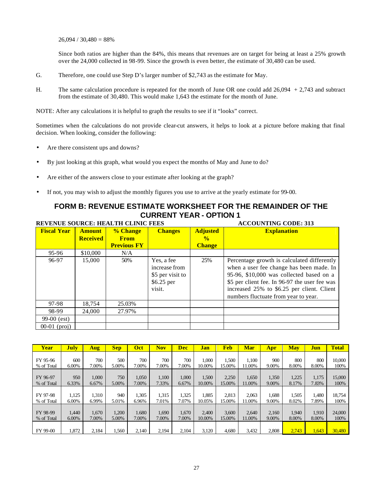$26,094 / 30,480 = 88%$ 

Since both ratios are higher than the 84%, this means that revenues are on target for being at least a 25% growth over the 24,000 collected in 98-99. Since the growth is even better, the estimate of 30,480 can be used.

- G. Therefore, one could use Step D's larger number of \$2,743 as the estimate for May.
- H. The same calculation procedure is repeated for the month of June OR one could add 26,094 + 2,743 and subtract from the estimate of 30,480. This would make 1,643 the estimate for the month of June.

NOTE: After any calculations it is helpful to graph the results to see if it "looks" correct.

Sometimes when the calculations do not provide clear-cut answers, it helps to look at a picture before making that final decision. When looking, consider the following:

- Are there consistent ups and downs?
- By just looking at this graph, what would you expect the months of May and June to do?
- Are either of the answers close to your estimate after looking at the graph?
- If not, you may wish to adjust the monthly figures you use to arrive at the yearly estimate for 99-00.

### **FORM B: REVENUE ESTIMATE WORKSHEET FOR THE REMAINDER OF THE CURRENT YEAR - OPTION 1 REVENUE SOURCE: HEALTH CLINIC FEES ACCOUNTING CODE: 313**

|                    |                 | REVENUE SOURCE: HEALTH CLINIC FEES |                                                                          | ACCOUNTING CODE: 313 |                                                                                                                                                                                                                                                                            |  |  |
|--------------------|-----------------|------------------------------------|--------------------------------------------------------------------------|----------------------|----------------------------------------------------------------------------------------------------------------------------------------------------------------------------------------------------------------------------------------------------------------------------|--|--|
| <b>Fiscal Year</b> | <b>Amount</b>   | % Change                           | <b>Changes</b>                                                           | <b>Adjusted</b>      | <b>Explanation</b>                                                                                                                                                                                                                                                         |  |  |
|                    | <b>Received</b> | <b>From</b>                        |                                                                          | $\frac{0}{2}$        |                                                                                                                                                                                                                                                                            |  |  |
|                    |                 | <b>Previous FY</b>                 |                                                                          | <b>Change</b>        |                                                                                                                                                                                                                                                                            |  |  |
| 95-96              | \$10,000        | N/A                                |                                                                          |                      |                                                                                                                                                                                                                                                                            |  |  |
| 96-97              | 15,000          | 50%                                | Yes, a fee<br>increase from<br>\$5 per visit to<br>$$6.25$ per<br>visit. | 25%                  | Percentage growth is calculated differently<br>when a user fee change has been made. In<br>95-96, \$10,000 was collected based on a<br>\$5 per client fee. In 96-97 the user fee was<br>increased 25% to \$6.25 per client. Client<br>numbers fluctuate from year to year. |  |  |
| 97-98              | 18,754          | 25.03%                             |                                                                          |                      |                                                                                                                                                                                                                                                                            |  |  |
| 98-99              | 24,000          | 27.97%                             |                                                                          |                      |                                                                                                                                                                                                                                                                            |  |  |
| $99-00$ (est)      |                 |                                    |                                                                          |                      |                                                                                                                                                                                                                                                                            |  |  |
| $00-01$ (proj)     |                 |                                    |                                                                          |                      |                                                                                                                                                                                                                                                                            |  |  |

| <b>Year</b> | <b>July</b> | <b>Aug</b> | <b>Sep</b> | Oct   | <b>Nov</b> | Dec   | Jan    | <b>Feb</b> | <b>Mar</b> | Apr   | May   | Jun   | <b>Total</b> |
|-------------|-------------|------------|------------|-------|------------|-------|--------|------------|------------|-------|-------|-------|--------------|
|             |             |            |            |       |            |       |        |            |            |       |       |       |              |
| FY 95-96    | 600         | 700        | 500        | 700   | 700        | 700   | 1.000  | 1,500      | 1.100      | 900   | 800   | 800   | 10.000       |
| % of Total  | 6.00%       | 7.00%      | 5.00%      | 7.00% | 7.00%      | 7.00% | 10.00% | 15.00%     | 11.00%     | 9.00% | 8.00% | 8.00% | 100%         |
|             |             |            |            |       |            |       |        |            |            |       |       |       |              |
| FY 96-97    | 950         | 1.000      | 750        | 1,050 | 1.100      | 1,000 | 1,500  | 2,250      | 1,650      | 1,350 | 1,225 | 1.175 | 15,000       |
| % of Total  | 6.33%       | 6.67%      | 5.00%      | 7.00% | 7.33%      | 6.67% | 10.00% | 15.00%     | 11.00%     | 9.00% | 8.17% | 7.83% | 100%         |
|             |             |            |            |       |            |       |        |            |            |       |       |       |              |
| FY 97-98    | 1,125       | 1.310      | 940        | 1,305 | 1.315      | 1,325 | 1.885  | 2.813      | 2.063      | 1.688 | 1,505 | 1.480 | 18.754       |
| % of Total  | 6.00%       | 6.99%      | 5.01%      | 6.96% | 7.01%      | 7.07% | 10.05% | 15.00%     | 11.00%     | 9.00% | 8.02% | 7.89% | 100%         |
|             |             |            |            |       |            |       |        |            |            |       |       |       |              |
| FY 98-99    | 1.440       | 1.670      | 1.200      | 1.680 | 1,690      | 1,670 | 2.400  | 3,600      | 2,640      | 2,160 | 1.940 | 1.910 | 24,000       |
| % of Total  | 6.00%       | 7.00%      | 5.00%      | 7.00% | 7.00%      | 7.00% | 10.00% | 15.00%     | 11.00%     | 9.00% | 8.00% | 8.00% | 100%         |
|             |             |            |            |       |            |       |        |            |            |       |       |       |              |
| FY 99-00    | 1,872       | 2.184      | .560       | 2,140 | 2,194      | 2.104 | 3.120  | 4.680      | 3,432      | 2,808 | 2,743 | 1,643 | 30,480       |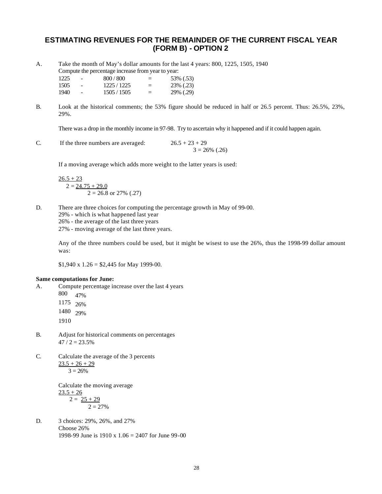# **ESTIMATING REVENUES FOR THE REMAINDER OF THE CURRENT FISCAL YEAR (FORM B) - OPTION 2**

A. Take the month of May's dollar amounts for the last 4 years: 800, 1225, 1505, 1940 Compute the percentage increase from year to year:

 $1225 - 800 / 800 = 53\% (0.53)$  $1505 - 1225 / 1225 = 23\% (0.23)$  $1940$  -  $1505 / 1505$  =  $29\% (0.29)$ 

B. Look at the historical comments; the 53% figure should be reduced in half or 26.5 percent. Thus: 26.5%, 23%, 29%.

There was a drop in the monthly income in 97-98. Try to ascertain why it happened and if it could happen again.

C. If the three numbers are averaged:  $26.5 + 23 + 29$  $3 = 26\%$  (.26)

If a moving average which adds more weight to the latter years is used:

$$
\frac{26.5 + 23}{2 = \underline{24.75 + 29.0}}
$$
  
2 = 26.8 or 27% (.27)

- D. There are three choices for computing the percentage growth in May of 99-00.
	- 29% which is what happened last year
	- 26% the average of the last three years
	- 27% moving average of the last three years.

Any of the three numbers could be used, but it might be wisest to use the 26%, thus the 1998-99 dollar amount was:

 $$1,940 \text{ x } 1.26 = $2,445 \text{ for May } 1999-00.$ 

### **Same computations for June:**

- A. Compute percentage increase over the last 4 years
	- 800 47% 1175 26%
	- 1480 29%
	-
	- 1910
- B. Adjust for historical comments on percentages  $47 / 2 = 23.5%$
- C. Calculate the average of the 3 percents  $23.5 + 26 + 29$

 $3 = 26%$ 

Calculate the moving average  $23.5 + 26$  $2 = 25 + 29$  $2 = 27%$ 

D. 3 choices: 29%, 26%, and 27% Choose 26% 1998-99 June is  $1910 \times 1.06 = 2407$  for June 99-00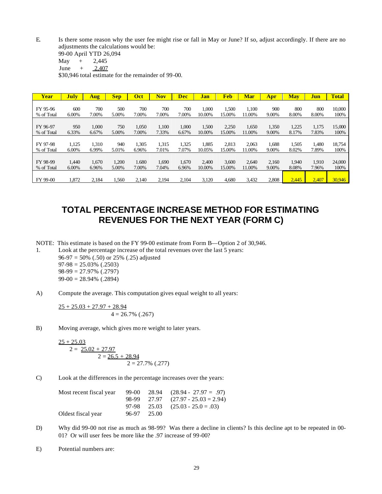E. Is there some reason why the user fee might rise or fall in May or June? If so, adjust accordingly. If there are no adjustments the calculations would be:

\$30,946 total estimate for the remainder of 99-00.

| Year       | <b>July</b> | Aug   | <b>Sep</b> | Oct   | <b>Nov</b> | Dec   | <b>Jan</b> | <b>Feb</b> | <b>Mar</b> | Apr   | <b>May</b> | <b>Jun</b> | <b>Total</b> |
|------------|-------------|-------|------------|-------|------------|-------|------------|------------|------------|-------|------------|------------|--------------|
|            |             |       |            |       |            |       |            |            |            |       |            |            |              |
| FY 95-96   | 600         | 700   | 500        | 700   | 700        | 700   | 1,000      | 1,500      | 1,100      | 900   | 800        | 800        | 10.000       |
| % of Total | 6.00%       | 7.00% | 5.00%      | 7.00% | 7.00%      | 7.00% | 10.00%     | 15.00%     | 11.00%     | 9.00% | 8.00%      | 8.00%      | 100%         |
|            |             |       |            |       |            |       |            |            |            |       |            |            |              |
| FY 96-97   | 950         | 1,000 | 750        | 1,050 | 1,100      | 1.000 | 1,500      | 2,250      | 1,650      | 1,350 | 1,225      | 1,175      | 15,000       |
| % of Total | 6.33%       | 6.67% | 5.00%      | 7.00% | 7.33%      | 6.67% | 10.00%     | 15.00%     | 11.00%     | 9.00% | 8.17%      | 7.83%      | 100%         |
|            |             |       |            |       |            |       |            |            |            |       |            |            |              |
| FY 97-98   | 1,125       | 1.310 | 940        | 1,305 | 1,315      | 1.325 | 1,885      | 2.813      | 2.063      | 1.688 | 1.505      | 1.480      | 18.754       |
| % of Total | 6.00%       | 6.99% | 5.01%      | 6.96% | 7.01%      | 7.07% | 10.05%     | 15.00%     | 11.00%     | 9.00% | 8.02%      | 7.89%      | 100%         |
|            |             |       |            |       |            |       |            |            |            |       |            |            |              |
| FY 98-99   | 1.440       | 1.670 | 1.200      | 1.680 | 1.690      | 1.670 | 2.400      | 3.600      | 2,640      | 2.160 | 1.940      | 1.910      | 24,000       |
| % of Total | 6.00%       | 6.96% | 5.00%      | 7.00% | 7.04%      | 6.96% | 10.00%     | 15.00%     | 11.00%     | 9.00% | 8.08%      | 7.96%      | 100%         |
|            |             |       |            |       |            |       |            |            |            |       |            |            |              |
| FY 99-00   | 1,872       | 2,184 | 1,560      | 2,140 | 2,194      | 2.104 | 3,120      | 4,680      | 3,432      | 2,808 | 2,445      | 2,407      | 30,946       |

# **TOTAL PERCENTAGE INCREASE METHOD FOR ESTIMATING REVENUES FOR THE NEXT YEAR (FORM C)**

NOTE: This estimate is based on the FY 99-00 estimate from Form B—Option 2 of 30,946.

1. Look at the percentage increase of the total revenues over the last 5 years: 96-97 = 50% (.50) or 25% (.25) adjusted  $97-98 = 25.03\%$  (.2503)  $98-99 = 27.97\%$  (.2797) 99-00 = 28.94% (.2894)

A) Compute the average. This computation gives equal weight to all years:

$$
\frac{25 + 25.03 + 27.97 + 28.94}{4 = 26.7\% (0.267)}
$$

B) Moving average, which gives mo re weight to later years.

 $25 + 25.03$  $2 = 25.02 + 27.97$  $2 = 26.5 + 28.94$  $2 = 27.7\%$  (.277)

C) Look at the differences in the percentage increases over the years:

| Most recent fiscal year |             | $99-00$ $28.94$ $(28.94 - 27.97 = .97)$  |
|-------------------------|-------------|------------------------------------------|
|                         |             | $98-99$ $27.97$ $(27.97 - 25.03 = 2.94)$ |
|                         |             | $97-98$ $25.03$ $(25.03 - 25.0 = .03)$   |
| Oldest fiscal year      | 96-97 25.00 |                                          |

- D) Why did 99-00 not rise as much as 98-99? Was there a decline in clients? Is this decline apt to be repeated in 00- 01? Or will user fees be more like the .97 increase of 99-00?
- E) Potential numbers are:

<sup>99-00</sup> April YTD 26,094

 $May + 2,445$ June +  $2,407$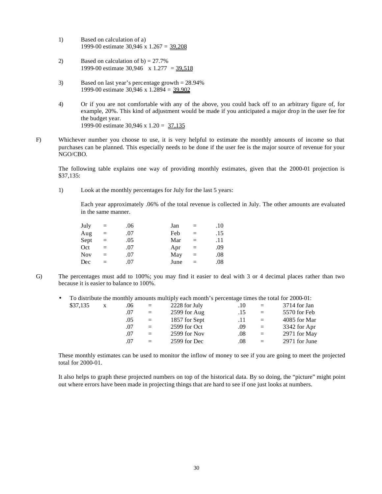- 1) Based on calculation of a) 1999-00 estimate 30,946 x 1.267 = 39,208
- 2) Based on calculation of  $b$ ) = 27.7% 1999-00 estimate 30,946  $\times$  1.277 = 39,518
- 3) Based on last year's percentage growth = 28.94% 1999-00 estimate 30,946 x 1.2894 = 39,902
- 4) Or if you are not comfortable with any of the above, you could back off to an arbitrary figure of, for example, 20%. This kind of adjustment would be made if you anticipated a major drop in the user fee for the budget year. 1999-00 estimate 30,946 x 1.20 = 37,135
- F) Whichever number you choose to use, it is very helpful to estimate the monthly amounts of income so that purchases can be planned. This especially needs to be done if the user fee is the major source of revenue for your NGO/CBO.

The following table explains one way of providing monthly estimates, given that the 2000-01 projection is \$37,135:

1) Look at the monthly percentages for July for the last 5 years:

Each year approximately .06% of the total revenue is collected in July. The other amounts are evaluated in the same manner.

| July       | $=$ | .06 | Jan  | $=$ | .10 |
|------------|-----|-----|------|-----|-----|
| Aug        | $=$ | .07 | Feb  | $=$ | .15 |
| Sept       | $=$ | .05 | Mar  | $=$ | .11 |
| Oct        | $=$ | .07 | Apr  | $=$ | .09 |
| <b>Nov</b> | $=$ | .07 | May  | $=$ | .08 |
| Dec        | $=$ | .07 | June | $=$ | .08 |

G) The percentages must add to 100%; you may find it easier to deal with 3 or 4 decimal places rather than two because it is easier to balance to 100%.

| $\bullet$ |          |              |     |          | To distribute the monthly amounts multiply each month's percentage times the total for 2000-01: |     |              |                |
|-----------|----------|--------------|-----|----------|-------------------------------------------------------------------------------------------------|-----|--------------|----------------|
|           | \$37,135 | $\mathbf{X}$ | .06 | $=$      | 2228 for July                                                                                   | .10 | $\equiv$     | $3714$ for Jan |
|           |          |              | .07 | $\equiv$ | $2599$ for Aug                                                                                  | .15 | $\equiv$     | 5570 for Feb   |
|           |          |              | .05 | $=$      | 1857 for Sept                                                                                   | .11 | $=$          | 4085 for Mar   |
|           |          |              | .07 | $=$      | 2599 for Oct                                                                                    | .09 | $=$          | 3342 for Apr   |
|           |          |              | .07 | $=$      | 2599 for Nov                                                                                    | .08 | $\alpha = 1$ | 2971 for May   |
|           |          |              | .07 | $=$      | 2599 for Dec                                                                                    | .08 | $=$          | 2971 for June  |
|           |          |              |     |          |                                                                                                 |     |              |                |

These monthly estimates can be used to monitor the inflow of money to see if you are going to meet the projected total for 2000-01.

It also helps to graph these projected numbers on top of the historical data. By so doing, the "picture" might point out where errors have been made in projecting things that are hard to see if one just looks at numbers.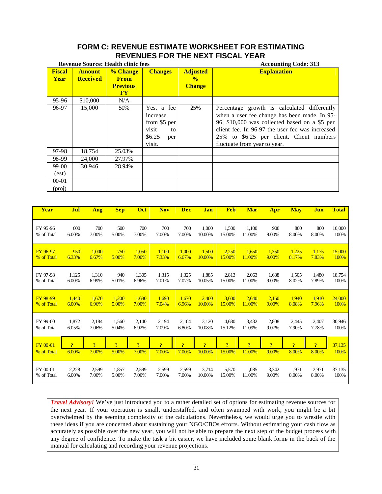# **FORM C: REVENUE ESTIMATE WORKSHEET FOR ESTIMATING REVENUES FOR THE NEXT FISCAL YEAR**

|                              |                                  | <b>Revenue Source: Health clinic fees</b>                            |                                                                                  |                                                   | <b>Accounting Code: 313</b>                                                                                                                                                                                                                                                 |
|------------------------------|----------------------------------|----------------------------------------------------------------------|----------------------------------------------------------------------------------|---------------------------------------------------|-----------------------------------------------------------------------------------------------------------------------------------------------------------------------------------------------------------------------------------------------------------------------------|
| <b>Fiscal</b><br><b>Year</b> | <b>Amount</b><br><b>Received</b> | % Change<br><b>From</b><br><b>Previous</b><br>$\mathbf{F}\mathbf{Y}$ | <b>Changes</b>                                                                   | <b>Adjusted</b><br>$\frac{0}{2}$<br><b>Change</b> | <b>Explanation</b>                                                                                                                                                                                                                                                          |
| 95-96                        | \$10,000                         | N/A                                                                  |                                                                                  |                                                   |                                                                                                                                                                                                                                                                             |
| 96-97                        | 15,000                           | 50%                                                                  | Yes, a fee<br>increase<br>from \$5 per<br>visit<br>to<br>\$6.25<br>per<br>visit. | 25%                                               | Percentage growth is calculated differently<br>when a user fee change has been made. In 95-<br>96, \$10,000 was collected based on a \$5 per<br>client fee. In 96-97 the user fee was increased<br>25% to \$6.25 per client. Client numbers<br>fluctuate from year to year. |
| 97-98                        | 18,754                           | 25.03%                                                               |                                                                                  |                                                   |                                                                                                                                                                                                                                                                             |
| 98-99                        | 24,000                           | 27.97%                                                               |                                                                                  |                                                   |                                                                                                                                                                                                                                                                             |
| 99-00<br>(est)<br>$00 - 01$  | 30.946                           | 28.94%                                                               |                                                                                  |                                                   |                                                                                                                                                                                                                                                                             |
| (proj)                       |                                  |                                                                      |                                                                                  |                                                   |                                                                                                                                                                                                                                                                             |

| Year            | Jul            | <b>Aug</b>     | <b>Sep</b>     | Oct            | <b>Nov</b>     | <b>Dec</b>     | Jan            | <b>Feb</b>          | <b>Mar</b>     | Apr            | <b>May</b>     | Jun                     | <b>Total</b> |
|-----------------|----------------|----------------|----------------|----------------|----------------|----------------|----------------|---------------------|----------------|----------------|----------------|-------------------------|--------------|
| FY 95-96        | 600            | 700            | 500            | 700            | 700            | 700            | 1,000          | 1,500               | 1,100          | 900            | 800            | 800                     | 10,000       |
| % of Total      | 6.00%          | 7.00%          | 5.00%          | 7.00%          | 7.00%          | 7.00%          | 10.00%         | 15.00%              | 11.00%         | 9.00%          | 8.00%          | 8.00%                   | 100%         |
| FY 96-97        | 950            | 1,000          | 750            | 1,050          | 1,100          | 1,000          | 1,500          | 2,250               | 1,650          | 1,350          | 1,225          | 1.175                   | 15,000       |
| % of Total      | 6.33%          | 6.67%          | 5.00%          | 7.00%          | 7.33%          | 6.67%          | 10.00%         | 15.00%              | 11.00%         | 9.00%          | 8.17%          | 7.83%                   | 100%         |
| FY 97-98        | 1,125          | 1,310          | 940            | 1,305          | 1,315          | 1,325          | 1,885          | 2,813               | 2,063          | 1,688          | 1,505          | 1,480                   | 18,754       |
| % of Total      | 6.00%          | 6.99%          | 5.01%          | 6.96%          | 7.01%          | 7.07%          | 10.05%         | 15.00%              | 11.00%         | 9.00%          | 8.02%          | 7.89%                   | 100%         |
| FY 98-99        | 1.440          | 1.670          | 1,200          | 1.680          | 1,690          | 1.670          | 2,400          | 3,600               | 2,640          | 2,160          | 1,940          | 1.910                   | 24,000       |
| % of Total      | 6.00%          | 6.96%          | 5.00%          | 7.00%          | 7.04%          | 6.96%          | 10.00%         | 15.00%              | 11.00%         | 9.00%          | 8.08%          | 7.96%                   | 100%         |
| FY 99-00        | 1,872          | 2,184          | 1,560          | 2,140          | 2,194          | 2,104          | 3,120          | 4,680               | 3,432          | 2,808          | 2,445          | 2,407                   | 30,946       |
| % of Total      | 6.05%          | 7.06%          | 5.04%          | 6.92%          | 7.09%          | 6.80%          | 10.08%         | 15.12%              | 11.09%         | 9.07%          | 7.90%          | 7.78%                   | 100%         |
| <b>FY 00-01</b> | $\overline{?}$ | $\overline{?}$ | $\overline{?}$ | $\overline{?}$ | $\overline{?}$ | $\overline{?}$ | $\overline{?}$ | $\boldsymbol{\eta}$ | $\overline{?}$ | $\overline{?}$ | $\overline{?}$ | $\overline{\mathbf{?}}$ | 37,135       |
| % of Total      | 6.00%          | 7.00%          | 5.00%          | 7.00%          | 7.00%          | 7.00%          | 10.00%         | 15.00%              | 11.00%         | 9.00%          | 8.00%          | 8.00%                   | 100%         |
| FY 00-01        | 2,228          | 2,599          | 1,857          | 2,599          | 2,599          | 2,599          | 3,714          | 5,570               | ,085           | 3,342          | .971           | 2,971                   | 37,135       |
| % of Total      | 6.00%          | 7.00%          | 5.00%          | 7.00%          | 7.00%          | 7.00%          | 10.00%         | 15.00%              | 11.00%         | 9.00%          | 8.00%          | 8.00%                   | 100%         |

*Travel Advisory!* We've just introduced you to a rather detailed set of options for estimating revenue sources for the next year. If your operation is small, understaffed, and often swamped with work, you might be a bit overwhelmed by the seeming complexity of the calculations. Nevertheless, we would urge you to wrestle with these ideas if you are concerned about sustaining your NGO/CBOs efforts. Without estimating your cash flow as accurately as possible over the new year, you will not be able to prepare the next step of the budget process with any degree of confidence. To make the task a bit easier, we have included some blank forms in the back of the manual for calculating and recording your revenue projections.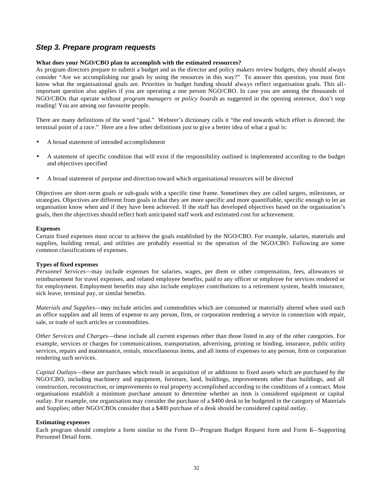# *Step 3. Prepare program requests*

### **What does your NGO/CBO plan to accomplish with the estimated resources?**

As program directors prepare to submit a budget and as the director and policy makers review budgets, they should always consider "Are we accomplishing our goals by using the resources in this way?" To answer this question, you must first know what the organisational goals are. Priorities in budget funding should always reflect organisation goals. This allimportant question also applies if you are operating a one person NGO/CBO. In case you are among the thousands of NGO/CBOs that operate without *program managers* or *policy boards* as suggested in the opening sentence, don't stop reading! You are among our favourite people.

There are many definitions of the word "goal." Webster's dictionary calls it "the end towards which effort is directed; the terminal point of a race." Here are a few other definitions just to give a better idea of what a goal is:

- A broad statement of intended accomplishment
- A statement of specific condition that will exist if the responsibility outlined is implemented according to the budget and objectives specified
- A broad statement of purpose and direction toward which organisational resources will be directed

Objectives are short-term goals or sub-goals with a specific time frame. Sometimes they are called targets, milestones, or strategies. Objectives are different from goals in that they are more specific and more quantifiable, specific enough to let an organisation know when and if they have been achieved. If the staff has developed objectives based on the organisation's goals, then the objectives should reflect both anticipated staff work and estimated cost for achievement.

### **Expenses**

Certain fixed expenses must occur to achieve the goals established by the NGO/CBO. For example, salaries, materials and supplies, building rental, and utilities are probably essential to the operation of the NGO/CBO. Following are some common classifications of expenses.

### **Types of fixed expenses**

*Personnel Services*—may include expenses for salaries, wages, per diem or other compensation, fees, allowances or reimbursement for travel expenses, and related employee benefits, paid to any officer or employee for services rendered or for employment. Employment benefits may also include employer contributions to a retirement system, health insurance, sick leave, terminal pay, or similar benefits.

*Materials and Supplies*—may include articles and commodities which are consumed or materially altered when used such as office supplies and all items of expense to any person, firm, or corporation rendering a service in connection with repair, sale, or trade of such articles or commodities.

*Other Services and Charges*—these include all current expenses other than those listed in any of the other categories. For example, services or charges for communications, transportation, advertising, printing or binding, insurance, public utility services, repairs and maintenance, rentals, miscellaneous items, and all items of expenses to any person, firm or corporation rendering such services.

*Capital Outlays*—these are purchases which result in acquisition of or additions to fixed assets which are purchased by the NGO/CBO, including machinery and equipment, furniture, land, buildings, improvements other than buildings, and all construction, reconstruction, or improvements to real property accomplished according to the conditions of a contract. Most organisations establish a minimum purchase amount to determine whether an item is considered equipment or capital outlay. For example, one organisation may consider the purchase of a \$400 desk to be budgeted in the category of Materials and Supplies; other NGO/CBOs consider that a \$400 purchase of a desk should be considered capital outlay.

### **Estimating expenses**

Each program should complete a form similar to the Form D—Program Budget Request form and Form E—Supporting Personnel Detail form.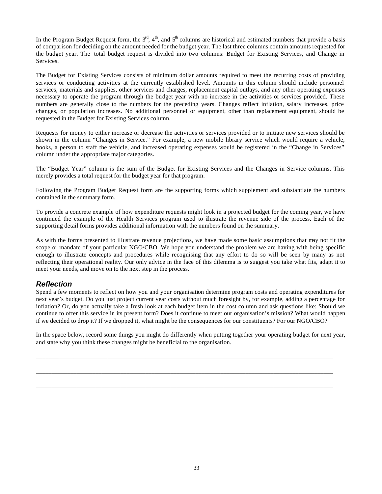In the Program Budget Request form, the  $3<sup>rd</sup>$ ,  $4<sup>th</sup>$ , and  $5<sup>th</sup>$  columns are historical and estimated numbers that provide a basis of comparison for deciding on the amount needed for the budget year. The last three columns contain amounts requested for the budget year. The total budget request is divided into two columns: Budget for Existing Services, and Change in Services.

The Budget for Existing Services consists of minimum dollar amounts required to meet the recurring costs of providing services or conducting activities at the currently established level. Amounts in this column should include personnel services, materials and supplies, other services and charges, replacement capital outlays, and any other operating expenses necessary to operate the program through the budget year with no increase in the activities or services provided. These numbers are generally close to the numbers for the preceding years. Changes reflect inflation, salary increases, price changes, or population increases. No additional personnel or equipment, other than replacement equipment, should be requested in the Budget for Existing Services column.

Requests for money to either increase or decrease the activities or services provided or to initiate new services should be shown in the column "Changes in Service." For example, a new mobile library service which would require a vehicle, books, a person to staff the vehicle, and increased operating expenses would be registered in the "Change in Services" column under the appropriate major categories.

The "Budget Year" column is the sum of the Budget for Existing Services and the Changes in Service columns. This merely provides a total request for the budget year for that program.

Following the Program Budget Request form are the supporting forms which supplement and substantiate the numbers contained in the summary form.

To provide a concrete example of how expenditure requests might look in a projected budget for the coming year, we have continued the example of the Health Services program used to illustrate the revenue side of the process. Each of the supporting detail forms provides additional information with the numbers found on the summary.

As with the forms presented to illustrate revenue projections, we have made some basic assumptions that may not fit the scope or mandate of your particular NGO/CBO. We hope you understand the problem we are having with being specific enough to illustrate concepts and procedures while recognising that any effort to do so will be seen by many as not reflecting their operational reality. Our only advice in the face of this dilemma is to suggest you take what fits, adapt it to meet your needs, and move on to the next step in the process.

# *Reflection*

Spend a few moments to reflect on how you and your organisation determine program costs and operating expenditures for next year's budget. Do you just project current year costs without much foresight by, for example, adding a percentage for inflation? Or, do you actually take a fresh look at each budget item in the cost column and ask questions like: Should we continue to offer this service in its present form? Does it continue to meet our organisation's mission? What would happen if we decided to drop it? If we dropped it, what might be the consequences for our constituents? For our NGO/CBO?

In the space below, record some things you might do differently when putting together your operating budget for next year, and state why you think these changes might be beneficial to the organisation.

**\_\_\_\_\_\_\_**\_\_\_\_\_\_\_\_\_\_\_\_\_\_\_\_\_\_\_\_\_\_\_\_\_\_\_\_\_\_\_\_\_\_\_\_\_\_\_\_\_\_\_\_\_\_\_\_\_\_\_\_\_\_\_\_\_\_\_\_\_\_\_\_\_\_\_\_\_\_\_\_\_\_\_\_\_\_\_\_\_\_\_\_\_\_\_\_

\_\_\_\_\_\_\_\_\_\_\_\_\_\_\_\_\_\_\_\_\_\_\_\_\_\_\_\_\_\_\_\_\_\_\_\_\_\_\_\_\_\_\_\_\_\_\_\_\_\_\_\_\_\_\_\_\_\_\_\_\_\_\_\_\_\_\_\_\_\_\_\_\_\_\_\_\_\_\_\_\_\_\_\_\_\_\_\_\_\_\_\_\_\_\_

\_\_\_\_\_\_\_\_\_\_\_\_\_\_\_\_\_\_\_\_\_\_\_\_\_\_\_\_\_\_\_\_\_\_\_\_\_\_\_\_\_\_\_\_\_\_\_\_\_\_\_\_\_\_\_\_\_\_\_\_\_\_\_\_\_\_\_\_\_\_\_\_\_\_\_\_\_\_\_\_\_\_\_\_\_\_\_\_\_\_\_\_\_\_\_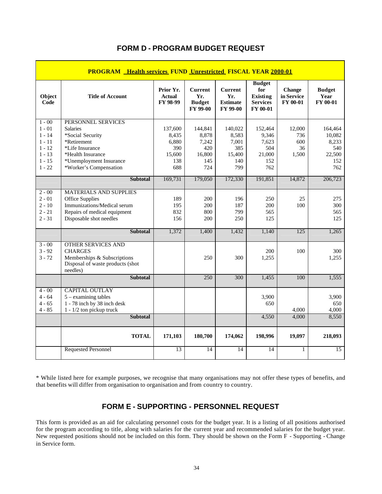|                | <b>PROGRAM</b> Health services FUND Unrestricted FISCAL YEAR 2000-01        |                                        |                                                    |                                                             |                                                                        |                                                |                                   |
|----------------|-----------------------------------------------------------------------------|----------------------------------------|----------------------------------------------------|-------------------------------------------------------------|------------------------------------------------------------------------|------------------------------------------------|-----------------------------------|
| Object<br>Code | <b>Title of Account</b>                                                     | Prior Yr.<br><b>Actual</b><br>FY 98-99 | <b>Current</b><br>Yr.<br><b>Budget</b><br>FY 99-00 | <b>Current</b><br>Yr.<br><b>Estimate</b><br><b>FY 99-00</b> | <b>Budget</b><br>for<br>Existing<br><b>Services</b><br><b>FY 00-01</b> | <b>Change</b><br>in Service<br><b>FY 00-01</b> | <b>Budget</b><br>Year<br>FY 00-01 |
| $1 - 00$       | PERSONNEL SERVICES                                                          |                                        |                                                    |                                                             |                                                                        |                                                |                                   |
| $1 - 01$       | <b>Salaries</b>                                                             | 137,600                                | 144,841                                            | 140,022                                                     | 152,464                                                                | 12,000                                         | 164,464                           |
| $1 - 14$       | *Social Security                                                            | 8,435                                  | 8,878                                              | 8,583                                                       | 9,346                                                                  | 736                                            | 10,082                            |
| $1 - 11$       | *Retirement                                                                 | 6,880                                  | 7,242                                              | 7,001                                                       | 7,623                                                                  | 600                                            | 8,233                             |
| $1 - 12$       | *Life Insurance                                                             | 390                                    | 420                                                | 385                                                         | 504                                                                    | 36                                             | 540                               |
| $1 - 13$       | *Health Insurance                                                           | 15,600                                 | 16,800                                             | 15,400                                                      | 21,000                                                                 | 1,500                                          | 22,500                            |
| $1 - 15$       | *Unemployment Insurance                                                     | 138                                    | 145                                                | 140                                                         | 152                                                                    |                                                | 152                               |
| $1 - 22$       | *Worker's Compensation                                                      | 688                                    | 724                                                | 799                                                         | 762                                                                    |                                                | 762                               |
|                | <b>Subtotal</b>                                                             | 169,731                                | 179,050                                            | 172,330                                                     | 191,851                                                                | 14,872                                         | 206,723                           |
| $2 - 00$       | <b>MATERIALS AND SUPPLIES</b>                                               |                                        |                                                    |                                                             |                                                                        |                                                |                                   |
| $2 - 01$       | Office Supplies                                                             | 189                                    | 200                                                | 196                                                         | 250                                                                    | 25                                             | 275                               |
| $2 - 10$       | Immunizations/Medical serum                                                 | 195                                    | 200                                                | 187                                                         | 200                                                                    | 100                                            | 300                               |
| $2 - 21$       | Repairs of medical equipment                                                | 832                                    | 800                                                | 799                                                         | 565                                                                    |                                                | 565                               |
| $2 - 31$       | Disposable shot needles                                                     | 156                                    | 200                                                | 250                                                         | 125                                                                    |                                                | 125                               |
|                | <b>Subtotal</b>                                                             | 1,372                                  | 1,400                                              | 1,432                                                       | 1,140                                                                  | 125                                            | 1,265                             |
| $3 - 00$       | <b>OTHER SERVICES AND</b>                                                   |                                        |                                                    |                                                             |                                                                        |                                                |                                   |
| $3 - 92$       | <b>CHARGES</b>                                                              |                                        |                                                    |                                                             | 200                                                                    | 100                                            | 300                               |
| $3 - 72$       | Memberships & Subscriptions<br>Disposal of waste products (shot<br>needles) |                                        | 250                                                | 300                                                         | 1,255                                                                  |                                                | 1,255                             |
|                | <b>Subtotal</b>                                                             |                                        | 250                                                | 300                                                         | 1,455                                                                  | 100                                            | 1,555                             |
| $4 - 00$       | <b>CAPITAL OUTLAY</b>                                                       |                                        |                                                    |                                                             |                                                                        |                                                |                                   |
| $4 - 64$       | $5 -$ examining tables                                                      |                                        |                                                    |                                                             | 3,900                                                                  |                                                | 3,900                             |
| $4 - 65$       | 1 - 78 inch by 38 inch desk                                                 |                                        |                                                    |                                                             | 650                                                                    |                                                | 650                               |
| $4 - 85$       | $1 - 1/2$ ton pickup truck                                                  |                                        |                                                    |                                                             |                                                                        | 4,000                                          | 4,000                             |
|                | <b>Subtotal</b>                                                             |                                        |                                                    |                                                             | 4,550                                                                  | 4,000                                          | 8,550                             |
|                | <b>TOTAL</b>                                                                | 171,103                                | 180,700                                            | 174,062                                                     | 198,996                                                                | 19.097                                         | 218,093                           |
|                | <b>Requested Personnel</b>                                                  | $\overline{13}$                        | 14                                                 | 14                                                          | 14                                                                     | 1                                              | $\overline{15}$                   |

# **FORM D - PROGRAM BUDGET REQUEST**

\* While listed here for example purposes, we recognise that many organisations may not offer these types of benefits, and that benefits will differ from organisation to organisation and from country to country.

# **FORM E - SUPPORTING - PERSONNEL REQUEST**

This form is provided as an aid for calculating personnel costs for the budget year. It is a listing of all positions authorised for the program according to title, along with salaries for the current year and recommended salaries for the budget year. New requested positions should not be included on this form. They should be shown on the Form F - Supporting - Change in Service form.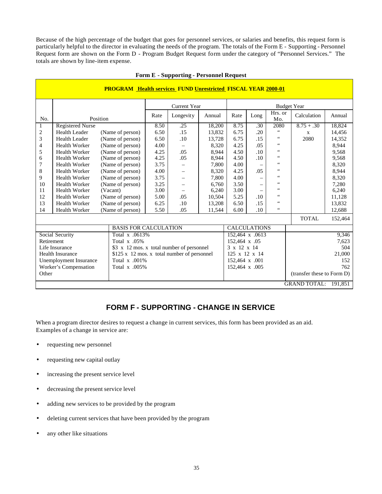Because of the high percentage of the budget that goes for personnel services, or salaries and benefits, this request form is particularly helpful to the director in evaluating the needs of the program. The totals of the Form E - Supporting - Personnel Request form are shown on the Form D - Program Budget Request form under the category of "Personnel Services." The totals are shown by line-item expense.

|              | <b>PROGRAM Health services FUND Unrestricted FISCAL YEAR 2000-01</b> |  |                                             |      |                          |        |                |                     |                       |                            |         |  |
|--------------|----------------------------------------------------------------------|--|---------------------------------------------|------|--------------------------|--------|----------------|---------------------|-----------------------|----------------------------|---------|--|
|              |                                                                      |  |                                             |      | <b>Current Year</b>      |        |                |                     |                       | <b>Budget Year</b>         |         |  |
| No.          | Position                                                             |  |                                             | Rate | Longevity                | Annual | Rate           | Long                | Hrs. or<br>Mo.        | Calculation                | Annual  |  |
| $\mathbf{1}$ | <b>Registered Nurse</b>                                              |  |                                             | 8.50 | .25                      | 18,200 | 8.75           | .30                 | 2080                  | $8.75 + .30$               | 18,824  |  |
| 2            | Health Leader                                                        |  | (Name of person)                            | 6.50 | .15                      | 13,832 | 6.75           | .20                 | 66                    | X                          | 14,456  |  |
| 3            | <b>Health Leader</b>                                                 |  | (Name of person)                            | 6.50 | .10                      | 13,728 | 6.75           | .15                 | $\epsilon$ $\epsilon$ | 2080                       | 14,352  |  |
| 4            | <b>Health Worker</b>                                                 |  | (Name of person)                            | 4.00 |                          | 8,320  | 4.25           | .05                 | 66                    |                            | 8,944   |  |
| 5            | <b>Health Worker</b>                                                 |  | (Name of person)                            | 4.25 | .05                      | 8.944  | 4.50           | .10                 | $\epsilon\,\epsilon$  |                            | 9,568   |  |
| 6            | <b>Health Worker</b>                                                 |  | (Name of person)                            | 4.25 | .05                      | 8,944  | 4.50           | .10                 | $\epsilon\,\epsilon$  |                            | 9,568   |  |
| 7            | <b>Health Worker</b>                                                 |  | (Name of person)                            | 3.75 | $\qquad \qquad -$        | 7,800  | 4.00           | $\qquad \qquad -$   | $\zeta$ $\zeta$       |                            | 8,320   |  |
| 8            | <b>Health Worker</b>                                                 |  | (Name of person)                            | 4.00 | $\overline{\phantom{m}}$ | 8,320  | 4.25           | .05                 | $\epsilon\,\epsilon$  |                            | 8,944   |  |
| 9            | <b>Health Worker</b>                                                 |  | (Name of person)                            | 3.75 |                          | 7,800  | 4.00           |                     | $\zeta$ $\zeta$       |                            | 8,320   |  |
| 10           | <b>Health Worker</b>                                                 |  | (Name of person)                            | 3.25 | $\overline{\phantom{m}}$ | 6,760  | 3.50           |                     | $\zeta$ $\zeta$       |                            | 7,280   |  |
| 11           | <b>Health Worker</b>                                                 |  | (Vacant)                                    | 3.00 |                          | 6,240  | 3.00           |                     | 66                    |                            | 6,240   |  |
| 12           | <b>Health Worker</b>                                                 |  | (Name of person)                            | 5.00 | .05                      | 10,504 | 5.25           | .10                 | $\epsilon\,\epsilon$  |                            | 11,128  |  |
| 13           | <b>Health Worker</b>                                                 |  | (Name of person)                            | 6.25 | .10                      | 13,208 | 6.50           | .15                 | $\epsilon\,\epsilon$  |                            | 13,832  |  |
| 14           | <b>Health Worker</b>                                                 |  | (Name of person)                            | 5.50 | .05                      | 11,544 | 6.00           | .10                 | $\zeta$ $\zeta$       |                            | 12,688  |  |
|              |                                                                      |  |                                             |      |                          |        |                |                     |                       | <b>TOTAL</b>               | 152,464 |  |
|              |                                                                      |  | <b>BASIS FOR CALCULATION</b>                |      |                          |        |                | <b>CALCULATIONS</b> |                       |                            |         |  |
|              | Social Security                                                      |  | Total x .0613%                              |      |                          |        |                | 152,464 x .0613     |                       |                            | 9,346   |  |
| Retirement   |                                                                      |  | Total $x$ .05%                              |      |                          |        | 152,464 x .05  |                     |                       |                            | 7,623   |  |
|              | Life Insurance                                                       |  | \$3 x 12 mos. x total number of personnel   |      |                          |        | 3 x 12 x 14    |                     |                       |                            | 504     |  |
|              | <b>Health Insurance</b>                                              |  | \$125 x 12 mos. x total number of personnel |      |                          |        | 125 x 12 x 14  |                     |                       |                            | 21,000  |  |
|              | Unemployment Insurance                                               |  | Total $x$ .001%                             |      |                          |        | 152,464 x .001 |                     |                       |                            | 152     |  |
|              | Worker's Compensation                                                |  | Total $x$ .005%                             |      |                          |        | 152,464 x .005 |                     |                       | 762                        |         |  |
| Other        |                                                                      |  |                                             |      |                          |        |                |                     |                       | (transfer these to Form D) |         |  |
|              |                                                                      |  |                                             |      |                          |        |                |                     |                       | <b>GRAND TOTAL:</b>        | 191,851 |  |

### **Form E - Supporting - Personnel Request**

# **FORM F - SUPPORTING - CHANGE IN SERVICE**

When a program director desires to request a change in current services, this form has been provided as an aid. Examples of a change in service are:

- requesting new personnel
- requesting new capital outlay
- increasing the present service level
- decreasing the present service level
- adding new services to be provided by the program
- deleting current services that have been provided by the program
- any other like situations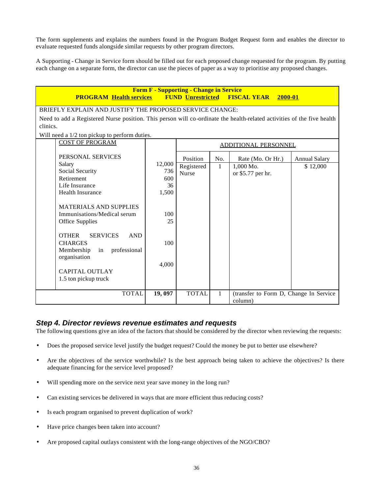The form supplements and explains the numbers found in the Program Budget Request form and enables the director to evaluate requested funds alongside similar requests by other program directors.

A Supporting - Change in Service form should be filled out for each proposed change requested for the program. By putting each change on a separate form, the director can use the pieces of paper as a way to prioritise any proposed changes.

| <b>Form F - Supporting - Change in Service</b><br><b>FUND Unrestricted FISCAL YEAR</b><br><b>PROGRAM Health services</b><br>2000-01 |               |              |              |                                        |                      |  |  |  |  |  |
|-------------------------------------------------------------------------------------------------------------------------------------|---------------|--------------|--------------|----------------------------------------|----------------------|--|--|--|--|--|
| BRIEFLY EXPLAIN AND JUSTIFY THE PROPOSED SERVICE CHANGE:                                                                            |               |              |              |                                        |                      |  |  |  |  |  |
| Need to add a Registered Nurse position. This person will co-ordinate the health-related activities of the five health              |               |              |              |                                        |                      |  |  |  |  |  |
| clinics.                                                                                                                            |               |              |              |                                        |                      |  |  |  |  |  |
| Will need a 1/2 ton pickup to perform duties.                                                                                       |               |              |              |                                        |                      |  |  |  |  |  |
| <b>COST OF PROGRAM</b>                                                                                                              |               |              |              | ADDITIONAL PERSONNEL                   |                      |  |  |  |  |  |
|                                                                                                                                     |               |              |              |                                        |                      |  |  |  |  |  |
| PERSONAL SERVICES                                                                                                                   |               | Position     | No.          | Rate (Mo. Or Hr.)                      | <b>Annual Salary</b> |  |  |  |  |  |
| Salary<br>Social Security                                                                                                           | 12,000<br>736 | Registered   | $\mathbf{1}$ | 1,000 Mo.                              | \$12,000             |  |  |  |  |  |
| Retirement                                                                                                                          | 600           | <b>Nurse</b> |              | or \$5.77 per hr.                      |                      |  |  |  |  |  |
| Life Insurance                                                                                                                      | 36            |              |              |                                        |                      |  |  |  |  |  |
| <b>Health Insurance</b>                                                                                                             | 1,500         |              |              |                                        |                      |  |  |  |  |  |
|                                                                                                                                     |               |              |              |                                        |                      |  |  |  |  |  |
| <b>MATERIALS AND SUPPLIES</b>                                                                                                       |               |              |              |                                        |                      |  |  |  |  |  |
| Immunisations/Medical serum                                                                                                         | 100           |              |              |                                        |                      |  |  |  |  |  |
| Office Supplies                                                                                                                     | 25            |              |              |                                        |                      |  |  |  |  |  |
|                                                                                                                                     |               |              |              |                                        |                      |  |  |  |  |  |
| <b>OTHER</b><br><b>SERVICES</b><br><b>AND</b>                                                                                       |               |              |              |                                        |                      |  |  |  |  |  |
| <b>CHARGES</b>                                                                                                                      | 100           |              |              |                                        |                      |  |  |  |  |  |
| Membership<br>in<br>professional                                                                                                    |               |              |              |                                        |                      |  |  |  |  |  |
| organisation                                                                                                                        |               |              |              |                                        |                      |  |  |  |  |  |
| <b>CAPITAL OUTLAY</b>                                                                                                               | 4,000         |              |              |                                        |                      |  |  |  |  |  |
| 1.5 ton pickup truck                                                                                                                |               |              |              |                                        |                      |  |  |  |  |  |
|                                                                                                                                     |               |              |              |                                        |                      |  |  |  |  |  |
| <b>TOTAL</b>                                                                                                                        | 19,097        | <b>TOTAL</b> | $\mathbf{1}$ | (transfer to Form D, Change In Service |                      |  |  |  |  |  |
|                                                                                                                                     |               |              |              | column)                                |                      |  |  |  |  |  |

# *Step 4. Director reviews revenue estimates and requests*

The following questions give an idea of the factors that should be considered by the director when reviewing the requests:

- Does the proposed service level justify the budget request? Could the money be put to better use elsewhere?
- Are the objectives of the service worthwhile? Is the best approach being taken to achieve the objectives? Is there adequate financing for the service level proposed?
- Will spending more on the service next year save money in the long run?
- Can existing services be delivered in ways that are more efficient thus reducing costs?
- Is each program organised to prevent duplication of work?
- Have price changes been taken into account?
- Are proposed capital outlays consistent with the long-range objectives of the NGO/CBO?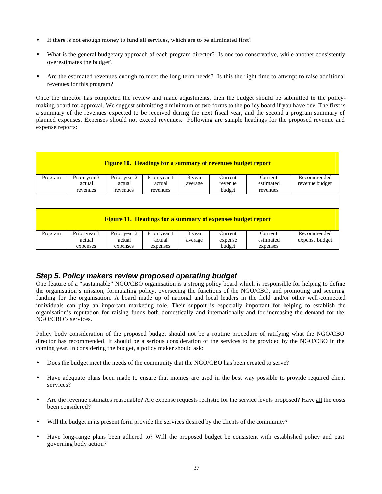- If there is not enough money to fund all services, which are to be eliminated first?
- What is the general budgetary approach of each program director? Is one too conservative, while another consistently overestimates the budget?
- Are the estimated revenues enough to meet the long-term needs? Is this the right time to attempt to raise additional revenues for this program?

Once the director has completed the review and made adjustments, then the budget should be submitted to the policymaking board for approval. We suggest submitting a minimum of two forms to the policy board if you have one. The first is a summary of the revenues expected to be received during the next fiscal year, and the second a program summary of planned expenses. Expenses should not exceed revenues. Following are sample headings for the proposed revenue and expense reports:

|                                                                    |                        | <b>Figure 10. Headings for a summary of revenues budget report</b> |                        |                   |                    |                       |                               |  |  |  |
|--------------------------------------------------------------------|------------------------|--------------------------------------------------------------------|------------------------|-------------------|--------------------|-----------------------|-------------------------------|--|--|--|
| Program                                                            | Prior year 3<br>actual | Prior year 2<br>actual                                             | Prior year 1<br>actual | 3 year<br>average | Current<br>revenue | Current<br>estimated  | Recommended<br>revenue budget |  |  |  |
|                                                                    | revenues               | revenues                                                           | revenues               |                   | budget             | revenues              |                               |  |  |  |
|                                                                    |                        |                                                                    |                        |                   |                    |                       |                               |  |  |  |
| <b>Figure 11. Headings for a summary of expenses budget report</b> |                        |                                                                    |                        |                   |                    |                       |                               |  |  |  |
| Program                                                            | Prior year 3           | Prior year 2                                                       | Prior year 1           | 3 year            | Current            | Current               | Recommended                   |  |  |  |
|                                                                    | actual<br>expenses     | actual<br>expenses                                                 | actual<br>expenses     | average           | expense<br>budget  | estimated<br>expenses | expense budget                |  |  |  |

# *Step 5. Policy makers review proposed operating budget*

One feature of a "sustainable" NGO/CBO organisation is a strong policy board which is responsible for helping to define the organisation's mission, formulating policy, overseeing the functions of the NGO/CBO, and promoting and securing funding for the organisation. A board made up of national and local leaders in the field and/or other well-connected individuals can play an important marketing role. Their support is especially important for helping to establish the organisation's reputation for raising funds both domestically and internationally and for increasing the demand for the NGO/CBO's services.

Policy body consideration of the proposed budget should not be a routine procedure of ratifying what the NGO/CBO director has recommended. It should be a serious consideration of the services to be provided by the NGO/CBO in the coming year. In considering the budget, a policy maker should ask:

- Does the budget meet the needs of the community that the NGO/CBO has been created to serve?
- Have adequate plans been made to ensure that monies are used in the best way possible to provide required client services?
- Are the revenue estimates reasonable? Are expense requests realistic for the service levels proposed? Have all the costs been considered?
- Will the budget in its present form provide the services desired by the clients of the community?
- Have long-range plans been adhered to? Will the proposed budget be consistent with established policy and past governing body action?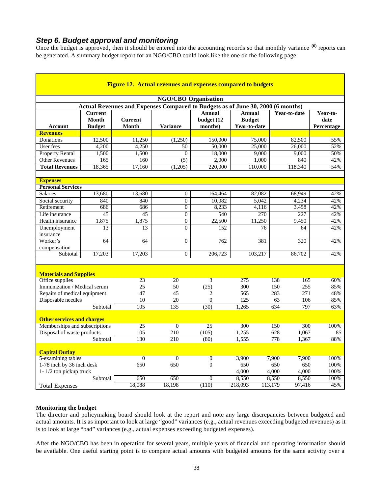# *Step 6. Budget approval and monitoring*

Once the budget is approved, then it should be entered into the accounting records so that monthly variance <sup>(6)</sup> reports can be generated. A summary budget report for an NGO/CBO could look like the one on the following page:

|                                                 | <b>Figure 12. Actual revenues and expenses compared to budgets</b> |                                                                                 |                                    |                                        |                                                |                   |                                |  |  |  |  |
|-------------------------------------------------|--------------------------------------------------------------------|---------------------------------------------------------------------------------|------------------------------------|----------------------------------------|------------------------------------------------|-------------------|--------------------------------|--|--|--|--|
|                                                 |                                                                    |                                                                                 |                                    |                                        |                                                |                   |                                |  |  |  |  |
|                                                 |                                                                    |                                                                                 | <b>NGO/CBO</b> Organisation        |                                        |                                                |                   |                                |  |  |  |  |
|                                                 |                                                                    | Actual Revenues and Expenses Compared to Budgets as of June 30, 2000 (6 months) |                                    |                                        |                                                |                   |                                |  |  |  |  |
| <b>Account</b>                                  | <b>Current</b><br>Month<br><b>Budget</b>                           | <b>Current</b><br><b>Month</b>                                                  | <b>Variance</b>                    | <b>Annual</b><br>budget (12<br>months) | <b>Annual</b><br><b>Budget</b><br>Year-to-date | Year-to-date      | Year-to-<br>date<br>Percentage |  |  |  |  |
| <b>Revenues</b>                                 |                                                                    |                                                                                 |                                    |                                        |                                                |                   |                                |  |  |  |  |
| Donations                                       | 12.500                                                             | 11.250                                                                          | (1,250)                            | 150,000                                | 75,000                                         | 82.500            | 55%                            |  |  |  |  |
| User fees                                       | 4,200<br>1,500                                                     | 4,250                                                                           | 50                                 | 50,000                                 | 25,000                                         | 26,000            | 52%                            |  |  |  |  |
| <b>Property Rental</b><br><b>Other Revenues</b> | 165                                                                | 1,500<br>160                                                                    | $\overline{0}$<br>$\overline{(5)}$ | 18,000<br>2,000                        | 9.000<br>1,000                                 | 9,000<br>840      | 50%<br>42%                     |  |  |  |  |
| <b>Total Revenues</b>                           | 18,365                                                             | 17,160                                                                          | (1,205)                            | 220,000                                | 110,000                                        | 118,340           | 54%                            |  |  |  |  |
|                                                 |                                                                    |                                                                                 |                                    |                                        |                                                |                   |                                |  |  |  |  |
| <b>Expenses</b>                                 |                                                                    |                                                                                 |                                    |                                        |                                                |                   |                                |  |  |  |  |
| <b>Personal Services</b>                        |                                                                    |                                                                                 |                                    |                                        |                                                |                   |                                |  |  |  |  |
| <b>Salaries</b>                                 | 13,680                                                             | 13,680                                                                          | $\overline{0}$                     | 164,464                                | 82,082                                         | 68,949            | 42%                            |  |  |  |  |
| Social security                                 | 840                                                                | 840                                                                             | $\overline{0}$                     | 10,082                                 | 5.042                                          | 4,234             | 42%                            |  |  |  |  |
| Retirement                                      | 686                                                                | 686                                                                             | $\overline{0}$                     | 8,233                                  | 4.116                                          | 3.458             | 42%                            |  |  |  |  |
| Life insurance                                  | 45                                                                 | 45                                                                              | $\mathbf{0}$                       | 540                                    | 270                                            | 227               | 42%                            |  |  |  |  |
| Health insurance                                | 1,875                                                              | 1,875                                                                           | $\boldsymbol{0}$                   | 22,500                                 | 11,250                                         | 9,450             | 42%                            |  |  |  |  |
| Unemployment                                    | 13                                                                 | 13                                                                              | $\overline{0}$                     | 152                                    | 76                                             | 64                | 42%                            |  |  |  |  |
| insurance                                       |                                                                    |                                                                                 |                                    |                                        |                                                |                   |                                |  |  |  |  |
| Worker's                                        | 64                                                                 | 64                                                                              | $\overline{0}$                     | 762                                    | 381                                            | 320               | 42%                            |  |  |  |  |
| compensation<br>Subtotal                        | 17,203                                                             | 17.203                                                                          | $\overline{0}$                     | 206,723                                | 103.217                                        | 86,702            | 42%                            |  |  |  |  |
|                                                 |                                                                    |                                                                                 |                                    |                                        |                                                |                   |                                |  |  |  |  |
|                                                 |                                                                    |                                                                                 |                                    |                                        |                                                |                   |                                |  |  |  |  |
| <b>Materials and Supplies</b>                   |                                                                    |                                                                                 |                                    |                                        |                                                |                   |                                |  |  |  |  |
| Office supplies                                 |                                                                    | 23                                                                              | 20                                 | $\overline{3}$                         | 275                                            | 138<br>165        | 60%                            |  |  |  |  |
| Immunization / Medical serum                    |                                                                    | 25                                                                              | 50                                 | (25)                                   | 300                                            | 150<br>255        | 85%                            |  |  |  |  |
| Repairs of medical equipment                    |                                                                    | 47                                                                              | 45                                 | 2                                      | 565                                            | 283<br>271        | 48%                            |  |  |  |  |
| Disposable needles                              |                                                                    | 10                                                                              | 20                                 | $\Omega$                               | 125                                            | 106<br>63         | 85%                            |  |  |  |  |
|                                                 | Subtotal                                                           | 105                                                                             | 135                                | (30)                                   | 1.265                                          | 797<br>634        | 63%                            |  |  |  |  |
| <b>Other services and charges</b>               |                                                                    |                                                                                 |                                    |                                        |                                                |                   |                                |  |  |  |  |
| Memberships and subscriptions                   |                                                                    | 25                                                                              | $\mathbf{0}$                       | 25                                     | 300                                            | 300<br>150        | 100%                           |  |  |  |  |
| Disposal of waste products                      |                                                                    | 105                                                                             | 210                                | (105)                                  | 1,255                                          | 628<br>1,067      | 85                             |  |  |  |  |
| Subtotal                                        |                                                                    | 130                                                                             | 210                                | (80)                                   | 1.555                                          | 778<br>1.367      | 88%                            |  |  |  |  |
| <b>Capital Outlay</b>                           |                                                                    |                                                                                 |                                    |                                        |                                                |                   |                                |  |  |  |  |
| 5-examining tables                              |                                                                    | $\overline{0}$                                                                  | $\overline{0}$                     | $\overline{0}$                         | 3,900                                          | 7,900<br>7,900    | 100%                           |  |  |  |  |
| 1-78 inch by 36 inch desk                       |                                                                    | 650                                                                             | 650                                | $\overline{0}$                         | 650                                            | 650<br>650        | 100%                           |  |  |  |  |
| $1 - 1/2$ ton pickup truck                      |                                                                    |                                                                                 |                                    |                                        | 4.000                                          | 4.000<br>4.000    | 100%                           |  |  |  |  |
|                                                 | Subtotal                                                           | 650                                                                             | 650                                | $\theta$                               | 8,550                                          | 8,550<br>8,550    | 100%                           |  |  |  |  |
| <b>Total Expenses</b>                           |                                                                    | 18.088                                                                          | 18.198                             | (110)                                  | 218,093                                        | 113,179<br>97,416 | 45%                            |  |  |  |  |

### **Monitoring the budget**

The director and policymaking board should look at the report and note any large discrepancies between budgeted and actual amounts. It is as important to look at large "good" variances (e.g., actual revenues exceeding budgeted revenues) as it is to look at large "bad" variances (e.g., actual expenses exceeding budgeted expenses).

After the NGO/CBO has been in operation for several years, multiple years of financial and operating information should be available. One useful starting point is to compare actual amounts with budgeted amounts for the same activity over a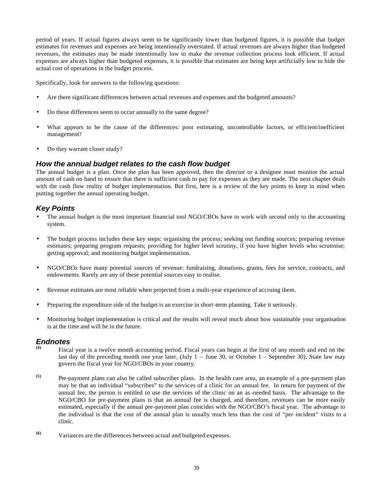period of years. If actual figures always seem to be significantly lower than budgeted figures, it is possible that budget estimates for revenues and expenses are being intentionally overstated. If actual revenues are always higher than budgeted revenues, the estimates may be made intentionally low to make the revenue collection process look efficient. If actual expenses are always higher than budgeted expenses, it is possible that estimates are being kept artificially low to hide the actual cost of operations in the budget process.

Specifically, look for answers to the following questions:

- Are there significant differences between actual revenues and expenses and the budgeted amounts?
- Do these differences seem to occur annually to the same degree?
- What appears to be the cause of the differences: poor estimating, uncontrollable factors, or efficient/inefficient management?
- Do they warrant closer study?

### *How the annual budget relates to the cash flow budget*

The annual budget is a plan. Once the plan has been approved, then the director or a designee must monitor the actual amount of cash on hand to ensure that there is sufficient cash to pay for expenses as they are made. The next chapter deals with the cash flow reality of budget implementation. But first, here is a review of the key points to keep in mind when putting together the annual operating budget.

# *Key Points*

- The annual budget is the most important financial tool NGO/CBOs have to work with second only to the accounting system.
- The budget process includes these key steps: organising the process; seeking out funding sources; preparing revenue estimates; preparing program requests; providing for higher level scrutiny, if you have higher levels who scrutinise; getting approval; and monitoring budget implementation.
- NGO/CBOs have many potential sources of revenue: fundraising, donations, grants, fees for service, contracts, and endowments. Rarely are any of these potential sources easy to realise.
- Revenue estimates are most reliable when projected from a multi-year experience of accruing them.
- Preparing the expenditure side of the budget is an exercise in short-term planning. Take it seriously.
- Monitoring budget implementation is critical and the results will reveal much about how sustainable your organisation is at the time and will be in the future.

### *Endnotes*

- **(4)** Fiscal year is a twelve month accounting period. Fiscal years can begin at the first of any month and end on the last day of the preceding month one year later, (July 1 – June 30, or October 1 – September 30). State law may govern the fiscal year for NGO/CBOs in your country.
- **(5)** Pre-payment plans can also be called subscriber plans. In the health care area, an example of a pre-payment plan may be that an individual "subscribes" to the services of a clinic for an annual fee. In return for payment of the annual fee, the person is entitled to use the services of the clinic on an as-needed basis. The advantage to the NGO/CBO for pre-payment plans is that an annual fee is charged, and therefore, revenues can be more easily estimated, especially if the annual pre-payment plan coincides with the NGO/CBO's fiscal year. The advantage to the individual is that the cost of the annual plan is usually much less than the cost of "per incident" visits to a clinic.
- **(6)** Variances are the differences between actual and budgeted expenses.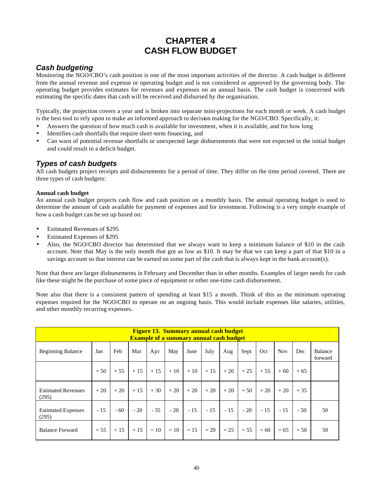# **CHAPTER 4 CASH FLOW BUDGET**

# *Cash budgeting*

Monitoring the NGO/CBO's cash position is one of the most important activities of the director. A cash budget is different from the annual revenue and expense or operating budget and is not considered or approved by the governing body. The operating budget provides estimates for revenues and expenses on an annual basis. The cash budget is concerned with estimating the specific dates that cash will be received and disbursed by the organisation.

Typically, the projection covers a year and is broken into separate mini-projections for each month or week. A cash budget is the best tool to rely upon to make an informed approach to decision making for the NGO/CBO. Specifically, it:

- Answers the question of how much cash is available for investment, when it is available, and for how long
- Identifies cash shortfalls that require short-term financing, and
- Can warn of potential revenue shortfalls or unexpected large disbursements that were not expected in the initial budget and could result in a deficit budget.

# *Types of cash budgets*

All cash budgets project receipts and disbursements for a period of time. They differ on the time period covered. There are three types of cash budgets:

### **Annual cash budget**

An annual cash budget projects cash flow and cash position on a monthly basis. The annual operating budget is used to determine the amount of cash available for payment of expenses and for investment. Following is a very simple example of how a cash budget can be set up based on:

- Estimated Revenues of \$295
- Estimated Expenses of \$295
- Also, the NGO/CBO director has determined that we always want to keep a minimum balance of \$10 in the cash account. Note that May is the only month that got as low as \$10. It may be that we can keep a part of that \$10 in a savings account so that interest can be earned on some part of the cash that is always kept in the bank account(s).

Note that there are larger disbursements in February and December than in other months. Examples of larger needs for cash like these might be the purchase of some piece of equipment or other one-time cash disbursement.

Note also that there is a consistent pattern of spending at least \$15 a month. Think of this as the minimum operating expenses required for the NGO/CBO to operate on an ongoing basis. This would include expenses like salaries, utilities, and other monthly recurring expenses.

| <b>Figure 13. Summary annual cash budget</b><br><b>Example of a summary annual cash budget</b> |        |        |        |       |       |        |        |        |        |        |            |        |                    |
|------------------------------------------------------------------------------------------------|--------|--------|--------|-------|-------|--------|--------|--------|--------|--------|------------|--------|--------------------|
| <b>Beginning Balance</b>                                                                       | Jan    | Feb    | Mar    | Apr   | May   | June   | July   | Aug    | Sept   | Oct    | <b>Nov</b> | Dec    | Balance<br>forward |
|                                                                                                | $+50$  | $+55$  | $+15$  | $+15$ | $+10$ | $+10$  | $+15$  | $+20$  | $+25$  | $+55$  | $+60$      | $+65$  |                    |
| <b>Estimated Revenues</b><br>(295)                                                             | $+20$  | $+20$  | $+15$  | $+30$ | $+20$ | $+20$  | $+20$  | $+20$  | $+50$  | $+20$  | $+20$      | $+35$  |                    |
| <b>Estimated Expenses</b><br>(295)                                                             | $-15$  | $-60$  | $-20$  | $-35$ | $-20$ | $-15$  | $-15$  | $-15$  | $-20$  | $-15$  | $-15$      | $-50$  | 50                 |
| <b>Balance Forward</b>                                                                         | $= 55$ | $= 15$ | $= 15$ | $=10$ | $=10$ | $= 15$ | $= 20$ | $= 25$ | $= 55$ | $= 60$ | $= 65$     | $= 50$ | 50                 |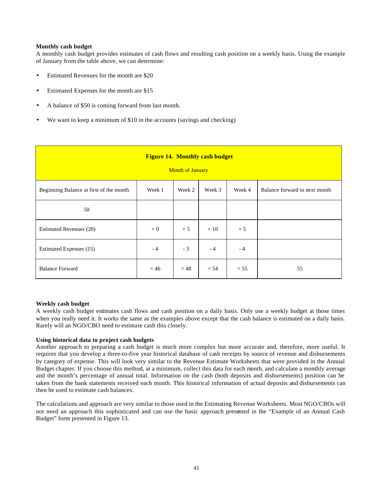### **Monthly cash budget**

A monthly cash budget provides estimates of cash flows and resulting cash position on a weekly basis. Using the example of January from the table above, we can determine:

- Estimated Revenues for the month are \$20
- Estimated Expenses for the month are \$15
- A balance of \$50 is coming forward from last month.
- We want to keep a minimum of \$10 in the accounts (savings and checking)

| <b>Figure 14. Monthly cash budget</b><br><b>Month of January</b> |        |        |        |        |                               |  |  |  |
|------------------------------------------------------------------|--------|--------|--------|--------|-------------------------------|--|--|--|
| Beginning Balance at first of the month                          | Week 1 | Week 2 | Week 3 | Week 4 | Balance forward to next month |  |  |  |
| 50                                                               |        |        |        |        |                               |  |  |  |
| Estimated Revenues (20)                                          | $+0$   | $+5$   | $+10$  | $+5$   |                               |  |  |  |
| Estimated Expenses (15)                                          | $-4$   | $-3$   | $-4$   | $-4$   |                               |  |  |  |
| <b>Balance Forward</b>                                           | $= 46$ | $= 48$ | $= 54$ | $= 55$ | 55                            |  |  |  |

### **Weekly cash budget**

A weekly cash budget estimates cash flows and cash position on a daily basis. Only use a weekly budget at those times when you really need it. It works the same as the examples above except that the cash balance is estimated on a daily basis. Rarely will an NGO/CBO need to estimate cash this closely.

### **Using historical data to project cash budgets**

Another approach to preparing a cash budget is much more complex but more accurate and, therefore, more useful. It requires that you develop a three-to-five year historical database of cash receipts by source of revenue and disbursements by category of expense. This will look very similar to the Revenue Estimate Worksheets that were provided in the Annual Budget chapter. If you choose this method, at a minimum, collect this data for each month, and calculate a monthly average and the month's percentage of annual total. Information on the cash (both deposits and disbursements) position can be taken from the bank statements received each month. This historical information of actual deposits and disbursements can then be used to estimate cash balances.

The calculations and approach are very similar to those used in the Estimating Revenue Worksheets. Most NGO/CBOs will not need an approach this sophisticated and can use the basic approach presented in the "Example of an Annual Cash Budget" form presented in Figure 13.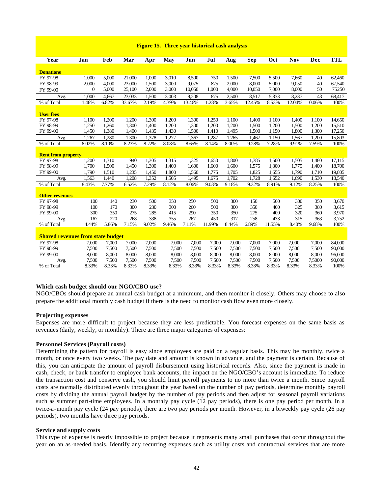| <b>Figure 15. Three year historical cash analysis</b> |  |
|-------------------------------------------------------|--|
|-------------------------------------------------------|--|

| Year                                     | Jan          | Feb   | Mar    | Apr   | <b>May</b> | Jun    | Jul    | Aug   | <b>Sep</b> | <b>Oct</b> | <b>Nov</b> | Dec    | <b>TTL</b> |
|------------------------------------------|--------------|-------|--------|-------|------------|--------|--------|-------|------------|------------|------------|--------|------------|
|                                          |              |       |        |       |            |        |        |       |            |            |            |        |            |
| <b>Donations</b><br>FY 97-98             | 1,000        | 5,000 | 21,000 | 1,000 | 3,010      | 8,500  | 750    | 1,500 | 7,500      | 5,500      | 7,660      | 40     | 62,460     |
| FY 98-99                                 | 2,000        | 4.000 | 23,000 | 1.500 | 3,000      | 9,075  | 875    | 2,000 | 8.000      | 5,000      | 9,050      | 40     | 67,540     |
| FY 99-00                                 | $\mathbf{0}$ | 5,000 | 25,100 | 2,000 | 3,000      | 10,050 | 1,000  | 4,000 | 10,050     | 7,000      | 8,000      | 50     | 75250      |
| Avg.                                     | 1,000        | 4,667 | 23,033 | 1.500 | 3,003      | 9.208  | 875    | 2,500 | 8,517      | 5,833      | 8.237      | 43     | 68,417     |
| % of Total                               | 1.46%        | 6.82% | 33.67% | 2.19% | 4.39%      | 13.46% | 1.28%  | 3.65% | 12.45%     | 8.53%      | 12.04%     | 0.06%  | 100%       |
|                                          |              |       |        |       |            |        |        |       |            |            |            |        |            |
| <b>User fees</b>                         |              |       |        |       |            |        |        |       |            |            |            |        |            |
| FY 97-98                                 | 1,100        | 1,200 | 1,200  | 1.300 | 1,200      | 1,300  | 1,250  | 1,100 | 1,400      | 1,100      | 1,400      | 1,100  | 14,650     |
| FY 98-99                                 | 1,250        | 1,260 | 1,300  | 1,400 | 1,200      | 1,300  | 1,200  | 1,200 | 1,500      | 1,200      | 1,500      | 1,200  | 15,510     |
| FY 99-00                                 | 1,450        | 1,380 | 1,400  | 1,435 | 1,430      | 1,500  | 1,410  | 1,495 | 1,500      | 1,150      | 1,800      | 1,300  | 17,250     |
| Avg.                                     | 1,267        | 1,280 | 1,300  | 1,378 | 1,277      | 1,367  | 1,287  | 1,265 | 1,467      | 1,150      | 1,567      | 1,200  | 15,803     |
| % of Total                               | 8.02%        | 8.10% | 8.23%  | 8.72% | 8.08%      | 8.65%  | 8.14%  | 8.00% | 9.28%      | 7.28%      | 9.91%      | 7.59%  | 100%       |
|                                          |              |       |        |       |            |        |        |       |            |            |            |        |            |
| <b>Rent from property</b>                |              |       |        |       |            |        |        |       |            |            |            |        |            |
| FY 97-98                                 | 1,200        | 1,310 | 940    | 1,305 | 1,315      | 1,325  | 1,650  | 1,800 | 1,785      | 1,500      | 1,505      | 1,480  | 17,115     |
| FY 98-99                                 | 1,700        | 1,500 | 1,450  | 1,300 | 1,400      | 1,600  | 1,600  | 1,600 | 1,575      | 1,800      | 1,775      | 1,400  | 18,700     |
| FY 99-00                                 | 1,790        | 1,510 | 1,235  | 1,450 | 1,800      | 1,560  | 1,775  | 1,705 | 1,825      | 1,655      | 1,790      | 1,710  | 19,805     |
| Avg.                                     | 1,563        | 1,440 | 1,208  | 1,352 | 1,505      | 1,495  | 1,675  | 1,702 | 1,728      | 1,652      | 1.690      | 1,530  | 18,540     |
| % of Total                               | 8.43%        | 7.77% | 6.52%  | 7.29% | 8.12%      | 8.06%  | 9.03%  | 9.18% | 9.32%      | 8.91%      | 9.12%      | 8.25%  | 100%       |
| <b>Other revenues</b>                    |              |       |        |       |            |        |        |       |            |            |            |        |            |
| FY 97-98                                 | 100          | 140   | 230    | 500   | 350        | 250    | 500    | 300   | 150        | 500        | 300        | 350    | 3,670      |
| FY 98-99                                 | 100          | 170   | 300    | 230   | 300        | 260    | 500    | 300   | 350        | 400        | 325        | 380    | 3,615      |
| FY 99-00                                 | 300          | 350   | 275    | 285   | 415        | 290    | 350    | 350   | 275        | 400        | 320        | 360    | 3,970      |
| Avg.                                     | 167          | 220   | 268    | 338   | 355        | 267    | 450    | 317   | 258        | 433        | 315        | 363    | 3,752      |
| % of Total                               | 4.44%        | 5.86% | 7.15%  | 9.02% | 9.46%      | 7.11%  | 11.99% | 8.44% | 6.89%      | 11.55%     | 8.40%      | 9.68%  | 100%       |
|                                          |              |       |        |       |            |        |        |       |            |            |            |        |            |
| <b>Shared revenues from state budget</b> |              |       |        |       |            |        |        |       |            |            |            |        |            |
| FY 97-98                                 | 7,000        | 7,000 | 7,000  | 7,000 | 7,000      | 7,000  | 7,000  | 7,000 | 7,000      | 7,000      | 7,000      | 7,000  | 84,000     |
| FY 98-99                                 | 7,500        | 7,500 | 7,500  | 7,500 | 7,500      | 7,500  | 7,500  | 7,500 | 7,500      | 7,500      | 7,500      | 7,500  | 90,000     |
| FY 99-00                                 | 8,000        | 8.000 | 8,000  | 8,000 | 8,000      | 8,000  | 8,000  | 8,000 | 8,000      | 8,000      | 8,000      | 8,000  | 96,000     |
| Avg.                                     | 7,500        | 7,500 | 7,500  | 7,500 | 7,500      | 7,500  | 7,500  | 7,500 | 7,500      | 7,500      | 7,500      | 7,5000 | 90,000     |
| % of Total                               | 8.33%        | 8.33% | 8.33%  | 8.33% | 8.33%      | 8.33%  | 8.33%  | 8.33% | 8.33%      | 8.33%      | 8.33%      | 8.33%  | 100%       |

#### **Which cash budget should our NGO/CBO use?**

NGO/CBOs should prepare an annual cash budget at a minimum, and then monitor it closely. Others may choose to also prepare the additional monthly cash budget if there is the need to monitor cash flow even more closely.

### **Projecting expenses**

Expenses are more difficult to project because they are less predictable. You forecast expenses on the same basis as revenues (daily, weekly, or monthly). There are three major categories of expenses:

### **Personnel Services (Payroll costs)**

Determining the pattern for payroll is easy since employees are paid on a regular basis. This may be monthly, twice a month, or once every two weeks. The pay date and amount is known in advance, and the payment is certain. Because of this, you can anticipate the amount of payroll disbursement using historical records. Also, since the payment is made in cash, check, or bank transfer to employee bank accounts, the impact on the NGO/CBO's account is immediate. To reduce the transaction cost and conserve cash, you should limit payroll payments to no more than twice a month. Since payroll costs are normally distributed evenly throughout the year based on the number of pay periods, determine monthly payroll costs by dividing the annual payroll budget by the number of pay periods and then adjust for seasonal payroll variations such as summer part-time employees. In a monthly pay cycle (12 pay periods), there is one pay period per month. In a twice-a-month pay cycle (24 pay periods), there are two pay periods per month. However, in a biweekly pay cycle (26 pay periods), two months have three pay periods.

#### **Service and supply costs**

This type of expense is nearly impossible to project because it represents many small purchases that occur throughout the year on an as-needed basis. Identify any recurring expenses such as utility costs and contractual services that are more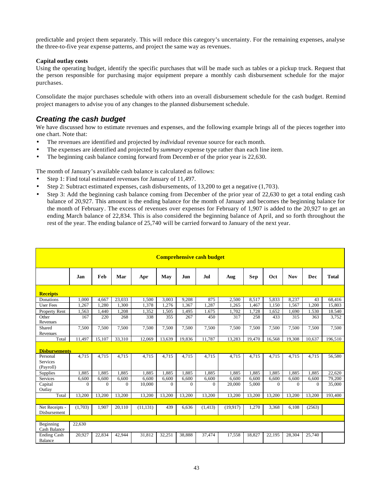predictable and project them separately. This will reduce this category's uncertainty. For the remaining expenses, analyse the three-to-five year expense patterns, and project the same way as revenues.

### **Capital outlay costs**

Using the operating budget, identify the specific purchases that will be made such as tables or a pickup truck. Request that the person responsible for purchasing major equipment prepare a monthly cash disbursement schedule for the major purchases.

Consolidate the major purchases schedule with others into an overall disbursement schedule for the cash budget. Remind project managers to advise you of any changes to the planned disbursement schedule.

# *Creating the cash budget*

We have discussed how to estimate revenues and expenses, and the following example brings all of the pieces together into one chart. Note that:

- The revenues are identified and projected by *individual* revenue source for each month.
- The expenses are identified and projected by *summary* expense type rather than each line item.
- The beginning cash balance coming forward from Decemb er of the prior year is 22,630.

The month of January's available cash balance is calculated as follows:

- Step 1: Find total estimated revenues for January of 11,497.
- Step 2: Subtract estimated expenses, cash disbursements, of 13,200 to get a negative (1,703).
- Step 3: Add the beginning cash balance coming from December of the prior year of 22,630 to get a total ending cash balance of 20,927. This amount is the ending balance for the month of January and becomes the beginning balance for the month of February. The excess of revenues over expenses for February of 1,907 is added to the 20,927 to get an ending March balance of 22,834. This is also considered the beginning balance of April, and so forth throughout the rest of the year. The ending balance of 25,740 will be carried forward to January of the next year.

|                               |              |          |              |           |          |          | <b>Comprehensive cash budget</b> |           |        |          |            |              |              |
|-------------------------------|--------------|----------|--------------|-----------|----------|----------|----------------------------------|-----------|--------|----------|------------|--------------|--------------|
|                               | Jan          | Feb      | Mar          | Apr       | May      | Jun      | Jul                              | Aug       | Sep    | Oct      | <b>Nov</b> | Dec          | <b>Total</b> |
| <b>Receipts</b>               |              |          |              |           |          |          |                                  |           |        |          |            |              |              |
| Donations                     | 1.000        | 4.667    | 23,033       | 1.500     | 3.003    | 9,208    | 875                              | 2.500     | 8.517  | 5,833    | 8,237      | 43           | 68,416       |
| <b>User Fees</b>              | 1,267        | 1,280    | 1,300        | 1,378     | 1,276    | 1,367    | 1,287                            | 1,265     | 1,467  | 1,150    | 1,567      | 1,200        | 15,803       |
| Property Rent                 | 1.563        | 1.440    | 1,208        | 1,352     | 1,505    | 1,495    | 1.675                            | 1.702     | 1.728  | 1.652    | 1.690      | 1.530        | 18.540       |
| Other<br>Revenues             | 167          | 220      | 268          | 338       | 355      | 267      | 450                              | 317       | 258    | 433      | 315        | 363          | 3,752        |
| Shared                        | 7.500        | 7.500    | 7.500        | 7.500     | 7.500    | 7,500    | 7.500                            | 7.500     | 7.500  | 7.500    | 7.500      | 7.500        | 7,500        |
| Revenues                      |              |          |              |           |          |          |                                  |           |        |          |            |              |              |
| Total                         | 11,497       | 15,107   | 33,310       | 12.069    | 13,639   | 19,836   | 11,787                           | 13,283    | 19,470 | 16,568   | 19,308     | 10,637       | 196,510      |
| <b>Disbursements</b>          |              |          |              |           |          |          |                                  |           |        |          |            |              |              |
| Personal                      | 4,715        | 4,715    | 4,715        | 4,715     | 4,715    | 4,715    | 4,715                            | 4,715     | 4,715  | 4,715    | 4,715      | 4,715        | 56,580       |
| <b>Services</b><br>(Payroll)  |              |          |              |           |          |          |                                  |           |        |          |            |              |              |
| Supplies                      | 1.885        | 1.885    | 1.885        | 1.885     | 1.885    | 1.885    | 1.885                            | 1.885     | 1.885  | 1.885    | 1.885      | 1.885        | 22.620       |
| Services                      | 6.600        | 6.600    | 6,600        | 6.600     | 6.600    | 6,600    | 6,600                            | 6.600     | 6,600  | 6.600    | 6.600      | 6,600        | 79,200       |
| Capital<br>Outlay             | $\mathbf{0}$ | $\Omega$ | $\mathbf{0}$ | 10,000    | $\Omega$ | $\Omega$ | $\mathbf{0}$                     | 20,000    | 5,000  | $\Omega$ | $\Omega$   | $\mathbf{0}$ | 35,000       |
| Total                         | 13,200       | 13,200   | 13,200       | 13,200    | 13,200   | 13,200   | 13,200                           | 13,200    | 13,200 | 13,200   | 13,200     | 13,200       | 193,400      |
|                               |              |          |              |           |          |          |                                  |           |        |          |            |              |              |
| Net Receipts -                | (1,703)      | 1.907    | 20.110       | (11, 131) | 439      | 6,636    | (1, 413)                         | (19, 917) | 1,270  | 3,368    | 6,108      | (2563)       |              |
| Disbursement                  |              |          |              |           |          |          |                                  |           |        |          |            |              |              |
|                               |              |          |              |           |          |          |                                  |           |        |          |            |              |              |
| Beginning<br>Cash Balance     | 22,630       |          |              |           |          |          |                                  |           |        |          |            |              |              |
| <b>Ending Cash</b><br>Balance | 20,927       | 22,834   | 42,944       | 31,812    | 32,251   | 38,888   | 37,474                           | 17,558    | 18,827 | 22,195   | 28,304     | 25,740       |              |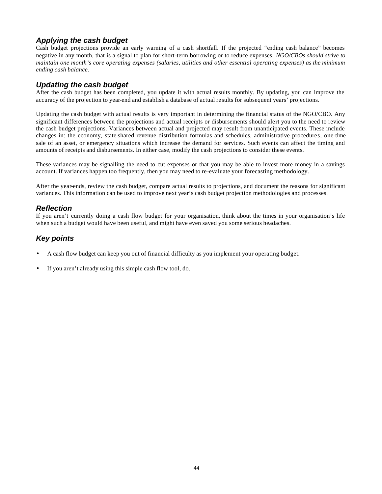# *Applying the cash budget*

Cash budget projections provide an early warning of a cash shortfall. If the projected "ending cash balance" becomes negative in any month, that is a signal to plan for short-term borrowing or to reduce expenses. *NGO/CBOs should strive to maintain one month's core operating expenses (salaries, utilities and other essential operating expenses) as the minimum ending cash balance.*

# *Updating the cash budget*

After the cash budget has been completed, you update it with actual results monthly. By updating, you can improve the accuracy of the projection to year-end and establish a database of actual results for subsequent years' projections.

Updating the cash budget with actual results is very important in determining the financial status of the NGO/CBO. Any significant differences between the projections and actual receipts or disbursements should alert you to the need to review the cash budget projections. Variances between actual and projected may result from unanticipated events. These include changes in: the economy, state-shared revenue distribution formulas and schedules, administrative procedures, one-time sale of an asset, or emergency situations which increase the demand for services. Such events can affect the timing and amounts of receipts and disbursements. In either case, modify the cash projections to consider these events.

These variances may be signalling the need to cut expenses or that you may be able to invest more money in a savings account. If variances happen too frequently, then you may need to re-evaluate your forecasting methodology.

After the year-ends, review the cash budget, compare actual results to projections, and document the reasons for significant variances. This information can be used to improve next year's cash budget projection methodologies and processes.

# *Reflection*

If you aren't currently doing a cash flow budget for your organisation, think about the times in your organisation's life when such a budget would have been useful, and might have even saved you some serious headaches.

# *Key points*

- A cash flow budget can keep you out of financial difficulty as you implement your operating budget.
- If you aren't already using this simple cash flow tool, do.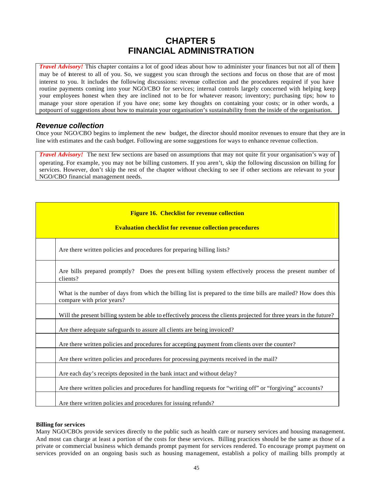# **CHAPTER 5 FINANCIAL ADMINISTRATION**

*Travel Advisory!* This chapter contains a lot of good ideas about how to administer your finances but not all of them may be of interest to all of you. So, we suggest you scan through the sections and focus on those that are of most interest to you. It includes the following discussions: revenue collection and the procedures required if you have routine payments coming into your NGO/CBO for services; internal controls largely concerned with helping keep your employees honest when they are inclined not to be for whatever reason; inventory; purchasing tips; how to manage your store operation if you have one; some key thoughts on containing your costs; or in other words, a potpourri of suggestions about how to maintain your organisation's sustainability from the inside of the organisation.

### *Revenue collection*

Once your NGO/CBO begins to implement the new budget, the director should monitor revenues to ensure that they are in line with estimates and the cash budget. Following are some suggestions for ways to enhance revenue collection.

*Travel Advisory!*The next few sections are based on assumptions that may not quite fit your organisation's way of operating. For example, you may not be billing customers. If you aren't, skip the following discussion on billing for services. However, don't skip the rest of the chapter without checking to see if other sections are relevant to your NGO/CBO financial management needs.

| <b>Figure 16. Checklist for revenue collection</b><br><b>Evaluation checklist for revenue collection procedures</b>                         |
|---------------------------------------------------------------------------------------------------------------------------------------------|
| Are there written policies and procedures for preparing billing lists?                                                                      |
| Are bills prepared promptly? Does the present billing system effectively process the present number of<br>clients?                          |
| What is the number of days from which the billing list is prepared to the time bills are mailed? How does this<br>compare with prior years? |
| Will the present billing system be able to effectively process the clients projected for three years in the future?                         |
| Are there adequate safeguards to assure all clients are being invoiced?                                                                     |
| Are there written policies and procedures for accepting payment from clients over the counter?                                              |
| Are there written policies and procedures for processing payments received in the mail?                                                     |
| Are each day's receipts deposited in the bank intact and without delay?                                                                     |
| Are there written policies and procedures for handling requests for "writing off" or "forgiving" accounts?                                  |
| Are there written policies and procedures for issuing refunds?                                                                              |

### **Billing for services**

Many NGO/CBOs provide services directly to the public such as health care or nursery services and housing management. And most can charge at least a portion of the costs for these services. Billing practices should be the same as those of a private or commercial business which demands prompt payment for services rendered. To encourage prompt payment on services provided on an ongoing basis such as housing management, establish a policy of mailing bills promptly at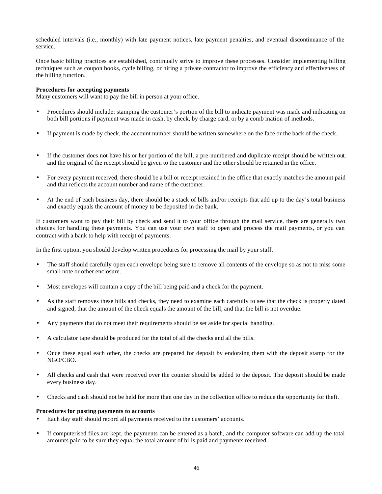scheduled intervals (i.e., monthly) with late payment notices, late payment penalties, and eventual discontinuance of the service.

Once basic billing practices are established, continually strive to improve these processes. Consider implementing billing techniques such as coupon books, cycle billing, or hiring a private contractor to improve the efficiency and effectiveness of the billing function.

### **Procedures for accepting payments**

Many customers will want to pay the bill in person at your office.

- Procedures should include: stamping the customer's portion of the bill to indicate payment was made and indicating on both bill portions if payment was made in cash, by check, by charge card, or by a comb ination of methods.
- If payment is made by check, the account number should be written somewhere on the face or the back of the check.
- If the customer does not have his or her portion of the bill, a pre-numbered and duplicate receipt should be written out, and the original of the receipt should be given to the customer and the other should be retained in the office.
- For every payment received, there should be a bill or receipt retained in the office that exactly matches the amount paid and that reflects the account number and name of the customer.
- At the end of each business day, there should be a stack of bills and/or receipts that add up to the day's total business and exactly equals the amount of money to be deposited in the bank.

If customers want to pay their bill by check and send it to your office through the mail service, there are generally two choices for handling these payments. You can use your own staff to open and process the mail payments, or you can contract with a bank to help with receipt of payments.

In the first option, you should develop written procedures for processing the mail by your staff.

- The staff should carefully open each envelope being sure to remove all contents of the envelope so as not to miss some small note or other enclosure.
- Most envelopes will contain a copy of the bill being paid and a check for the payment.
- As the staff removes these bills and checks, they need to examine each carefully to see that the check is properly dated and signed, that the amount of the check equals the amount of the bill, and that the bill is not overdue.
- Any payments that do not meet their requirements should be set aside for special handling.
- A calculator tape should be produced for the total of all the checks and all the bills.
- Once these equal each other, the checks are prepared for deposit by endorsing them with the deposit stamp for the NGO/CBO.
- All checks and cash that were received over the counter should be added to the deposit. The deposit should be made every business day.
- Checks and cash should not be held for more than one day in the collection office to reduce the opportunity for theft.

### **Procedures for posting payments to accounts**

- Each day staff should record all payments received to the customers' accounts.
- If computerised files are kept, the payments can be entered as a batch, and the computer software can add up the total amounts paid to be sure they equal the total amount of bills paid and payments received.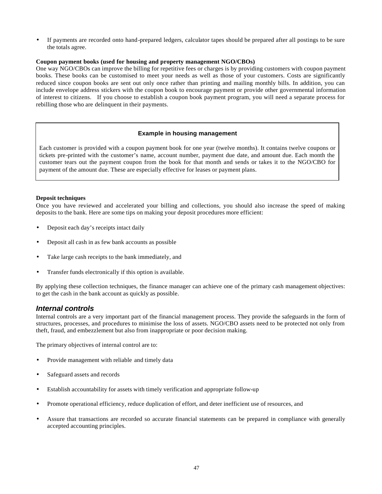• If payments are recorded onto hand-prepared ledgers, calculator tapes should be prepared after all postings to be sure the totals agree.

### **Coupon payment books (used for housing and property management NGO/CBOs)**

One way NGO/CBOs can improve the billing for repetitive fees or charges is by providing customers with coupon payment books. These books can be customised to meet your needs as well as those of your customers. Costs are significantly reduced since coupon books are sent out only once rather than printing and mailing monthly bills. In addition, you can include envelope address stickers with the coupon book to encourage payment or provide other governmental information of interest to citizens. If you choose to establish a coupon book payment program, you will need a separate process for rebilling those who are delinquent in their payments.

### **Example in housing management**

Each customer is provided with a coupon payment book for one year (twelve months). It contains twelve coupons or tickets pre-printed with the customer's name, account number, payment due date, and amount due. Each month the customer tears out the payment coupon from the book for that month and sends or takes it to the NGO/CBO for payment of the amount due. These are especially effective for leases or payment plans.

### **Deposit techniques**

Once you have reviewed and accelerated your billing and collections, you should also increase the speed of making deposits to the bank. Here are some tips on making your deposit procedures more efficient:

- Deposit each day's receipts intact daily
- Deposit all cash in as few bank accounts as possible
- Take large cash receipts to the bank immediately, and
- Transfer funds electronically if this option is available.

By applying these collection techniques, the finance manager can achieve one of the primary cash management objectives: to get the cash in the bank account as quickly as possible.

### *Internal controls*

Internal controls are a very important part of the financial management process. They provide the safeguards in the form of structures, processes, and procedures to minimise the loss of assets. NGO/CBO assets need to be protected not only from theft, fraud, and embezzlement but also from inappropriate or poor decision making.

The primary objectives of internal control are to:

- Provide management with reliable and timely data
- Safeguard assets and records
- Establish accountability for assets with timely verification and appropriate follow-up
- Promote operational efficiency, reduce duplication of effort, and deter inefficient use of resources, and
- Assure that transactions are recorded so accurate financial statements can be prepared in compliance with generally accepted accounting principles.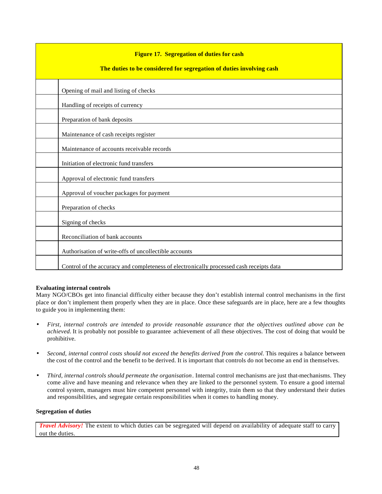| <b>Figure 17. Segregation of duties for cash</b><br>The duties to be considered for segregation of duties involving cash |
|--------------------------------------------------------------------------------------------------------------------------|
| Opening of mail and listing of checks                                                                                    |
| Handling of receipts of currency                                                                                         |
| Preparation of bank deposits                                                                                             |
| Maintenance of cash receipts register                                                                                    |
| Maintenance of accounts receivable records                                                                               |
| Initiation of electronic fund transfers                                                                                  |
| Approval of electronic fund transfers                                                                                    |
| Approval of voucher packages for payment                                                                                 |
| Preparation of checks                                                                                                    |
| Signing of checks                                                                                                        |
| Reconciliation of bank accounts                                                                                          |
| Authorisation of write-offs of uncollectible accounts                                                                    |
| Control of the accuracy and completeness of electronically processed cash receipts data                                  |

### **Evaluating internal controls**

Many NGO/CBOs get into financial difficulty either because they don't establish internal control mechanisms in the first place or don't implement them properly when they are in place. Once these safeguards are in place, here are a few thoughts to guide you in implementing them:

- *First, internal controls are intended to provide reasonable assurance that the objectives outlined above can be achieved.* It is probably not possible to guarantee achievement of all these objectives. The cost of doing that would be prohibitive.
- *Second, internal control costs should not exceed the benefits derived from the control.* This requires a balance between the cost of the control and the benefit to be derived. It is important that controls do not become an end in themselves.
- *Third, internal controls should permeate the organisation*. Internal control mechanisms are just that-mechanisms. They come alive and have meaning and relevance when they are linked to the personnel system. To ensure a good internal control system, managers must hire competent personnel with integrity, train them so that they understand their duties and responsibilities, and segregate certain responsibilities when it comes to handling money.

### **Segregation of duties**

*Travel Advisory!* The extent to which duties can be segregated will depend on availability of adequate staff to carry out the duties.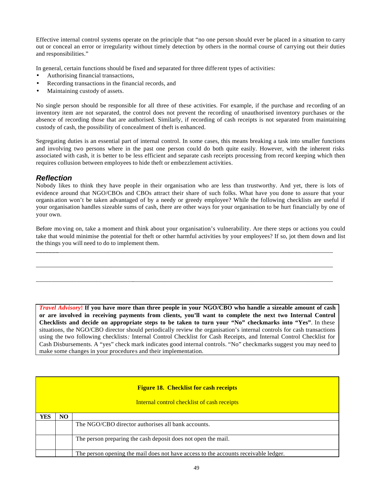Effective internal control systems operate on the principle that "no one person should ever be placed in a situation to carry out or conceal an error or irregularity without timely detection by others in the normal course of carrying out their duties and responsibilities."

In general, certain functions should be fixed and separated for three different types of activities:

- Authorising financial transactions,
- Recording transactions in the financial records, and
- Maintaining custody of assets.

No single person should be responsible for all three of these activities. For example, if the purchase and recording of an inventory item are not separated, the control does not prevent the recording of unauthorised inventory purchases or the absence of recording those that are authorised. Similarly, if recording of cash receipts is not separated from maintaining custody of cash, the possibility of concealment of theft is enhanced.

Segregating duties is an essential part of internal control. In some cases, this means breaking a task into smaller functions and involving two persons where in the past one person could do both quite easily. However, with the inherent risks associated with cash, it is better to be less efficient and separate cash receipts processing from record keeping which then requires collusion between employees to hide theft or embezzlement activities.

### *Reflection*

Nobody likes to think they have people in their organisation who are less than trustworthy. And yet, there is lots of evidence around that NGO/CBOs and CBOs attract their share of such folks. What have you done to assure that your organis ation won't be taken advantaged of by a needy or greedy employee? While the following checklists are useful if your organisation handles sizeable sums of cash, there are other ways for your organisation to be hurt financially by one of your own.

Before mo ving on, take a moment and think about your organisation's vulnerability. Are there steps or actions you could take that would minimise the potential for theft or other harmful activities by your employees? If so, jot them down and list the things you will need to do to implement them.

**\_\_\_\_\_\_\_**\_\_\_\_\_\_\_\_\_\_\_\_\_\_\_\_\_\_\_\_\_\_\_\_\_\_\_\_\_\_\_\_\_\_\_\_\_\_\_\_\_\_\_\_\_\_\_\_\_\_\_\_\_\_\_\_\_\_\_\_\_\_\_\_\_\_\_\_\_\_\_\_\_\_\_\_\_\_\_\_\_\_\_\_\_\_\_\_

\_\_\_\_\_\_\_\_\_\_\_\_\_\_\_\_\_\_\_\_\_\_\_\_\_\_\_\_\_\_\_\_\_\_\_\_\_\_\_\_\_\_\_\_\_\_\_\_\_\_\_\_\_\_\_\_\_\_\_\_\_\_\_\_\_\_\_\_\_\_\_\_\_\_\_\_\_\_\_\_\_\_\_\_\_\_\_\_\_\_\_\_\_\_\_

\_\_\_\_\_\_\_\_\_\_\_\_\_\_\_\_\_\_\_\_\_\_\_\_\_\_\_\_\_\_\_\_\_\_\_\_\_\_\_\_\_\_\_\_\_\_\_\_\_\_\_\_\_\_\_\_\_\_\_\_\_\_\_\_\_\_\_\_\_\_\_\_\_\_\_\_\_\_\_\_\_\_\_\_\_\_\_\_\_\_\_\_\_\_\_

*Travel Advisory***! If you have more than three people in your NGO/CBO who handle a sizeable amount of cash or are involved in receiving payments from clients, you'll want to complete the next two Internal Control Checklists and decide on appropriate steps to be taken to turn your "No" checkmarks into "Yes"**. In these situations, the NGO/CBO director should periodically review the organisation's internal controls for cash transactions using the two following checklists*:* Internal Control Checklist for Cash Receipts, and Internal Control Checklist for Cash Disbursements. A "yes" check mark indicates good internal controls. "No" checkmarks suggest you may need to make some changes in your procedures and their implementation.

|            |    | <b>Figure 18. Checklist for cash receipts</b><br>Internal control checklist of cash receipts |
|------------|----|----------------------------------------------------------------------------------------------|
| <b>YES</b> | NO |                                                                                              |
|            |    | The NGO/CBO director authorises all bank accounts.                                           |
|            |    | The person preparing the cash deposit does not open the mail.                                |
|            |    | The person opening the mail does not have access to the accounts receivable ledger.          |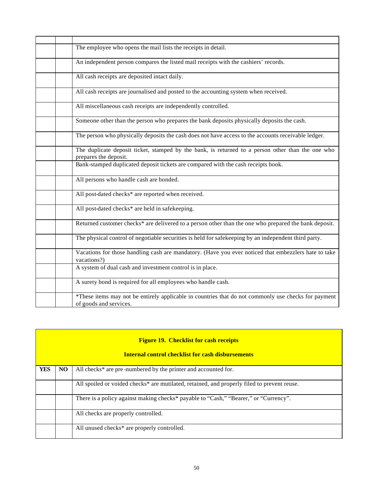| The employee who opens the mail lists the receipts in detail.                                                                  |
|--------------------------------------------------------------------------------------------------------------------------------|
| An independent person compares the listed mail receipts with the cashiers' records.                                            |
| All cash receipts are deposited intact daily.                                                                                  |
| All cash receipts are journalised and posted to the accounting system when received.                                           |
| All miscellaneous cash receipts are independently controlled.                                                                  |
| Someone other than the person who prepares the bank deposits physically deposits the cash.                                     |
| The person who physically deposits the cash does not have access to the accounts receivable ledger.                            |
| The duplicate deposit ticket, stamped by the bank, is returned to a person other than the one who<br>prepares the deposit.     |
| Bank-stamped duplicated deposit tickets are compared with the cash receipts book.                                              |
| All persons who handle cash are bonded.                                                                                        |
| All post-dated checks* are reported when received.                                                                             |
| All post-dated checks* are held in safekeeping.                                                                                |
| Returned customer checks* are delivered to a person other than the one who prepared the bank deposit.                          |
| The physical control of negotiable securities is held for safekeeping by an independent third party.                           |
| Vacations for those handling cash are mandatory. (Have you ever noticed that embezzlers hate to take<br>vacations?)            |
| A system of dual cash and investment control is in place.                                                                      |
| A surety bond is required for all employees who handle cash.                                                                   |
| *These items may not be entirely applicable in countries that do not commonly use checks for payment<br>of goods and services. |
|                                                                                                                                |

| <b>Figure 19. Checklist for cash receipts</b><br><b>Internal control checklist for cash disbursements</b> |    |                                                                                             |  |
|-----------------------------------------------------------------------------------------------------------|----|---------------------------------------------------------------------------------------------|--|
| <b>YES</b>                                                                                                | NO | All checks* are pre-numbered by the printer and accounted for.                              |  |
|                                                                                                           |    | All spoiled or voided checks* are mutilated, retained, and properly filed to prevent reuse. |  |
|                                                                                                           |    |                                                                                             |  |
|                                                                                                           |    | There is a policy against making checks* payable to "Cash," "Bearer," or "Currency".        |  |
|                                                                                                           |    | All checks are properly controlled.                                                         |  |
|                                                                                                           |    | All unused checks* are properly controlled.                                                 |  |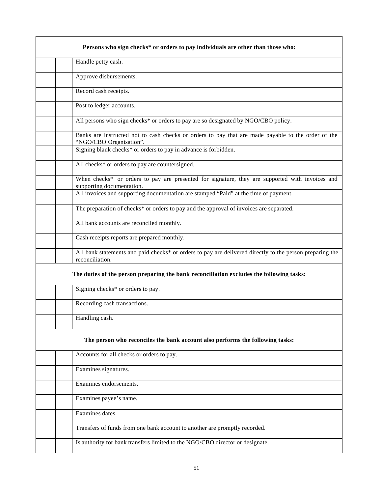| Persons who sign checks* or orders to pay individuals are other than those who:                                               |
|-------------------------------------------------------------------------------------------------------------------------------|
| Handle petty cash.                                                                                                            |
| Approve disbursements.                                                                                                        |
| Record cash receipts.                                                                                                         |
| Post to ledger accounts.                                                                                                      |
| All persons who sign checks* or orders to pay are so designated by NGO/CBO policy.                                            |
| Banks are instructed not to cash checks or orders to pay that are made payable to the order of the<br>"NGO/CBO Organisation". |
| Signing blank checks* or orders to pay in advance is forbidden.                                                               |
| All checks* or orders to pay are countersigned.                                                                               |
| When checks* or orders to pay are presented for signature, they are supported with invoices and<br>supporting documentation.  |
| All invoices and supporting documentation are stamped "Paid" at the time of payment.                                          |
| The preparation of checks* or orders to pay and the approval of invoices are separated.                                       |
| All bank accounts are reconciled monthly.                                                                                     |
| Cash receipts reports are prepared monthly.                                                                                   |
| All bank statements and paid checks* or orders to pay are delivered directly to the person preparing the<br>reconciliation.   |
| The duties of the person preparing the bank reconciliation excludes the following tasks:                                      |
| Signing checks <sup>*</sup> or orders to pay.                                                                                 |
| Recording cash transactions.                                                                                                  |
| Handling cash.                                                                                                                |
| The person who reconciles the bank account also performs the following tasks:                                                 |
| Accounts for all checks or orders to pay.                                                                                     |
| Examines signatures.                                                                                                          |
| Examines endorsements.                                                                                                        |
| Examines payee's name.                                                                                                        |
| Examines dates.                                                                                                               |
| Transfers of funds from one bank account to another are promptly recorded.                                                    |
| Is authority for bank transfers limited to the NGO/CBO director or designate.                                                 |
|                                                                                                                               |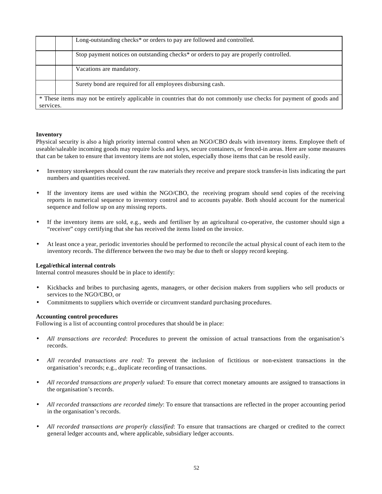|           | Long-outstanding checks* or orders to pay are followed and controlled.                                             |
|-----------|--------------------------------------------------------------------------------------------------------------------|
|           | Stop payment notices on outstanding checks <sup>*</sup> or orders to pay are properly controlled.                  |
|           | Vacations are mandatory.                                                                                           |
|           | Surety bond are required for all employees disbursing cash.                                                        |
| services. | * These items may not be entirely applicable in countries that do not commonly use checks for payment of goods and |

### **Inventory**

Physical security is also a high priority internal control when an NGO/CBO deals with inventory items. Employee theft of useable/saleable incoming goods may require locks and keys, secure containers, or fenced-in areas. Here are some measures that can be taken to ensure that inventory items are not stolen, especially those items that can be resold easily.

- Inventory storekeepers should count the raw materials they receive and prepare stock transfer-in lists indicating the part numbers and quantities received.
- If the inventory items are used within the NGO/CBO, the receiving program should send copies of the receiving reports in numerical sequence to inventory control and to accounts payable. Both should account for the numerical sequence and follow up on any missing reports.
- If the inventory items are sold, e.g., seeds and fertiliser by an agricultural co-operative, the customer should sign a "receiver" copy certifying that she has received the items listed on the invoice.
- At least once a year, periodic inventories should be performed to reconcile the actual physical count of each item to the inventory records. The difference between the two may be due to theft or sloppy record keeping.

#### **Legal/ethical internal controls**

Internal control measures should be in place to identify:

- Kickbacks and bribes to purchasing agents, managers, or other decision makers from suppliers who sell products or services to the NGO/CBO, or
- Commitments to suppliers which override or circumvent standard purchasing procedures.

#### **Accounting control procedures**

Following is a list of accounting control procedures that should be in place:

- *All transactions are recorded*: Procedures to prevent the omission of actual transactions from the organisation's records.
- *All recorded transactions are real:* To prevent the inclusion of fictitious or non-existent transactions in the organisation's records; e.g., duplicate recording of transactions.
- *All recorded transactions are properly valued*: To ensure that correct monetary amounts are assigned to transactions in the organisation's records.
- *All recorded transactions are recorded timely*: To ensure that transactions are reflected in the proper accounting period in the organisation's records.
- *All recorded transactions are properly classified*: To ensure that transactions are charged or credited to the correct general ledger accounts and, where applicable, subsidiary ledger accounts.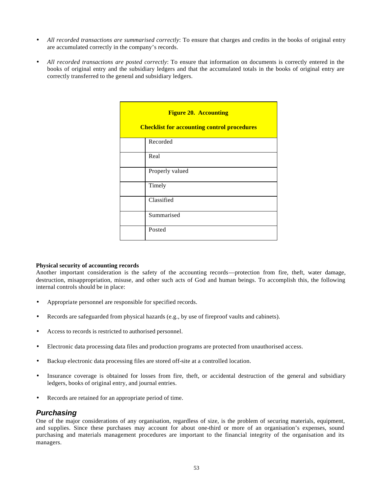- *All recorded transactions are summarised correctly*: To ensure that charges and credits in the books of original entry are accumulated correctly in the company's records.
- *All recorded transactions are posted correctly*: To ensure that information on documents is correctly entered in the books of original entry and the subsidiary ledgers and that the accumulated totals in the books of original entry are correctly transferred to the general and subsidiary ledgers.

| <b>Figure 20. Accounting</b><br><b>Checklist for accounting control procedures</b> |                 |  |
|------------------------------------------------------------------------------------|-----------------|--|
|                                                                                    | Recorded        |  |
|                                                                                    | Real            |  |
|                                                                                    | Properly valued |  |
|                                                                                    | Timely          |  |
|                                                                                    | Classified      |  |
|                                                                                    | Summarised      |  |
|                                                                                    | Posted          |  |

### **Physical security of accounting records**

Another important consideration is the safety of the accounting records—protection from fire, theft, water damage, destruction, misappropriation, misuse, and other such acts of God and human beings. To accomplish this, the following internal controls should be in place:

- Appropriate personnel are responsible for specified records.
- Records are safeguarded from physical hazards (e.g., by use of fireproof vaults and cabinets).
- Access to records is restricted to authorised personnel.
- Electronic data processing data files and production programs are protected from unauthorised access.
- Backup electronic data processing files are stored off-site at a controlled location.
- Insurance coverage is obtained for losses from fire, theft, or accidental destruction of the general and subsidiary ledgers, books of original entry, and journal entries.
- Records are retained for an appropriate period of time.

### *Purchasing*

One of the major considerations of any organisation, regardless of size, is the problem of securing materials, equipment, and supplies. Since these purchases may account for about one-third or more of an organisation's expenses, sound purchasing and materials management procedures are important to the financial integrity of the organisation and its managers.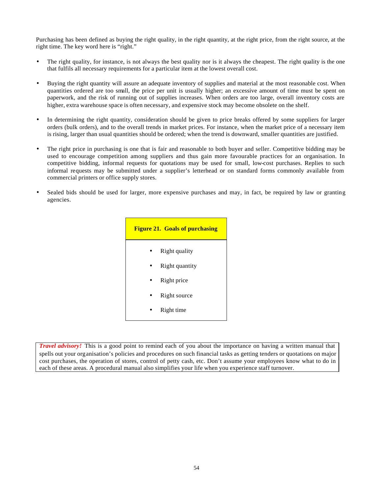Purchasing has been defined as buying the right quality, in the right quantity, at the right price, from the right source, at the right time. The key word here is "right."

- The right quality, for instance, is not always the best quality nor is it always the cheapest. The right quality is the one that fulfils all necessary requirements for a particular item at the lowest overall cost.
- Buying the right quantity will assure an adequate inventory of supplies and material at the most reasonable cost. When quantities ordered are too small, the price per unit is usually higher; an excessive amount of time must be spent on paperwork, and the risk of running out of supplies increases. When orders are too large, overall inventory costs are higher, extra warehouse space is often necessary, and expensive stock may become obsolete on the shelf.
- In determining the right quantity, consideration should be given to price breaks offered by some suppliers for larger orders (bulk orders), and to the overall trends in market prices. For instance, when the market price of a necessary item is rising, larger than usual quantities should be ordered; when the trend is downward, smaller quantities are justified.
- The right price in purchasing is one that is fair and reasonable to both buyer and seller. Competitive bidding may be used to encourage competition among suppliers and thus gain more favourable practices for an organisation. In competitive bidding, informal requests for quotations may be used for small, low-cost purchases. Replies to such informal requests may be submitted under a supplier's letterhead or on standard forms commonly available from commercial printers or office supply stores.
- Sealed bids should be used for larger, more expensive purchases and may, in fact, be required by law or granting agencies.



*Travel advisory!* This is a good point to remind each of you about the importance on having a written manual that spells out your organisation's policies and procedures on such financial tasks as getting tenders or quotations on major cost purchases, the operation of stores, control of petty cash, etc. Don't assume your employees know what to do in each of these areas. A procedural manual also simplifies your life when you experience staff turnover.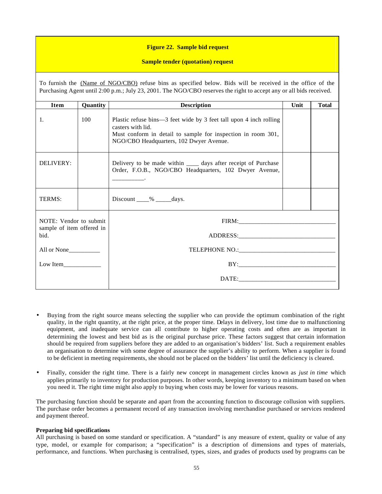### **Figure 22. Sample bid request**

### **Sample tender (quotation) request**

| To furnish the (Name of NGO/CBO) refuse bins as specified below. Bids will be received in the office of the<br>Purchasing Agent until 2:00 p.m.; July 23, 2001. The NGO/CBO reserves the right to accept any or all bids received. |                 |                                                                                                                                                                                                    |  |  |  |
|------------------------------------------------------------------------------------------------------------------------------------------------------------------------------------------------------------------------------------|-----------------|----------------------------------------------------------------------------------------------------------------------------------------------------------------------------------------------------|--|--|--|
| <b>Item</b>                                                                                                                                                                                                                        | <b>Quantity</b> | <b>Description</b><br>Unit<br><b>Total</b>                                                                                                                                                         |  |  |  |
| 1.                                                                                                                                                                                                                                 | 100             | Plastic refuse bins—3 feet wide by 3 feet tall upon 4 inch rolling<br>casters with lid.<br>Must conform in detail to sample for inspection in room 301,<br>NGO/CBO Headquarters, 102 Dwyer Avenue. |  |  |  |
| DELIVERY:                                                                                                                                                                                                                          |                 | Delivery to be made within ______ days after receipt of Purchase<br>Order, F.O.B., NGO/CBO Headquarters, 102 Dwyer Avenue,                                                                         |  |  |  |
| TERMS:                                                                                                                                                                                                                             |                 | Discount $\frac{\%}{\%}$ days.                                                                                                                                                                     |  |  |  |
| NOTE: Vendor to submit<br>sample of item offered in<br>bid.<br>All or None__________                                                                                                                                               |                 | ADDRESS:                                                                                                                                                                                           |  |  |  |
| Low Item                                                                                                                                                                                                                           |                 |                                                                                                                                                                                                    |  |  |  |

- Buying from the right source means selecting the supplier who can provide the optimum combination of the right quality, in the right quantity, at the right price, at the proper time. Delays in delivery, lost time due to malfunctioning equipment, and inadequate service can all contribute to higher operating costs and often are as important in determining the lowest and best bid as is the original purchase price. These factors suggest that certain information should be required from suppliers before they are added to an organisation's bidders' list. Such a requirement enables an organisation to determine with some degree of assurance the supplier's ability to perform. When a supplier is found to be deficient in meeting requirements, she should not be placed on the bidders' list until the deficiency is cleared.
- Finally, consider the right time. There is a fairly new concept in management circles known as *just in time* which applies primarily to inventory for production purposes. In other words, keeping inventory to a minimum based on when you need it. The right time might also apply to buying when costs may be lower for various reasons.

The purchasing function should be separate and apart from the accounting function to discourage collusion with suppliers. The purchase order becomes a permanent record of any transaction involving merchandise purchased or services rendered and payment thereof.

### **Preparing bid specifications**

All purchasing is based on some standard or specification. A "standard" is any measure of extent, quality or value of any type, model, or example for comparison; a "specification" is a description of dimensions and types of materials, performance, and functions. When purchasing is centralised, types, sizes, and grades of products used by programs can be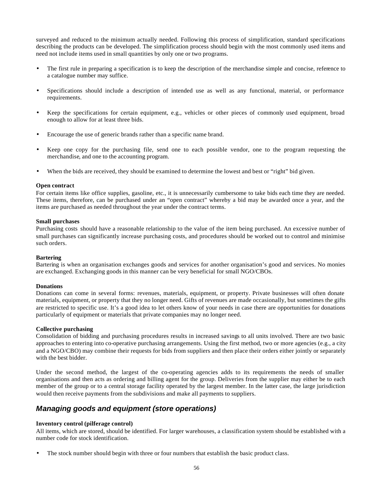surveyed and reduced to the minimum actually needed. Following this process of simplification, standard specifications describing the products can be developed. The simplification process should begin with the most commonly used items and need not include items used in small quantities by only one or two programs.

- The first rule in preparing a specification is to keep the description of the merchandise simple and concise, reference to a catalogue number may suffice.
- Specifications should include a description of intended use as well as any functional, material, or performance requirements.
- Keep the specifications for certain equipment, e.g., vehicles or other pieces of commonly used equipment, broad enough to allow for at least three bids.
- Encourage the use of generic brands rather than a specific name brand.
- Keep one copy for the purchasing file, send one to each possible vendor, one to the program requesting the merchandise, and one to the accounting program.
- When the bids are received, they should be examined to determine the lowest and best or "right" bid given.

#### **Open contract**

For certain items like office supplies, gasoline, etc., it is unnecessarily cumbersome to take bids each time they are needed. These items, therefore, can be purchased under an "open contract" whereby a bid may be awarded once a year, and the items are purchased as needed throughout the year under the contract terms.

#### **Small purchases**

Purchasing costs should have a reasonable relationship to the value of the item being purchased. An excessive number of small purchases can significantly increase purchasing costs, and procedures should be worked out to control and minimise such orders.

### **Bartering**

Bartering is when an organisation exchanges goods and services for another organisation's good and services. No monies are exchanged. Exchanging goods in this manner can be very beneficial for small NGO/CBOs.

#### **Donations**

Donations can come in several forms: revenues, materials, equipment, or property. Private businesses will often donate materials, equipment, or property that they no longer need. Gifts of revenues are made occasionally, but sometimes the gifts are restricted to specific use. It's a good idea to let others know of your needs in case there are opportunities for donations particularly of equipment or materials that private companies may no longer need.

### **Collective purchasing**

Consolidation of bidding and purchasing procedures results in increased savings to all units involved. There are two basic approaches to entering into co-operative purchasing arrangements. Using the first method, two or more agencies (e.g., a city and a NGO/CBO) may combine their requests for bids from suppliers and then place their orders either jointly or separately with the best bidder.

Under the second method, the largest of the co-operating agencies adds to its requirements the needs of smaller organisations and then acts as ordering and billing agent for the group. Deliveries from the supplier may either be to each member of the group or to a central storage facility operated by the largest member. In the latter case, the large jurisdiction would then receive payments from the subdivisions and make all payments to suppliers.

### *Managing goods and equipment (store operations)*

### **Inventory control (pilferage control)**

All items, which are stored, should be identified. For larger warehouses, a classification system should be established with a number code for stock identification.

The stock number should begin with three or four numbers that establish the basic product class.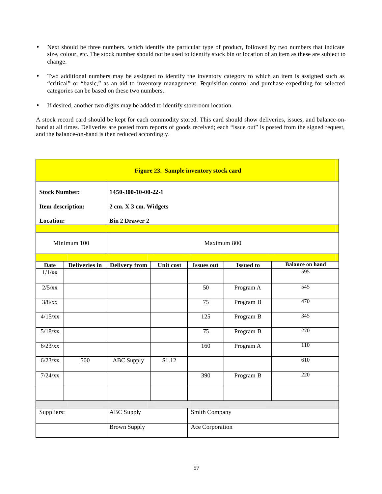- Next should be three numbers, which identify the particular type of product, followed by two numbers that indicate size, colour, etc. The stock number should not be used to identify stock bin or location of an item as these are subject to change.
- Two additional numbers may be assigned to identify the inventory category to which an item is assigned such as "critical" or "basic," as an aid to inventory management. Requisition control and purchase expediting for selected categories can be based on these two numbers.
- If desired, another two digits may be added to identify storeroom location.

A stock record card should be kept for each commodity stored. This card should show deliveries, issues, and balance-onhand at all times. Deliveries are posted from reports of goods received; each "issue out" is posted from the signed request, and the balance-on-hand is then reduced accordingly.

| Figure 23. Sample inventory stock card    |               |                                              |           |                   |                  |                        |
|-------------------------------------------|---------------|----------------------------------------------|-----------|-------------------|------------------|------------------------|
| <b>Stock Number:</b><br>Item description: |               | 1450-300-10-00-22-1<br>2 cm. X 3 cm. Widgets |           |                   |                  |                        |
| Location:                                 |               |                                              |           |                   |                  |                        |
|                                           |               | <b>Bin 2 Drawer 2</b>                        |           |                   |                  |                        |
| Minimum 100                               |               | Maximum 800                                  |           |                   |                  |                        |
| <b>Date</b>                               | Deliveries in | Delivery from                                | Unit cost | <b>Issues out</b> | <b>Issued to</b> | <b>Balance on hand</b> |
| $1/1$ /xx                                 |               |                                              |           |                   |                  | 595                    |
| 2/5/xx                                    |               |                                              |           | 50                | Program A        | 545                    |
| $3/8$ /xx                                 |               |                                              |           | 75                | Program B        | 470                    |
| 4/15/xx                                   |               |                                              |           | 125               | Program B        | 345                    |
| $5/18$ /xx                                |               |                                              |           | 75                | Program B        | 270                    |
| 6/23/xx                                   |               |                                              |           | 160               | Program A        | 110                    |
| 6/23/xx                                   | 500           | <b>ABC</b> Supply                            | \$1.12    |                   |                  | 610                    |
| $7/24$ /xx                                |               |                                              |           | 390               | Program B        | 220                    |
|                                           |               |                                              |           |                   |                  |                        |
|                                           |               |                                              |           |                   |                  |                        |
| Suppliers:                                |               | <b>ABC</b> Supply                            |           | Smith Company     |                  |                        |
|                                           |               | <b>Brown Supply</b>                          |           | Ace Corporation   |                  |                        |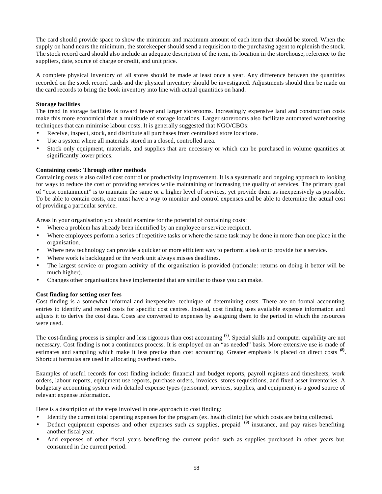The card should provide space to show the minimum and maximum amount of each item that should be stored. When the supply on hand nears the minimum, the storekeeper should send a requisition to the purchasing agent to replenish the stock. The stock record card should also include an adequate description of the item, its location in the storehouse, reference to the suppliers, date, source of charge or credit, and unit price.

A complete physical inventory of all stores should be made at least once a year. Any difference between the quantities recorded on the stock record cards and the physical inventory should be investigated. Adjustments should then be made on the card records to bring the book inventory into line with actual quantities on hand.

### **Storage facilities**

The trend in storage facilities is toward fewer and larger storerooms. Increasingly expensive land and construction costs make this more economical than a multitude of storage locations. Larger storerooms also facilitate automated warehousing techniques that can minimise labour costs. It is generally suggested that NGO/CBOs:

- Receive, inspect, stock, and distribute all purchases from centralised store locations.
- Use a system where all materials stored in a closed, controlled area.
- Stock only equipment, materials, and supplies that are necessary or which can be purchased in volume quantities at significantly lower prices.

### **Containing costs: Through other methods**

Containing costs is also called cost control or productivity improvement. It is a systematic and ongoing approach to looking for ways to reduce the cost of providing services while maintaining or increasing the quality of services. The primary goal of "cost containment" is to maintain the same or a higher level of services, yet provide them as inexpensively as possible. To be able to contain costs, one must have a way to monitor and control expenses and be able to determine the actual cost of providing a particular service.

Areas in your organisation you should examine for the potential of containing costs:

- Where a problem has already been identified by an employee or service recipient.
- Where employees perform a series of repetitive tasks or where the same task may be done in more than one place in the organisation.
- Where new technology can provide a quicker or more efficient way to perform a task or to provide for a service.
- Where work is backlogged or the work unit always misses deadlines.
- The largest service or program activity of the organisation is provided (rationale: returns on doing it better will be much higher).
- Changes other organisations have implemented that are similar to those you can make.

### **Cost finding for setting user fees**

Cost finding is a somewhat informal and inexpensive technique of determining costs. There are no formal accounting entries to identify and record costs for specific cost centres. Instead, cost finding uses available expense information and adjusts it to derive the cost data. Costs are converted to expenses by assigning them to the period in which the resources were used.

The cost-finding process is simpler and less rigorous than cost accounting **(7)**. Special skills and computer capability are not necessary. Cost finding is not a continuous process. It is emp loyed on an "as needed" basis. More extensive use is made of estimates and sampling which make it less precise than cost accounting. Greater emphasis is placed on direct costs  $^{(8)}$ . Shortcut formulas are used in allocating overhead costs.

Examples of useful records for cost finding include: financial and budget reports, payroll registers and timesheets, work orders, labour reports, equipment use reports, purchase orders, invoices, stores requisitions, and fixed asset inventories. A budgetary accounting system with detailed expense types (personnel, services, supplies, and equipment) is a good source of relevant expense information.

Here is a description of the steps involved in one approach to cost finding:

- Identify the current total operating expenses for the program (ex. health clinic) for which costs are being collected.
- Deduct equipment expenses and other expenses such as supplies, prepaid **(9)** insurance, and pay raises benefiting another fiscal year.
- Add expenses of other fiscal years benefiting the current period such as supplies purchased in other years but consumed in the current period.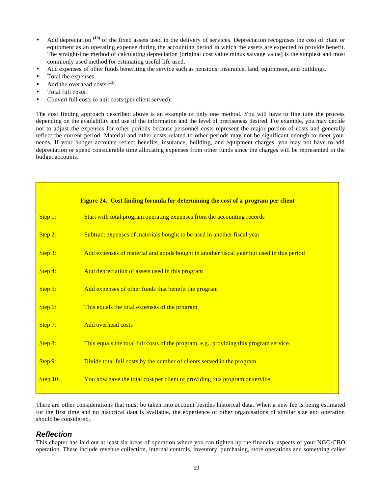- Add depreciation <sup>(10)</sup> of the fixed assets used in the delivery of services. Depreciation recognises the cost of plant or equipment as an operating expense during the accounting period in which the assets are expected to provide benefit. The straight-line method of calculating depreciation (original cost value minus salvage value) is the simplest and most commonly used method for estimating useful life used.
- Add expenses of other funds benefiting the service such as pensions, insurance, land, equipment, and buildings.
- Total the expenses.
- Add the overhead costs <sup>(11)</sup>.
- Total full costs.
- Convert full costs to unit costs (per client served).

The cost finding approach described above is an example of only one method. You will have to fine tune the process depending on the availability and use of the information and the level of preciseness desired. For example, you may decide not to adjust the expenses for other periods because personnel costs represent the major portion of costs and generally reflect the current period. Material and other costs related to other periods may not be significant enough to meet your needs. If your budget accounts reflect benefits, insurance, building, and equipment charges, you may not have to add depreciation or spend considerable time allocating expenses from other funds since the charges will be represented in the budget accounts.

|          | Figure 24. Cost finding formula for determining the cost of a program per client         |
|----------|------------------------------------------------------------------------------------------|
| Step 1:  | Start with total program operating expenses from the accounting records                  |
| Step 2:  | Subtract expenses of materials bought to be used in another fiscal year                  |
| Step 3:  | Add expenses of material and goods bought in another fiscal year but used in this period |
| Step 4:  | Add depreciation of assets used in this program                                          |
| Step 5:  | Add expenses of other funds that benefit the program                                     |
| Step 6:  | This equals the total expenses of the program                                            |
| Step 7:  | <b>Add overhead costs</b>                                                                |
| Step 8:  | This equals the total full costs of the program, e.g., providing this program service.   |
| Step 9:  | Divide total full costs by the number of clients served in the program                   |
| Step 10: | You now have the total cost per client of providing this program or service.             |
|          |                                                                                          |

There are other considerations that must be taken into account besides historical data. When a new fee is being estimated for the first time and no historical data is available, the experience of other organisations of similar size and operation should be considered.

### *Reflection*

This chapter has laid out at least six areas of operation where you can tighten up the financial aspects of your NGO/CBO operation. These include revenue collection, internal controls, inventory, purchasing, store operations and something called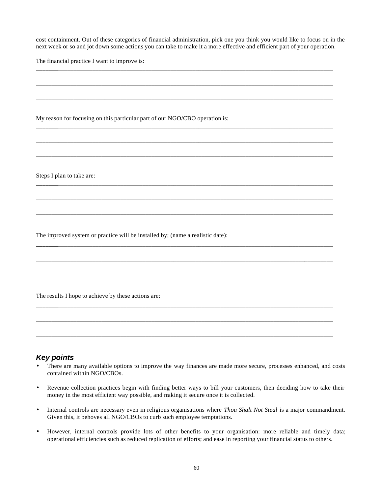cost containment. Out of these categories of financial administration, pick one you think you would like to focus on in the next week or so and jot down some actions you can take to make it a more effective and efficient part of your operation.

**\_\_\_\_\_\_\_**\_\_\_\_\_\_\_\_\_\_\_\_\_\_\_\_\_\_\_\_\_\_\_\_\_\_\_\_\_\_\_\_\_\_\_\_\_\_\_\_\_\_\_\_\_\_\_\_\_\_\_\_\_\_\_\_\_\_\_\_\_\_\_\_\_\_\_\_\_\_\_\_\_\_\_\_\_\_\_\_\_\_\_\_\_\_\_\_

\_\_\_\_\_\_\_\_\_\_\_\_\_\_\_\_\_\_\_\_\_\_\_\_\_\_\_\_\_\_\_\_\_\_\_\_\_\_\_\_\_\_\_\_\_\_\_\_\_\_\_\_\_\_\_\_\_\_\_\_\_\_\_\_\_\_\_\_\_\_\_\_\_\_\_\_\_\_\_\_\_\_\_\_\_\_\_\_\_\_\_\_\_\_\_

\_\_\_\_\_\_\_\_\_\_\_\_\_\_\_\_\_\_\_\_\_\_\_\_\_\_\_\_\_\_\_\_\_\_\_\_\_\_\_\_\_\_\_\_\_\_\_\_\_\_\_\_\_\_\_\_\_\_\_\_\_\_\_\_\_\_\_\_\_\_\_\_\_\_\_\_\_\_\_\_\_\_\_\_\_\_\_\_\_\_\_\_\_\_\_

**\_\_\_\_\_\_\_**\_\_\_\_\_\_\_\_\_\_\_\_\_\_\_\_\_\_\_\_\_\_\_\_\_\_\_\_\_\_\_\_\_\_\_\_\_\_\_\_\_\_\_\_\_\_\_\_\_\_\_\_\_\_\_\_\_\_\_\_\_\_\_\_\_\_\_\_\_\_\_\_\_\_\_\_\_\_\_\_\_\_\_\_\_\_\_\_

\_\_\_\_\_\_\_\_\_\_\_\_\_\_\_\_\_\_\_\_\_\_\_\_\_\_\_\_\_\_\_\_\_\_\_\_\_\_\_\_\_\_\_\_\_\_\_\_\_\_\_\_\_\_\_\_\_\_\_\_\_\_\_\_\_\_\_\_\_\_\_\_\_\_\_\_\_\_\_\_\_\_\_\_\_\_\_\_\_\_\_\_\_\_\_

\_\_\_\_\_\_\_\_\_\_\_\_\_\_\_\_\_\_\_\_\_\_\_\_\_\_\_\_\_\_\_\_\_\_\_\_\_\_\_\_\_\_\_\_\_\_\_\_\_\_\_\_\_\_\_\_\_\_\_\_\_\_\_\_\_\_\_\_\_\_\_\_\_\_\_\_\_\_\_\_\_\_\_\_\_\_\_\_\_\_\_\_\_\_\_

**\_\_\_\_\_\_\_**\_\_\_\_\_\_\_\_\_\_\_\_\_\_\_\_\_\_\_\_\_\_\_\_\_\_\_\_\_\_\_\_\_\_\_\_\_\_\_\_\_\_\_\_\_\_\_\_\_\_\_\_\_\_\_\_\_\_\_\_\_\_\_\_\_\_\_\_\_\_\_\_\_\_\_\_\_\_\_\_\_\_\_\_\_\_\_\_

\_\_\_\_\_\_\_\_\_\_\_\_\_\_\_\_\_\_\_\_\_\_\_\_\_\_\_\_\_\_\_\_\_\_\_\_\_\_\_\_\_\_\_\_\_\_\_\_\_\_\_\_\_\_\_\_\_\_\_\_\_\_\_\_\_\_\_\_\_\_\_\_\_\_\_\_\_\_\_\_\_\_\_\_\_\_\_\_\_\_\_\_\_\_\_

\_\_\_\_\_\_\_\_\_\_\_\_\_\_\_\_\_\_\_\_\_\_\_\_\_\_\_\_\_\_\_\_\_\_\_\_\_\_\_\_\_\_\_\_\_\_\_\_\_\_\_\_\_\_\_\_\_\_\_\_\_\_\_\_\_\_\_\_\_\_\_\_\_\_\_\_\_\_\_\_\_\_\_\_\_\_\_\_\_\_\_\_\_\_\_

**\_\_\_\_\_\_\_**\_\_\_\_\_\_\_\_\_\_\_\_\_\_\_\_\_\_\_\_\_\_\_\_\_\_\_\_\_\_\_\_\_\_\_\_\_\_\_\_\_\_\_\_\_\_\_\_\_\_\_\_\_\_\_\_\_\_\_\_\_\_\_\_\_\_\_\_\_\_\_\_\_\_\_\_\_\_\_\_\_\_\_\_\_\_\_\_

\_\_\_\_\_\_\_\_\_\_\_\_\_\_\_\_\_\_\_\_\_\_\_\_\_\_\_\_\_\_\_\_\_\_\_\_\_\_\_\_\_\_\_\_\_\_\_\_\_\_\_\_\_\_\_\_\_\_\_\_\_\_\_\_\_\_\_\_\_\_\_\_\_\_\_\_\_\_\_\_\_\_\_\_\_\_\_\_\_\_\_\_\_\_\_

\_\_\_\_\_\_\_\_\_\_\_\_\_\_\_\_\_\_\_\_\_\_\_\_\_\_\_\_\_\_\_\_\_\_\_\_\_\_\_\_\_\_\_\_\_\_\_\_\_\_\_\_\_\_\_\_\_\_\_\_\_\_\_\_\_\_\_\_\_\_\_\_\_\_\_\_\_\_\_\_\_\_\_\_\_\_\_\_\_\_\_\_\_\_\_

**\_\_\_\_\_\_\_**\_\_\_\_\_\_\_\_\_\_\_\_\_\_\_\_\_\_\_\_\_\_\_\_\_\_\_\_\_\_\_\_\_\_\_\_\_\_\_\_\_\_\_\_\_\_\_\_\_\_\_\_\_\_\_\_\_\_\_\_\_\_\_\_\_\_\_\_\_\_\_\_\_\_\_\_\_\_\_\_\_\_\_\_\_\_\_\_

\_\_\_\_\_\_\_\_\_\_\_\_\_\_\_\_\_\_\_\_\_\_\_\_\_\_\_\_\_\_\_\_\_\_\_\_\_\_\_\_\_\_\_\_\_\_\_\_\_\_\_\_\_\_\_\_\_\_\_\_\_\_\_\_\_\_\_\_\_\_\_\_\_\_\_\_\_\_\_\_\_\_\_\_\_\_\_\_\_\_\_\_\_\_\_

\_\_\_\_\_\_\_\_\_\_\_\_\_\_\_\_\_\_\_\_\_\_\_\_\_\_\_\_\_\_\_\_\_\_\_\_\_\_\_\_\_\_\_\_\_\_\_\_\_\_\_\_\_\_\_\_\_\_\_\_\_\_\_\_\_\_\_\_\_\_\_\_\_\_\_\_\_\_\_\_\_\_\_\_\_\_\_\_\_\_\_\_\_\_\_

The financial practice I want to improve is:

My reason for focusing on this particular part of our NGO/CBO operation is:

Steps I plan to take are:

The improved system or practice will be installed by; (name a realistic date):

The results I hope to achieve by these actions are:

### *Key points*

- There are many available options to improve the way finances are made more secure, processes enhanced, and costs contained within NGO/CBOs.
- Revenue collection practices begin with finding better ways to bill your customers, then deciding how to take their money in the most efficient way possible, and making it secure once it is collected.
- Internal controls are necessary even in religious organisations where *Thou Shalt Not Steal* is a major commandment. Given this, it behoves all NGO/CBOs to curb such employee temptations.
- However, internal controls provide lots of other benefits to your organisation: more reliable and timely data; operational efficiencies such as reduced replication of efforts; and ease in reporting your financial status to others.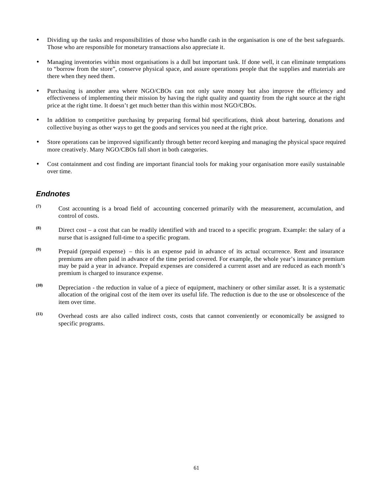- Dividing up the tasks and responsibilities of those who handle cash in the organisation is one of the best safeguards. Those who are responsible for monetary transactions also appreciate it.
- Managing inventories within most organisations is a dull but important task. If done well, it can eliminate temptations to "borrow from the store", conserve physical space, and assure operations people that the supplies and materials are there when they need them.
- Purchasing is another area where NGO/CBOs can not only save money but also improve the efficiency and effectiveness of implementing their mission by having the right quality and quantity from the right source at the right price at the right time. It doesn't get much better than this within most NGO/CBOs.
- In addition to competitive purchasing by preparing formal bid specifications, think about bartering, donations and collective buying as other ways to get the goods and services you need at the right price.
- Store operations can be improved significantly through better record keeping and managing the physical space required more creatively. Many NGO/CBOs fall short in both categories.
- Cost containment and cost finding are important financial tools for making your organisation more easily sustainable over time.

# *Endnotes*

- **(7)** Cost accounting is a broad field of accounting concerned primarily with the measurement, accumulation, and control of costs.
- **(8)** Direct cost a cost that can be readily identified with and traced to a specific program. Example: the salary of a nurse that is assigned full-time to a specific program.
- **(9)** Prepaid (prepaid expense) this is an expense paid in advance of its actual occurrence. Rent and insurance premiums are often paid in advance of the time period covered. For example, the whole year's insurance premium may be paid a year in advance. Prepaid expenses are considered a current asset and are reduced as each month's premium is charged to insurance expense.
- **(10)** Depreciation the reduction in value of a piece of equipment, machinery or other similar asset. It is a systematic allocation of the original cost of the item over its useful life. The reduction is due to the use or obsolescence of the item over time.
- **(11)** Overhead costs are also called indirect costs, costs that cannot conveniently or economically be assigned to specific programs.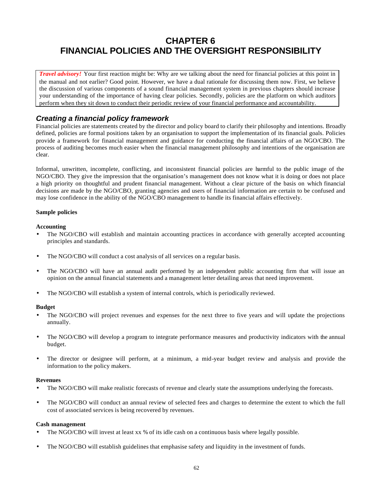# **CHAPTER 6 FINANCIAL POLICIES AND THE OVERSIGHT RESPONSIBILITY**

*Travel advisory!* Your first reaction might be: Why are we talking about the need for financial policies at this point in the manual and not earlier? Good point. However, we have a dual rationale for discussing them now. First, we believe the discussion of various components of a sound financial management system in previous chapters should increase your understanding of the importance of having clear policies. Secondly, policies are the platform on which auditors perform when they sit down to conduct their periodic review of your financial performance and accountability.

# *Creating a financial policy framework*

Financial policies are statements created by the director and policy board to clarify their philosophy and intentions. Broadly defined, policies are formal positions taken by an organisation to support the implementation of its financial goals. Policies provide a framework for financial management and guidance for conducting the financial affairs of an NGO/CBO. The process of auditing becomes much easier when the financial management philosophy and intentions of the organisation are clear.

Informal, unwritten, incomplete, conflicting, and inconsistent financial policies are harmful to the public image of the NGO/CBO. They give the impression that the organisation's management does not know what it is doing or does not place a high priority on thoughtful and prudent financial management. Without a clear picture of the basis on which financial decisions are made by the NGO/CBO, granting agencies and users of financial information are certain to be confused and may lose confidence in the ability of the NGO/CBO management to handle its financial affairs effectively.

### **Sample policies**

### **Accounting**

- The NGO/CBO will establish and maintain accounting practices in accordance with generally accepted accounting principles and standards.
- The NGO/CBO will conduct a cost analysis of all services on a regular basis.
- The NGO/CBO will have an annual audit performed by an independent public accounting firm that will issue an opinion on the annual financial statements and a management letter detailing areas that need improvement.
- The NGO/CBO will establish a system of internal controls, which is periodically reviewed.

### **Budget**

- The NGO/CBO will project revenues and expenses for the next three to five years and will update the projections annually.
- The NGO/CBO will develop a program to integrate performance measures and productivity indicators with the annual budget.
- The director or designee will perform, at a minimum, a mid-year budget review and analysis and provide the information to the policy makers.

### **Revenues**

- The NGO/CBO will make realistic forecasts of revenue and clearly state the assumptions underlying the forecasts.
- The NGO/CBO will conduct an annual review of selected fees and charges to determine the extent to which the full cost of associated services is being recovered by revenues.

### **Cash management**

- The NGO/CBO will invest at least xx % of its idle cash on a continuous basis where legally possible.
- The NGO/CBO will establish guidelines that emphasise safety and liquidity in the investment of funds.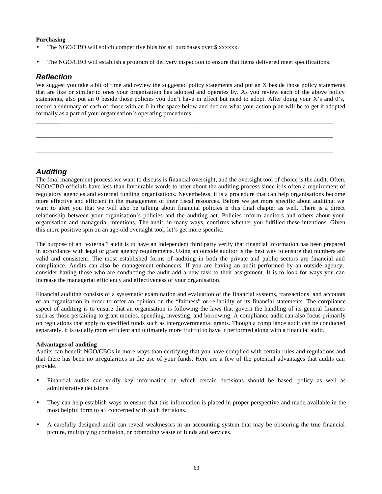### **Purchasing**

- The NGO/CBO will solicit competitive bids for all purchases over \$ xxxxxx.
- The NGO/CBO will establish a program of delivery inspection to ensure that items delivered meet specifications.

# *Reflection*

We suggest you take a bit of time and review the suggested policy statements and put an X beside those policy statements that are like or similar to ones your organisation has adopted and operates by. As you review each of the above policy statements, also put an 0 beside those policies you don't have in effect but need to adopt. After doing your X's and 0's, record a summary of each of those with an 0 in the space below and declare what your action plan will be to get it adopted formally as a part of your organisation's operating procedures.

**\_\_\_\_\_\_\_**\_\_\_\_\_\_\_\_\_\_\_\_\_\_\_\_\_\_\_\_\_\_\_\_\_\_\_\_\_\_\_\_\_\_\_\_\_\_\_\_\_\_\_\_\_\_\_\_\_\_\_\_\_\_\_\_\_\_\_\_\_\_\_\_\_\_\_\_\_\_\_\_\_\_\_\_\_\_\_\_\_\_\_\_\_\_\_\_

\_\_\_\_\_\_\_\_\_\_\_\_\_\_\_\_\_\_\_\_\_\_\_\_\_\_\_\_\_\_\_\_\_\_\_\_\_\_\_\_\_\_\_\_\_\_\_\_\_\_\_\_\_\_\_\_\_\_\_\_\_\_\_\_\_\_\_\_\_\_\_\_\_\_\_\_\_\_\_\_\_\_\_\_\_\_\_\_\_\_\_\_\_\_\_

\_\_\_\_\_\_\_\_\_\_\_\_\_\_\_\_\_\_\_\_\_\_\_\_\_\_\_\_\_\_\_\_\_\_\_\_\_\_\_\_\_\_\_\_\_\_\_\_\_\_\_\_\_\_\_\_\_\_\_\_\_\_\_\_\_\_\_\_\_\_\_\_\_\_\_\_\_\_\_\_\_\_\_\_\_\_\_\_\_\_\_\_\_\_\_

# *Auditing*

The final management process we want to discuss is financial oversight, and the oversight tool of choice is the audit. Often, NGO/CBO officials have less than favourable words to utter about the auditing process since it is often a requirement of regulatory agencies and external funding organisations. Nevertheless, it is a procedure that can help organisations become more effective and efficient in the management of their fiscal resources. Before we get more specific about auditing, we want to alert you that we will also be talking about financial policies in this final chapter as well. There is a direct relationship between your organisation's policies and the auditing act. Policies inform auditors and others about your organisation and managerial intentions. The audit, in many ways, confirms whether you fulfilled these intentions. Given this more positive spin on an age-old oversight tool, let's get more specific.

The purpose of an "external" audit is to have an independent third party verify that financial information has been prepared in accordance with legal or grant agency requirements. Using an outside auditor is the best way to ensure that numbers are valid and consistent. The most established forms of auditing in both the private and public sectors are financial and compliance. Audits can also be management enhancers. If you are having an audit performed by an outside agency, consider having those who are conducting the audit add a new task to their assignment. It is to look for ways you can increase the managerial efficiency and effectiveness of your organisation.

Financial auditing consists of a systematic examination and evaluation of the financial systems, transactions, and accounts of an organisation in order to offer an opinion on the "fairness" or reliability of its financial statements. The compliance aspect of auditing is to ensure that an organisation is following the laws that govern the handling of its general finances such as those pertaining to grant monies, spending, investing, and borrowing. A compliance audit can also focus primarily on regulations that apply to specified funds such as intergovernmental grants. Though a compliance audit can be conducted separately, it is usually more efficient and ultimately more fruitful to have it performed along with a financial audit.

### **Advantages of auditing**

Audits can benefit NGO/CBOs in more ways than certifying that you have complied with certain rules and regulations and that there has been no irregularities in the use of your funds. Here are a few of the potential advantages that audits can provide.

- Financial audits can verify key information on which certain decisions should be based, policy as well as administrative decisions.
- They can help establish ways to ensure that this information is placed in proper perspective and made available in the most helpful form to all concerned with such decisions.
- A carefully designed audit can reveal weaknesses in an accounting system that may be obscuring the true financial picture, multiplying confusion, or promoting waste of funds and services.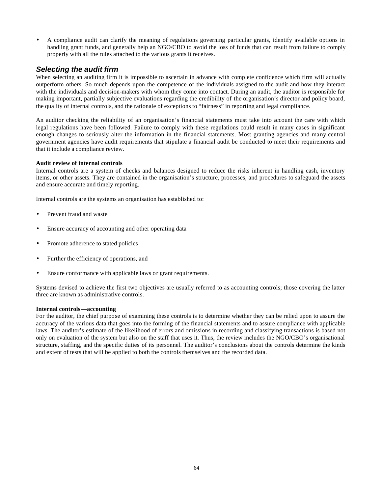• A compliance audit can clarify the meaning of regulations governing particular grants, identify available options in handling grant funds, and generally help an NGO/CBO to avoid the loss of funds that can result from failure to comply properly with all the rules attached to the various grants it receives.

# *Selecting the audit firm*

When selecting an auditing firm it is impossible to ascertain in advance with complete confidence which firm will actually outperform others. So much depends upon the competence of the individuals assigned to the audit and how they interact with the individuals and decision-makers with whom they come into contact. During an audit, the auditor is responsible for making important, partially subjective evaluations regarding the credibility of the organisation's director and policy board, the quality of internal controls, and the rationale of exceptions to "fairness" in reporting and legal compliance.

An auditor checking the reliability of an organisation's financial statements must take into account the care with which legal regulations have been followed. Failure to comply with these regulations could result in many cases in significant enough changes to seriously alter the information in the financial statements. Most granting agencies and many central government agencies have audit requirements that stipulate a financial audit be conducted to meet their requirements and that it include a compliance review.

### **Audit review of internal controls**

Internal controls are a system of checks and balances designed to reduce the risks inherent in handling cash, inventory items, or other assets. They are contained in the organisation's structure, processes, and procedures to safeguard the assets and ensure accurate and timely reporting.

Internal controls are the systems an organisation has established to:

- Prevent fraud and waste
- Ensure accuracy of accounting and other operating data
- Promote adherence to stated policies
- Further the efficiency of operations, and
- Ensure conformance with applicable laws or grant requirements.

Systems devised to achieve the first two objectives are usually referred to as accounting controls; those covering the latter three are known as administrative controls.

### **Internal controls—accounting**

For the auditor, the chief purpose of examining these controls is to determine whether they can be relied upon to assure the accuracy of the various data that goes into the forming of the financial statements and to assure compliance with applicable laws. The auditor's estimate of the likelihood of errors and omissions in recording and classifying transactions is based not only on evaluation of the system but also on the staff that uses it. Thus, the review includes the NGO/CBO's organisational structure, staffing, and the specific duties of its personnel. The auditor's conclusions about the controls determine the kinds and extent of tests that will be applied to both the controls themselves and the recorded data.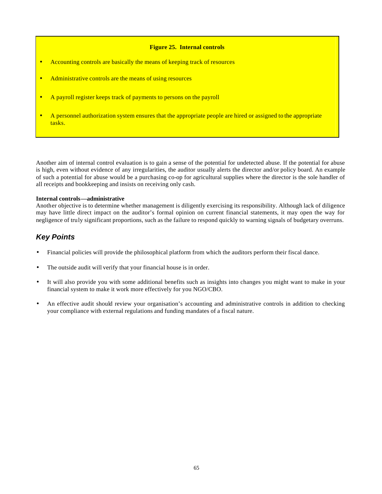### **Figure 25. Internal controls**

- Accounting controls are basically the means of keeping track of resources
- Administrative controls are the means of using resources
- A payroll register keeps track of payments to persons on the payroll
- A personnel authorization system ensures that the appropriate people are hired or assigned to the appropriate tasks.

Another aim of internal control evaluation is to gain a sense of the potential for undetected abuse. If the potential for abuse is high, even without evidence of any irregularities, the auditor usually alerts the director and/or policy board. An example of such a potential for abuse would be a purchasing co-op for agricultural supplies where the director is the sole handler of all receipts and bookkeeping and insists on receiving only cash.

### **Internal controls—administrative**

Another objective is to determine whether management is diligently exercising its responsibility. Although lack of diligence may have little direct impact on the auditor's formal opinion on current financial statements, it may open the way for negligence of truly significant proportions, such as the failure to respond quickly to warning signals of budgetary overruns.

# *Key Points*

- Financial policies will provide the philosophical platform from which the auditors perform their fiscal dance.
- The outside audit will verify that your financial house is in order.
- It will also provide you with some additional benefits such as insights into changes you might want to make in your financial system to make it work more effectively for you NGO/CBO.
- An effective audit should review your organisation's accounting and administrative controls in addition to checking your compliance with external regulations and funding mandates of a fiscal nature.